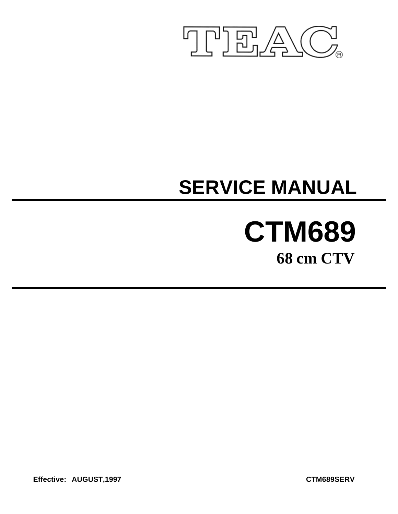

# **SERVICE MANUAL**

# **CTM689 68 cm CTV**

**Effective: AUGUST,1997 CTM689SERV**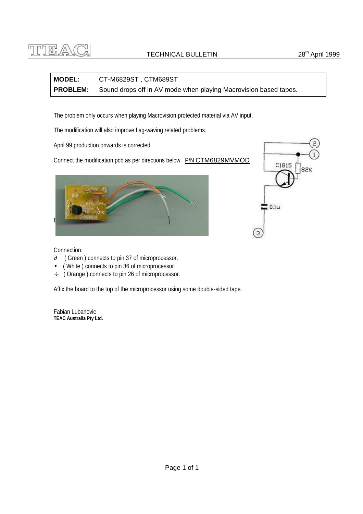

## **MODEL:** CT-M6829ST , CTM689ST **PROBLEM:** Sound drops off in AV mode when playing Macrovision based tapes.

The problem only occurs when playing Macrovision protected material via AV input.

The modification will also improve flag-waving related problems.

April 99 production onwards is corrected.

Connect the modification pcb as per directions below. P/N CTM6829MVMOD





Connection:

- ∂ ( Green ) connects to pin 37 of microprocessor.
- ( White ) connects to pin 36 of microprocessor.
- ÷ ( Orange ) connects to pin 26 of microprocessor.

Affix the board to the top of the microprocessor using some double-sided tape.

Fabian Lubanovic **TEAC Australia Pty Ltd.**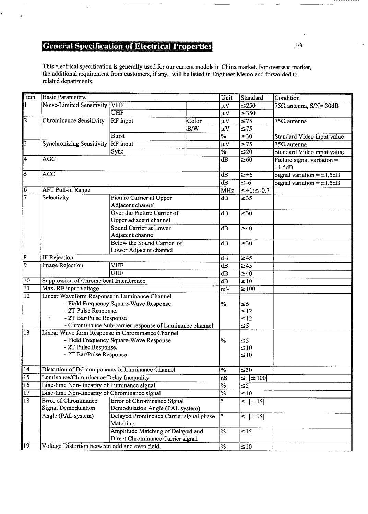## **General Specification of Electrical Properties**

This electrical specification is generally used for our current models in China market. For overseas market, the additional requirement from customers, if any, will be listed in Engineer Memo and forwarded to related departments.

| <b>I</b> tem    | <b>Basic Parameters</b>                          |                                                         |                  | Unit                     | Standard             | Condition                                 |
|-----------------|--------------------------------------------------|---------------------------------------------------------|------------------|--------------------------|----------------------|-------------------------------------------|
| $\sqrt{1}$      | Noise-Limited Sensitivity                        | <b>VHF</b>                                              |                  | μV                       | $\leq 250$           | $75\Omega$ antenna, S/N= 30dB             |
|                 |                                                  | <b>UHF</b>                                              |                  | $\mu V$                  | $\leq 350$           |                                           |
| $\overline{2}$  | <b>Chrominance Sensitivity</b>                   | <b>RF</b> input                                         | Color            | μV                       | $\overline{\leq}75$  | $\sqrt{75\Omega}$ antenna                 |
|                 |                                                  |                                                         | $\overline{B/W}$ | $\mu V$                  | $\overline{\leq 75}$ |                                           |
|                 |                                                  | <b>Burst</b>                                            |                  | $\overline{\%}$          | $\overline{\leq}30$  | Standard Video input value                |
| $\overline{3}$  | <b>Synchronizing Sensitivity RF input</b>        |                                                         |                  | $\overline{\mu V}$       | $\overline{\leq 75}$ | $\sqrt{75\Omega}$ antenna                 |
|                 |                                                  | Sync                                                    |                  | $\overline{\frac{9}{6}}$ | $\leq 20$            | Standard Video input value                |
| $\overline{4}$  | <b>AGC</b>                                       |                                                         |                  | $\overline{dB}$          | $\geq 60$            | Picture signal variation $=$              |
| $\overline{5}$  | $\overline{ACC}$                                 |                                                         |                  | dB                       | $\geq +6$            | ±1.5dB<br>Signal variation = $\pm 1.5$ dB |
|                 |                                                  |                                                         |                  | dB                       | $\overline{\leq -6}$ | Signal variation = $\pm 1.5$ dB           |
| $\overline{6}$  | <b>AFT Pull-in Range</b>                         |                                                         |                  | <b>MHz</b>               | $\leq +1; \leq -0.7$ |                                           |
| 7               | Selectivity                                      | Picture Carrier at Upper                                |                  | dB                       | $\geq$ 35            |                                           |
|                 |                                                  | Adjacent channel                                        |                  |                          |                      |                                           |
|                 |                                                  | Over the Picture Carrier of                             |                  | $\overline{dB}$          | $\overline{\geq}30$  |                                           |
|                 |                                                  | Upper adjacent channel                                  |                  |                          |                      |                                           |
|                 |                                                  | Sound Carrier at Lower                                  |                  | dB                       | $\geq 40$            |                                           |
|                 |                                                  | Adjacent channel                                        |                  |                          |                      |                                           |
|                 |                                                  | Below the Sound Carrier of                              |                  | dB                       | $\overline{\geq}30$  |                                           |
|                 |                                                  | Lower Adjacent channel                                  |                  |                          |                      |                                           |
| ୫               | IF Rejection                                     |                                                         |                  | dB                       | $\geq 45$            |                                           |
| ञ               | <b>Image Rejection</b>                           | VHF                                                     |                  | dB                       | $\geq 45$            |                                           |
|                 |                                                  | <b>UHF</b>                                              |                  | dB                       | $\geq 40$            |                                           |
| $\sqrt{10}$     | Suppression of Chrome beat Interference          |                                                         |                  | dB                       | $\geq 10$            |                                           |
| $\sqrt{11}$     | Max. RF input voltage                            |                                                         |                  | mV                       | $\geq$ 100           |                                           |
| $\overline{12}$ | Linear Waveform Response in Luminance Channel    |                                                         |                  |                          |                      |                                           |
|                 |                                                  | - Field Frequency Square-Wave Response                  |                  | %                        | $\leq 5$             |                                           |
|                 | - 2T Pulse Response.                             |                                                         |                  |                          | $\leq 12$            |                                           |
|                 | - 2T Bar/Pulse Response                          |                                                         |                  |                          | $\leq 12$            |                                           |
|                 |                                                  | - Chrominance Sub-carrier response of Luminance channel |                  |                          | $\leq 5$             |                                           |
| $\sqrt{13}$     |                                                  | Linear Wave form Response in Chrominance Channel        |                  |                          |                      |                                           |
|                 |                                                  | - Field Frequency Square-Wave Response                  |                  | $\%$                     | $\leq 5$             |                                           |
|                 | - 2T Pulse Response.                             |                                                         |                  |                          | $\leq 10$            |                                           |
|                 | - 2T Bar/Pulse Response                          |                                                         |                  |                          | $\leq 10$            |                                           |
| 14              | Distortion of DC components in Luminance Channel |                                                         |                  | %                        | $\overline{\leq}30$  |                                           |
| $\overline{15}$ | Luminance/Chrominance Delay Inequality           |                                                         |                  | nS                       | $\leq$   $\pm$ 100   |                                           |
| 16              | Line-time Non-linearity of Luminance signal      |                                                         |                  | $\overline{\frac{9}{6}}$ | $\overline{\leq 5}$  |                                           |
| $\overline{17}$ | Line-time Non-linearity of Chrominance signal    |                                                         |                  | $\overline{\%}$          | $\leq 10$            |                                           |
| $\overline{18}$ | <b>Error of Chrominance</b>                      | <b>Error of Chrominance Signal</b>                      |                  | ं                        | $\leq$   $\pm$ 15    |                                           |
|                 | Signal Demodulation                              | Demodulation Angle (PAL system)                         |                  |                          |                      |                                           |
|                 | Angle (PAL system)                               | Delayed Prominence Carrier signal phase                 |                  | ٥                        | $\leq$   $\pm$ 15    |                                           |
|                 |                                                  | Matching                                                |                  |                          |                      |                                           |
|                 |                                                  | Amplitude Matching of Delayed and                       |                  | $\overline{\frac{9}{6}}$ | $\leq 15$            |                                           |
|                 |                                                  | Direct Chrominance Carrier signal                       |                  |                          |                      |                                           |
| $ 19\rangle$    | Voltage Distortion between odd and even field.   |                                                         |                  | $\sqrt{6}$               | $\leq 10$            |                                           |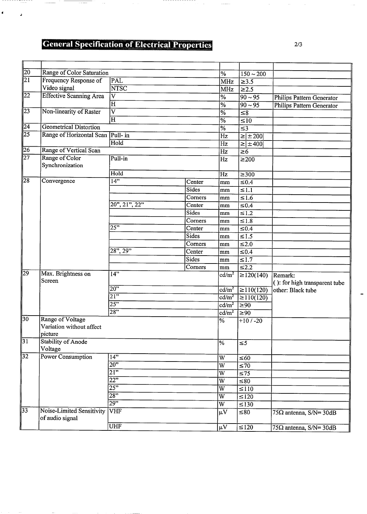## **General Specification of Electrical Properties**

 $\mathbb{R}^2$ 

---------------

ł,

 $\ldots$  . . . . . .

 $\sim$ 

\_\_\_\_\_\_\_\_**\_**\_\_\_\_

 $\overline{a}$ 

 $\blacksquare$ 

 $\overline{\phantom{a}}$ 

| Frequency Response of          | PAL                                                                                                                                                              |                                                                                                                                                                                                                                                 |                            |                                                                                                                                                                                                                                                                                                                   |                                                                                                                                                                                                                                                                                                                                                                                                                                                 |
|--------------------------------|------------------------------------------------------------------------------------------------------------------------------------------------------------------|-------------------------------------------------------------------------------------------------------------------------------------------------------------------------------------------------------------------------------------------------|----------------------------|-------------------------------------------------------------------------------------------------------------------------------------------------------------------------------------------------------------------------------------------------------------------------------------------------------------------|-------------------------------------------------------------------------------------------------------------------------------------------------------------------------------------------------------------------------------------------------------------------------------------------------------------------------------------------------------------------------------------------------------------------------------------------------|
| Video signal                   | <b>NTSC</b>                                                                                                                                                      |                                                                                                                                                                                                                                                 |                            |                                                                                                                                                                                                                                                                                                                   |                                                                                                                                                                                                                                                                                                                                                                                                                                                 |
| <b>Effective Scanning Area</b> | $\overline{\text{V}}$                                                                                                                                            |                                                                                                                                                                                                                                                 |                            |                                                                                                                                                                                                                                                                                                                   | Philips Pattern Generator                                                                                                                                                                                                                                                                                                                                                                                                                       |
|                                | $\overline{\mathrm{H}}$                                                                                                                                          |                                                                                                                                                                                                                                                 |                            |                                                                                                                                                                                                                                                                                                                   | <b>Philips Pattern Generator</b>                                                                                                                                                                                                                                                                                                                                                                                                                |
| Non-linearity of Raster        | $\overline{\text{v}}$                                                                                                                                            |                                                                                                                                                                                                                                                 |                            |                                                                                                                                                                                                                                                                                                                   |                                                                                                                                                                                                                                                                                                                                                                                                                                                 |
|                                | H                                                                                                                                                                |                                                                                                                                                                                                                                                 |                            |                                                                                                                                                                                                                                                                                                                   |                                                                                                                                                                                                                                                                                                                                                                                                                                                 |
| <b>Geometrical Distortion</b>  |                                                                                                                                                                  |                                                                                                                                                                                                                                                 |                            |                                                                                                                                                                                                                                                                                                                   |                                                                                                                                                                                                                                                                                                                                                                                                                                                 |
|                                |                                                                                                                                                                  |                                                                                                                                                                                                                                                 |                            |                                                                                                                                                                                                                                                                                                                   |                                                                                                                                                                                                                                                                                                                                                                                                                                                 |
|                                | Hold                                                                                                                                                             |                                                                                                                                                                                                                                                 |                            |                                                                                                                                                                                                                                                                                                                   |                                                                                                                                                                                                                                                                                                                                                                                                                                                 |
| Range of Vertical Scan         |                                                                                                                                                                  |                                                                                                                                                                                                                                                 | $\overline{Hz}$            | $\geq 6$                                                                                                                                                                                                                                                                                                          |                                                                                                                                                                                                                                                                                                                                                                                                                                                 |
| Range of Color                 | Pull-in                                                                                                                                                          |                                                                                                                                                                                                                                                 | $\overline{Hz}$            |                                                                                                                                                                                                                                                                                                                   |                                                                                                                                                                                                                                                                                                                                                                                                                                                 |
| Synchronization                |                                                                                                                                                                  |                                                                                                                                                                                                                                                 |                            |                                                                                                                                                                                                                                                                                                                   |                                                                                                                                                                                                                                                                                                                                                                                                                                                 |
|                                | Hold                                                                                                                                                             |                                                                                                                                                                                                                                                 | Hz                         | $\geq 300$                                                                                                                                                                                                                                                                                                        |                                                                                                                                                                                                                                                                                                                                                                                                                                                 |
| Convergence                    | 14"                                                                                                                                                              | $\overline{\text{Center}}$                                                                                                                                                                                                                      | mm                         | $\leq 0.4$                                                                                                                                                                                                                                                                                                        |                                                                                                                                                                                                                                                                                                                                                                                                                                                 |
|                                |                                                                                                                                                                  | Sides                                                                                                                                                                                                                                           | mm                         | $\leq 1.1$                                                                                                                                                                                                                                                                                                        |                                                                                                                                                                                                                                                                                                                                                                                                                                                 |
|                                |                                                                                                                                                                  | Corners                                                                                                                                                                                                                                         | mm                         | $\leq 1.6$                                                                                                                                                                                                                                                                                                        |                                                                                                                                                                                                                                                                                                                                                                                                                                                 |
|                                | 20", 21", 22"                                                                                                                                                    | Center                                                                                                                                                                                                                                          | mm                         |                                                                                                                                                                                                                                                                                                                   |                                                                                                                                                                                                                                                                                                                                                                                                                                                 |
|                                |                                                                                                                                                                  | Sides                                                                                                                                                                                                                                           | mm                         | $\leq 1.2$                                                                                                                                                                                                                                                                                                        |                                                                                                                                                                                                                                                                                                                                                                                                                                                 |
|                                |                                                                                                                                                                  |                                                                                                                                                                                                                                                 | mm                         | $\leq 1.8$                                                                                                                                                                                                                                                                                                        |                                                                                                                                                                                                                                                                                                                                                                                                                                                 |
|                                | 25"                                                                                                                                                              | Center                                                                                                                                                                                                                                          | mm                         |                                                                                                                                                                                                                                                                                                                   |                                                                                                                                                                                                                                                                                                                                                                                                                                                 |
|                                |                                                                                                                                                                  | Sides                                                                                                                                                                                                                                           | mm                         |                                                                                                                                                                                                                                                                                                                   |                                                                                                                                                                                                                                                                                                                                                                                                                                                 |
|                                |                                                                                                                                                                  |                                                                                                                                                                                                                                                 | mm                         |                                                                                                                                                                                                                                                                                                                   |                                                                                                                                                                                                                                                                                                                                                                                                                                                 |
|                                | 28", 29"                                                                                                                                                         | Center                                                                                                                                                                                                                                          |                            |                                                                                                                                                                                                                                                                                                                   |                                                                                                                                                                                                                                                                                                                                                                                                                                                 |
|                                |                                                                                                                                                                  | Sides                                                                                                                                                                                                                                           | mm                         | $\leq 1.7$                                                                                                                                                                                                                                                                                                        |                                                                                                                                                                                                                                                                                                                                                                                                                                                 |
|                                |                                                                                                                                                                  | Corners                                                                                                                                                                                                                                         | mm                         | $\leq 2.2$                                                                                                                                                                                                                                                                                                        |                                                                                                                                                                                                                                                                                                                                                                                                                                                 |
|                                | 14"                                                                                                                                                              |                                                                                                                                                                                                                                                 | cd/m <sup>2</sup>          |                                                                                                                                                                                                                                                                                                                   | Remark:                                                                                                                                                                                                                                                                                                                                                                                                                                         |
| Screen                         |                                                                                                                                                                  |                                                                                                                                                                                                                                                 |                            |                                                                                                                                                                                                                                                                                                                   | $( )$ : for high transparent tube                                                                                                                                                                                                                                                                                                                                                                                                               |
|                                |                                                                                                                                                                  |                                                                                                                                                                                                                                                 | $\text{cd/m}^2$            |                                                                                                                                                                                                                                                                                                                   | other: Black tube                                                                                                                                                                                                                                                                                                                                                                                                                               |
|                                |                                                                                                                                                                  |                                                                                                                                                                                                                                                 | cd/m <sup>2</sup>          | $\geq 110(120)$                                                                                                                                                                                                                                                                                                   |                                                                                                                                                                                                                                                                                                                                                                                                                                                 |
|                                |                                                                                                                                                                  |                                                                                                                                                                                                                                                 | $\overline{\text{cd/m}^2}$ | $\overline{\geq}90$                                                                                                                                                                                                                                                                                               |                                                                                                                                                                                                                                                                                                                                                                                                                                                 |
|                                |                                                                                                                                                                  |                                                                                                                                                                                                                                                 | $\text{cd/m}^2$            | $\overline{\geq}90$                                                                                                                                                                                                                                                                                               |                                                                                                                                                                                                                                                                                                                                                                                                                                                 |
|                                |                                                                                                                                                                  |                                                                                                                                                                                                                                                 | $\overline{\%}$            | $+10/ -20$                                                                                                                                                                                                                                                                                                        |                                                                                                                                                                                                                                                                                                                                                                                                                                                 |
|                                |                                                                                                                                                                  |                                                                                                                                                                                                                                                 |                            |                                                                                                                                                                                                                                                                                                                   |                                                                                                                                                                                                                                                                                                                                                                                                                                                 |
|                                |                                                                                                                                                                  |                                                                                                                                                                                                                                                 |                            |                                                                                                                                                                                                                                                                                                                   |                                                                                                                                                                                                                                                                                                                                                                                                                                                 |
|                                |                                                                                                                                                                  |                                                                                                                                                                                                                                                 |                            | $\leq 5$                                                                                                                                                                                                                                                                                                          |                                                                                                                                                                                                                                                                                                                                                                                                                                                 |
|                                |                                                                                                                                                                  |                                                                                                                                                                                                                                                 |                            |                                                                                                                                                                                                                                                                                                                   |                                                                                                                                                                                                                                                                                                                                                                                                                                                 |
|                                |                                                                                                                                                                  |                                                                                                                                                                                                                                                 |                            |                                                                                                                                                                                                                                                                                                                   |                                                                                                                                                                                                                                                                                                                                                                                                                                                 |
|                                |                                                                                                                                                                  |                                                                                                                                                                                                                                                 |                            |                                                                                                                                                                                                                                                                                                                   |                                                                                                                                                                                                                                                                                                                                                                                                                                                 |
|                                |                                                                                                                                                                  |                                                                                                                                                                                                                                                 |                            |                                                                                                                                                                                                                                                                                                                   |                                                                                                                                                                                                                                                                                                                                                                                                                                                 |
|                                |                                                                                                                                                                  |                                                                                                                                                                                                                                                 |                            |                                                                                                                                                                                                                                                                                                                   |                                                                                                                                                                                                                                                                                                                                                                                                                                                 |
|                                |                                                                                                                                                                  |                                                                                                                                                                                                                                                 |                            |                                                                                                                                                                                                                                                                                                                   |                                                                                                                                                                                                                                                                                                                                                                                                                                                 |
|                                |                                                                                                                                                                  |                                                                                                                                                                                                                                                 |                            |                                                                                                                                                                                                                                                                                                                   |                                                                                                                                                                                                                                                                                                                                                                                                                                                 |
|                                |                                                                                                                                                                  |                                                                                                                                                                                                                                                 |                            |                                                                                                                                                                                                                                                                                                                   |                                                                                                                                                                                                                                                                                                                                                                                                                                                 |
| of audio signal                |                                                                                                                                                                  |                                                                                                                                                                                                                                                 |                            |                                                                                                                                                                                                                                                                                                                   | $75\Omega$ antenna, S/N= 30dB                                                                                                                                                                                                                                                                                                                                                                                                                   |
|                                | <b>UHF</b>                                                                                                                                                       |                                                                                                                                                                                                                                                 | $\mu \overline{V}$         | $\leq 120$                                                                                                                                                                                                                                                                                                        | $75\Omega$ antenna, S/N= 30dB                                                                                                                                                                                                                                                                                                                                                                                                                   |
|                                | Max. Brightness on<br>Range of Voltage<br>Variation without affect<br>picture<br>Stability of Anode<br>Voltage<br>Power Consumption<br>Noise-Limited Sensitivity | Range of Color Saturation<br>Range of Horizontal Scan  Pull- in<br>$20$ "<br>$\overline{21}$<br>25"<br>$\overline{28"}$<br>14"<br>20"<br>$\overline{21}$<br>$\overline{22"}$<br>$\overline{25"}$<br>$\overline{28"}$<br>$\overline{29"}$<br>VHF | Corners<br>Corners         | %<br>MHz<br><b>MHz</b><br>$\overline{\%}$<br>$\overline{\%}$<br>$\overline{\%}$<br>$\overline{\%}$<br>$\frac{0}{6}$<br>Hz<br>Hz<br>mm<br>$\overline{\frac{9}{6}}$<br>$\overline{W}$<br>$\overline{W}$<br>$\overline{W}$<br>$\overline{W}$<br>$\overline{W}$<br>$\overline{W}$<br>$\overline{\text{w}}$<br>$\mu$ V | $150 - 200$<br>$\geq 3.5$<br>$\geq$ 2.5<br>$90 - 95$<br>$90 - 95$<br>$\overline{\leq}8$<br>$\overline{\leq 10}$<br>$\overline{\leq}3$<br>$\geq \mid \pm 200 \mid$<br>$\geq$ ±400<br>$\geq 200$<br>$\leq 0.4$<br>$\leq 0.4$<br>$\leq 1.5$<br>$\leq 2.0$<br>$\leq 0.4$<br>$\geq 120(140)$<br>$\geq 110(120)$<br>$\overline{\leq}60$<br>$\overline{\leq 70}$<br>$\overline{\leq}$ 75<br>$\leq 80$<br>$\leq 110$<br>$\leq 120$<br>$\leq$ 130<br>≤80 |

 $\bar{z}$ 

 $\overline{a}$ 

 $\blacksquare$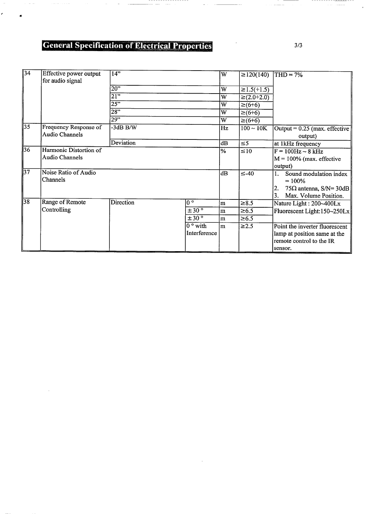## **General Specification of Electrical Properties**

 $\sim$ 

, , , , , ,

 $\mathbb{R}^2$ 

 $\sim$   $\sim$ 

 $\vec{r}$ 

| $\sqrt{34}$     | Effective power output<br>for audio signal | 14"              |                  | $\overline{\text{W}}$ | $\geq$ 120(140)  | $THD = 7%$                                 |
|-----------------|--------------------------------------------|------------------|------------------|-----------------------|------------------|--------------------------------------------|
|                 |                                            | $\overline{20"}$ |                  | $\overline{W}$        | $\geq$ 1.5(+1.5) |                                            |
|                 |                                            | $\overline{21"}$ |                  | W                     | $≥(2.0+2.0)$     |                                            |
|                 |                                            | 25"              |                  | W                     | $≥(6+6)$         |                                            |
|                 |                                            | $\overline{28"}$ |                  | W                     | $≥(6+6)$         |                                            |
|                 |                                            | 29"              |                  | W                     | $\geq (6+6)$     |                                            |
| 35              | Frequency Response of<br>Audio Channels    | $-3dB$ B/W       |                  | Hz                    | $100 \sim 10K$   | Output = $0.25$ (max. effective<br>output) |
|                 |                                            | <b>Deviation</b> |                  | dB                    | $\leq$ 5         | at 1kHz frequency                          |
| $\overline{36}$ | Harmonic Distortion of                     |                  |                  | %                     | $\leq 10$        | $F = 100 Hz \sim 8 kHz$                    |
|                 | <b>Audio Channels</b>                      |                  |                  |                       |                  | $M = 100\%$ (max. effective                |
|                 |                                            |                  |                  |                       |                  | output)                                    |
| 137             | Noise Ratio of Audio<br>Channels           |                  |                  | dB                    | $\leq -40$       | Sound modulation index                     |
|                 |                                            |                  |                  |                       |                  | $= 100\%$                                  |
|                 |                                            |                  |                  |                       |                  | $75\Omega$ antenna, S/N= 30dB<br>2.        |
| 38              |                                            |                  |                  |                       |                  | Max. Volume Position.                      |
|                 | Range of Remote                            | Direction        | $0^{\circ}$      | lm.                   | $\geq 8.5$       | Nature Light: 200~400Lx                    |
|                 | Controlling                                |                  | $\pm 30^{\circ}$ | m                     | $\geq 6.5$       | Fluorescent Light:150~250Lx                |
|                 |                                            |                  | ±30°             | m                     | $\geq 6.5$       |                                            |
|                 |                                            |                  | $0°$ with        | m                     | $\geq$ 2.5       | Point the inverter fluorescent             |
|                 |                                            |                  | Interference     |                       |                  | lamp at position same at the               |
|                 |                                            |                  |                  |                       |                  | remote control to the IR                   |
|                 |                                            |                  |                  |                       |                  | sensor.                                    |

-----------

 $\sim$   $\sim$   $\sim$ 

 $\cdots$ 

 $3/3$ 

 $-$ 

 $\bar{z}$  ,  $\bar{z}$  ,  $\bar{z}$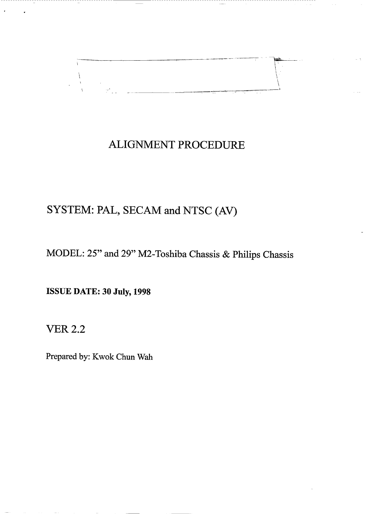

## **ALIGNMENT PROCEDURE**

## SYSTEM: PAL, SECAM and NTSC (AV)

MODEL: 25" and 29" M2-Toshiba Chassis & Philips Chassis

**ISSUE DATE: 30 July, 1998** 

-------------------------------

**VER 2.2** 

Prepared by: Kwok Chun Wah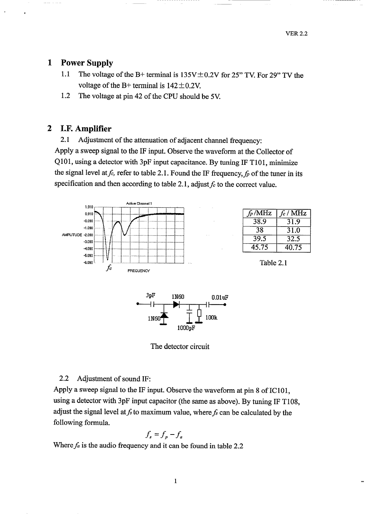## $\mathbf{1}$ **Power Supply**

- $1.1$ The voltage of the B+ terminal is  $135V \pm 0.2V$  for 25" TV. For 29" TV the voltage of the B+ terminal is  $142 \pm 0.2$ V.
- 1.2 The voltage at pin 42 of the CPU should be 5V.

### $\boldsymbol{2}$ I.F. Amplifier

Adjustment of the attenuation of adjacent channel frequency: 2.1 Apply a sweep signal to the IF input. Observe the waveform at the Collector of Q101, using a detector with 3pF input capacitance. By tuning IF T101, minimize the signal level at  $f_c$ , refer to table 2.1. Found the IF frequency,  $f_p$  of the tuner in its specification and then according to table 2.1, adjust  $f_c$  to the correct value.



| $f_p$ /MHz | $f_c$ / MHz |
|------------|-------------|
| 38.9       | 31.9        |
| 38         | 31.0        |
| 39.5       | 32.5        |
| 45.75      | 40.75       |

Table 2.1



The detector circuit

### $2.2$ Adjustment of sound IF:

Apply a sweep signal to the IF input. Observe the waveform at pin 8 of IC101, using a detector with 3pF input capacitor (the same as above). By tuning IF T108, adjust the signal level at  $f_s$  to maximum value, where  $f_s$  can be calculated by the following formula.

$$
f_s = f_p - f_a
$$

Where  $f_a$  is the audio frequency and it can be found in table 2.2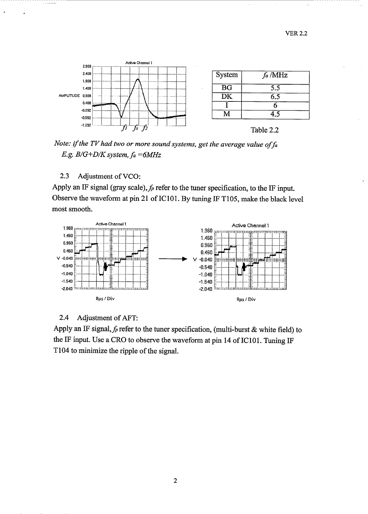

Note: if the TV had two or more sound systems, get the average value of fa E.g.  $B/G+D/K$  system,  $fa = 6MHz$ 

## $2.3$ Adjustment of VCO:

Apply an IF signal (gray scale),  $f_p$  refer to the tuner specification, to the IF input. Observe the waveform at pin 21 of IC101. By tuning IF T105, make the black level most smooth.



#### $2.4$ Adjustment of AFT:

Apply an IF signal,  $f_p$  refer to the tuner specification, (multi-burst & white field) to the IF input. Use a CRO to observe the waveform at pin 14 of IC101. Tuning IF T104 to minimize the ripple of the signal.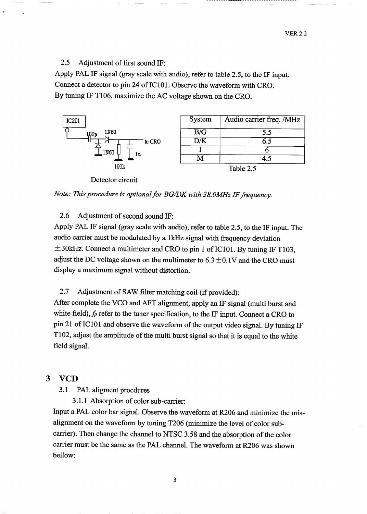**VER 2.2** 

 $2.5$ Adjustment of first sound IF:

Apply PAL IF signal (gray scale with audio), refer to table 2.5, to the IF input. Connect a detector to pin 24 of IC101. Observe the waveform with CRO. By tuning IF T106, maximize the AC voltage shown on the CRO.



Detector circuit



#### 2.6 Adjustment of second sound IF:

Apply PAL IF signal (gray scale with audio), refer to table 2.5, to the IF input. The audio carrier must be modulated by a 1kHz signal with frequency deviation  $\pm$ 30kHz. Connect a multimeter and CRO to pin 1 of IC101. By tuning IF T103, adjust the DC voltage shown on the multimeter to  $6.3 \pm 0.1$ V and the CRO must display a maximum signal without distortion.

Adjustment of SAW filter matching coil (if provided): 2.7

After complete the VCO and AFT alignment, apply an IF signal (multi burst and white field),  $f_p$  refer to the tuner specification, to the IF input. Connect a CRO to pin 21 of IC101 and observe the waveform of the output video signal. By tuning IF T102, adjust the amplitude of the multi burst signal so that it is equal to the white field signal.

### 3 **VCD**

 $3.1$ PAL aligment procdures

3.1.1 Absorption of color sub-carrier:

Input a PAL color bar signal. Observe the waveform at R206 and minimize the misalignment on the waveform by tuning T206 (minimize the level of color subcarrier). Then change the channel to NTSC 3.58 and the absorption of the color carrier must be the same as the PAL channel. The waveform at R206 was shown bellow:

 $\overline{\mathbf{3}}$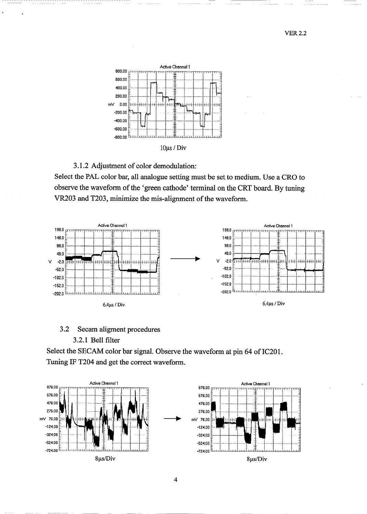

3.1.2 Adjustment of color demodulation:

Select the PAL color bar, all analogue setting must be set to medium. Use a CRO to observe the waveform of the 'green cathode' terminal on the CRT board. By tuning VR203 and T203, minimize the mis-alignment of the waveform.



## $3.2$ Secam aligment procedures

## 3.2.1 Bell filter

Select the SECAM color bar signal. Observe the waveform at pin 64 of IC201. Tuning IF T204 and get the correct waveform.

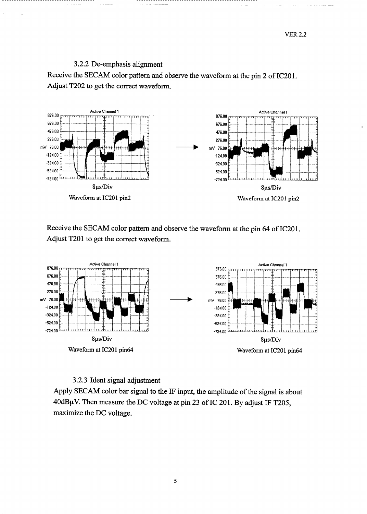**VER 2.2** 

## 3.2.2 De-emphasis alignment

Receive the SECAM color pattern and observe the waveform at the pin 2 of IC201. Adjust T202 to get the correct waveform.



Receive the SECAM color pattern and observe the waveform at the pin 64 of IC201. Adjust T201 to get the correct waveform.



## 3.2.3 Ident signal adjustment

Apply SECAM color bar signal to the IF input, the amplitude of the signal is about 40dBµV. Then measure the DC voltage at pin 23 of IC 201. By adjust IF T205, maximize the DC voltage.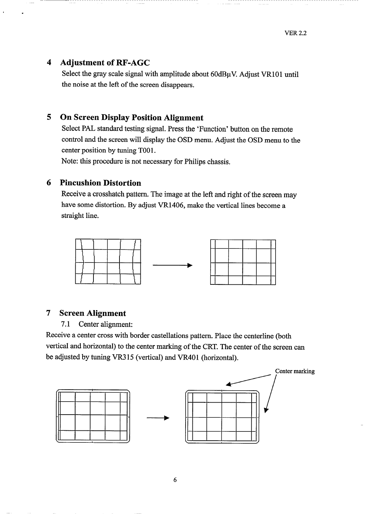## $\overline{\mathbf{4}}$ **Adjustment of RF-AGC**

Select the gray scale signal with amplitude about  $60d$ B $\mu$ V. Adjust VR101 until the noise at the left of the screen disappears.

## **On Screen Display Position Alignment** 5

Select PAL standard testing signal. Press the 'Function' button on the remote control and the screen will display the OSD menu. Adjust the OSD menu to the center position by tuning T001.

Note: this procedure is not necessary for Philips chassis.

## 6 **Pincushion Distortion**

Receive a crosshatch pattern. The image at the left and right of the screen may have some distortion. By adjust VR1406, make the vertical lines become a straight line.



## **Screen Alignment**  $\overline{7}$

Center alignment:  $7.1$ 

Receive a center cross with border castellations pattern. Place the centerline (both vertical and horizontal) to the center marking of the CRT. The center of the screen can be adjusted by tuning VR315 (vertical) and VR401 (horizontal).

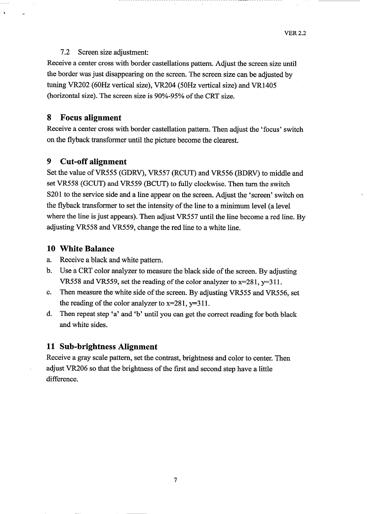### $7.2$ Screen size adjustment:

Receive a center cross with border castellations pattern. Adjust the screen size until the border was just disappearing on the screen. The screen size can be adjusted by tuning VR202 (60Hz vertical size), VR204 (50Hz vertical size) and VR1405 (horizontal size). The screen size is 90%-95% of the CRT size.

### 8 **Focus alignment**

Receive a center cross with border castellation pattern. Then adjust the 'focus' switch on the flyback transformer until the picture become the clearest.

#### 9 **Cut-off alignment**

Set the value of VR555 (GDRV), VR557 (RCUT) and VR556 (BDRV) to middle and set VR558 (GCUT) and VR559 (BCUT) to fully clockwise. Then turn the switch S201 to the service side and a line appear on the screen. Adjust the 'screen' switch on the flyback transformer to set the intensity of the line to a minimum level (a level where the line is just appears). Then adjust VR557 until the line become a red line. By adjusting VR558 and VR559, change the red line to a white line.

## 10 White Balance

- Receive a black and white pattern. a.
- Use a CRT color analyzer to measure the black side of the screen. By adjusting b. VR558 and VR559, set the reading of the color analyzer to x=281, y=311.
- Then measure the white side of the screen. By adjusting VR555 and VR556, set c. the reading of the color analyzer to  $x=281$ ,  $y=311$ .
- Then repeat step 'a' and 'b' until you can get the correct reading for both black d. and white sides.

## 11 Sub-brightness Alignment

Receive a gray scale pattern, set the contrast, brightness and color to center. Then adjust VR206 so that the brightness of the first and second step have a little difference.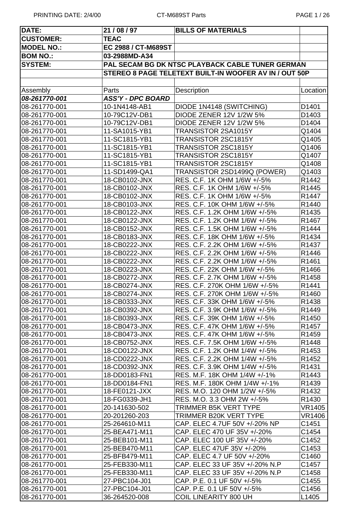| DATE:             | 21 / 08 / 97             | <b>BILLS OF MATERIALS</b>                              |                   |
|-------------------|--------------------------|--------------------------------------------------------|-------------------|
| <b>CUSTOMER:</b>  | <b>TEAC</b>              |                                                        |                   |
| <b>MODEL NO.:</b> | EC 2988 / CT-M689ST      |                                                        |                   |
| <b>BOM NO.:</b>   | 03-2988MD-A34            |                                                        |                   |
| <b>SYSTEM:</b>    |                          | PAL SECAM BG DK NTSC PLAYBACK CABLE TUNER GERMAN       |                   |
|                   |                          | STEREO 8 PAGE TELETEXT BUILT-IN WOOFER AV IN / OUT 50P |                   |
|                   |                          |                                                        |                   |
| Assembly          | Parts                    | Description                                            | Location          |
| 08-261770-001     | <b>ASS'Y - DPC BOARD</b> |                                                        |                   |
| 08-261770-001     | 10-1N4148-AB1            | DIODE 1N4148 (SWITCHING)                               | D1401             |
| 08-261770-001     | 10-79C12V-DB1            | <b>DIODE ZENER 12V 1/2W 5%</b>                         | D1403             |
| 08-261770-001     | 10-79C12V-DB1            | DIODE ZENER 12V 1/2W 5%                                | D1404             |
| 08-261770-001     | 11-SA1015-YB1            | TRANSISTOR 2SA1015Y                                    | Q1404             |
| 08-261770-001     | 11-SC1815-YB1            | TRANSISTOR 2SC1815Y                                    | Q1405             |
| 08-261770-001     | 11-SC1815-YB1            | TRANSISTOR 2SC1815Y                                    | Q1406             |
| 08-261770-001     | 11-SC1815-YB1            | TRANSISTOR 2SC1815Y                                    | Q1407             |
| 08-261770-001     | 11-SC1815-YB1            | TRANSISTOR 2SC1815Y                                    | Q1408             |
| 08-261770-001     | 11-SD1499-QA1            | TRANSISTOR 2SD1499Q (POWER)                            | Q1403             |
| 08-261770-001     | 18-CB0102-JNX            | RES. C.F. 1K OHM 1/6W +/-5%                            | R1442             |
| 08-261770-001     | 18-CB0102-JNX            | RES. C.F. 1K OHM 1/6W +/-5%                            | R1445             |
| 08-261770-001     | 18-CB0102-JNX            | RES. C.F. 1K OHM 1/6W +/-5%                            | R1447             |
| 08-261770-001     | 18-CB0103-JNX            | RES. C.F. 10K OHM 1/6W +/-5%                           | R1440             |
| 08-261770-001     | 18-CB0122-JNX            | RES. C.F. 1.2K OHM 1/6W +/-5%                          | R1435             |
| 08-261770-001     | 18-CB0122-JNX            | RES. C.F. 1.2K OHM 1/6W +/-5%                          | R1467             |
| 08-261770-001     | 18-CB0152-JNX            | RES. C.F. 1.5K OHM 1/6W +/-5%                          | R1444             |
| 08-261770-001     | 18-CB0183-JNX            | RES. C.F. 18K OHM 1/6W +/-5%                           | R1434             |
| 08-261770-001     | 18-CB0222-JNX            | RES. C.F. 2.2K OHM 1/6W +/-5%                          | R1437             |
| 08-261770-001     | 18-CB0222-JNX            | RES. C.F. 2.2K OHM 1/6W +/-5%                          | R1446             |
| 08-261770-001     | 18-CB0222-JNX            | RES. C.F. 2.2K OHM 1/6W +/-5%                          | R1461             |
| 08-261770-001     | 18-CB0223-JNX            | RES. C.F. 22K OHM 1/6W +/-5%                           | R1466             |
| 08-261770-001     | 18-CB0272-JNX            | RES. C.F. 2.7K OHM 1/6W +/-5%                          | R1458             |
| 08-261770-001     | 18-CB0274-JNX            | RES. C.F. 270K OHM 1/6W +/-5%                          | R1441             |
| 08-261770-001     | 18-CB0274-JNX            | RES. C.F. 270K OHM 1/6W +/-5%                          | R1460             |
| 08-261770-001     | 18-CB0333-JNX            | RES. C.F. 33K OHM 1/6W +/-5%                           | R <sub>1438</sub> |
| 08-261770-001     | 18-CB0392-JNX            | RES. C.F. 3.9K OHM 1/6W +/-5%                          | R1449             |
| 08-261770-001     | 18-CB0393-JNX            | RES. C.F. 39K OHM 1/6W +/-5%                           | R <sub>1450</sub> |
| 08-261770-001     | 18-CB0473-JNX            | RES. C.F. 47K OHM 1/6W +/-5%                           | R <sub>1457</sub> |
| 08-261770-001     | 18-CB0473-JNX            | RES. C.F. 47K OHM 1/6W +/-5%                           | R1459             |
| 08-261770-001     | 18-CB0752-JNX            | RES. C.F. 7.5K OHM 1/6W +/-5%                          | R1448             |
| 08-261770-001     | 18-CD0122-JNX            | RES. C.F. 1.2K OHM 1/4W +/-5%                          | R1453             |
| 08-261770-001     | 18-CD0222-JNX            | RES. C.F. 2.2K OHM 1/4W +/-5%                          | R <sub>1452</sub> |
| 08-261770-001     | 18-CD0392-JNX            | RES. C.F. 3.9K OHM 1/4W +/-5%                          | R1431             |
| 08-261770-001     | 18-DD0183-FN1            | RES. M.F. 18K OHM 1/4W +/-1%                           | R1443             |
| 08-261770-001     | 18-DD0184-FN1            | RES. M.F. 180K OHM 1/4W +/-1%                          | R <sub>1439</sub> |
| 08-261770-001     | 18-FE0121-JXX            | RES. M.O. 120 OHM 1/2W +/-5%                           | R1432             |
| 08-261770-001     | 18-FG0339-JH1            | RES. M.O. 3.3 OHM 2W +/-5%                             | R1430             |
| 08-261770-001     | 20-141630-502            | TRIMMER B5K VERT TYPE                                  | <b>VR1405</b>     |
| 08-261770-001     | 20-201260-203            | TRIMMER B20K VERT TYPE                                 | VR1406            |
| 08-261770-001     | 25-264610-M11            | CAP. ELEC 4.7UF 50V +/-20% NP                          | C1451             |
| 08-261770-001     | 25-BEA471-M11            | CAP. ELEC 470 UF 35V +/-20%                            | C1454             |
| 08-261770-001     | 25-BEB101-M11            | CAP. ELEC 100 UF 35V +/-20%                            | C1452             |
| 08-261770-001     | 25-BEB470-M11            | CAP. ELEC 47UF 35V +/-20%                              | C1453             |
| 08-261770-001     | 25-BFB479-M11            | CAP. ELEC 4.7 UF 50V +/-20%                            | C1460             |
| 08-261770-001     | 25-FEB330-M11            | CAP. ELEC 33 UF 35V +/-20% N.P                         | C1457             |
| 08-261770-001     | 25-FEB330-M11            | CAP. ELEC 33 UF 35V +/-20% N.P                         | C1458             |
| 08-261770-001     | 27-PBC104-J01            | CAP. P.E. 0.1 UF 50V +/-5%                             | C1455             |
| 08-261770-001     | 27-PBC104-J01            | CAP. P.E. 0.1 UF 50V +/-5%                             | C1456             |
| 08-261770-001     | 36-264520-008            | <b>COIL LINEARITY 800 UH</b>                           | L1405             |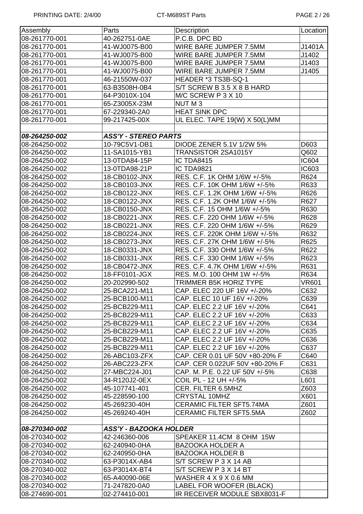PRINTING DATE: 2/4/00 CT-M689ST Parts CT-M689ST Parts PAGE 2 / 26

| Assembly      | Parts                         | Description                     | Location     |
|---------------|-------------------------------|---------------------------------|--------------|
| 08-261770-001 | 40-262751-0AE                 | P.C.B. DPC BD                   |              |
| 08-261770-001 | 41-WJ0075-B00                 | WIRE BARE JUMPER 7.5MM          | J1401A       |
| 08-261770-001 | 41-WJ0075-B00                 | WIRE BARE JUMPER 7.5MM          | J1402        |
| 08-261770-001 | 41-WJ0075-B00                 | WIRE BARE JUMPER 7.5MM          | J1403        |
| 08-261770-001 | 41-WJ0075-B00                 | WIRE BARE JUMPER 7.5MM          | J1405        |
| 08-261770-001 | 46-21550W-037                 | HEADER *3 TS3B-SQ-1             |              |
| 08-261770-001 | 63-B3508H-0B4                 | S/T SCREW B 3.5 X 8 B HARD      |              |
| 08-261770-001 | 64-P3010X-104                 | M/C SCREW P 3 X 10              |              |
| 08-261770-001 | 65-Z3005X-23M                 | NUT <sub>M3</sub>               |              |
| 08-261770-001 | 67-229340-2A0                 | <b>HEAT SINK DPC</b>            |              |
| 08-261770-001 | 99-217425-00X                 | UL ELEC. TAPE 19(W) X 50(L)MM   |              |
|               |                               |                                 |              |
| 08-264250-002 | <b>ASS'Y - STEREO PARTS</b>   |                                 |              |
| 08-264250-002 | 10-79C5V1-DB1                 | DIODE ZENER 5.1V 1/2W 5%        | D603         |
| 08-264250-002 | 11-SA1015-YB1                 | TRANSISTOR 2SA1015Y             | Q602         |
| 08-264250-002 | 13-0TDA84-15P                 | IC TDA8415                      | <b>IC604</b> |
| 08-264250-002 | 13-0TDA98-21P                 | IC TDA9821                      | IC603        |
| 08-264250-002 | 18-CB0102-JNX                 | RES. C.F. 1K OHM 1/6W +/-5%     | R624         |
| 08-264250-002 | 18-CB0103-JNX                 | RES. C.F. 10K OHM 1/6W +/-5%    | R633         |
| 08-264250-002 | 18-CB0122-JNX                 | RES. C.F. 1.2K OHM 1/6W +/-5%   | R626         |
| 08-264250-002 | 18-CB0122-JNX                 | RES. C.F. 1.2K OHM 1/6W +/-5%   | R627         |
| 08-264250-002 | 18-CB0150-JNX                 | RES. C.F. 15 OHM 1/6W +/-5%     | R630         |
| 08-264250-002 | 18-CB0221-JNX                 | RES. C.F. 220 OHM 1/6W +/-5%    | R628         |
| 08-264250-002 | 18-CB0221-JNX                 | RES. C.F. 220 OHM 1/6W +/-5%    | R629         |
| 08-264250-002 | 18-CB0224-JNX                 | RES. C.F. 220K OHM 1/6W +/-5%   | R632         |
| 08-264250-002 | 18-CB0273-JNX                 | RES. C.F. 27K OHM 1/6W +/-5%    | R625         |
| 08-264250-002 | 18-CB0331-JNX                 | RES. C.F. 330 OHM 1/6W +/-5%    | R622         |
| 08-264250-002 | 18-CB0331-JNX                 | RES. C.F. 330 OHM 1/6W +/-5%    | R623         |
| 08-264250-002 | 18-CB0472-JNX                 | RES. C.F. 4.7K OHM 1/6W +/-5%   | R631         |
| 08-264250-002 | 18-FF0101-JGX                 | RES. M.O. 100 OHM 1W +/-5%      | R634         |
| 08-264250-002 | 20-202990-502                 | <b>TRIMMER B5K HORIZ TYPE</b>   | <b>VR601</b> |
| 08-264250-002 | 25-BCA221-M11                 | CAP. ELEC 220 UF 16V +/-20%     | C632         |
| 08-264250-002 | 25-BCB100-M11                 | CAP. ELEC 10 UF 16V +/-20%      | C639         |
| 08-264250-002 | 25-BCB229-M11                 | CAP. ELEC 2.2 UF 16V +/-20%     | C641         |
| 08-264250-002 | 25-BCB229-M11                 | CAP. ELEC 2.2 UF 16V +/-20%     | C633         |
| 08-264250-002 | 25-BCB229-M11                 | CAP. ELEC 2.2 UF 16V +/-20%     | C634         |
| 08-264250-002 | 25-BCB229-M11                 | CAP. ELEC 2.2 UF 16V +/-20%     | C635         |
| 08-264250-002 | 25-BCB229-M11                 | CAP. ELEC 2.2 UF 16V +/-20%     | C636         |
| 08-264250-002 | 25-BCB229-M11                 | CAP. ELEC 2.2 UF 16V +/-20%     | C637         |
| 08-264250-002 | 26-ABC103-ZFX                 | CAP. CER 0.01 UF 50V +80-20% F  | C640         |
| 08-264250-002 | 26-ABC223-ZFX                 | CAP. CER 0.022UF 50V +80-20% F  | C631         |
| 08-264250-002 | 27-MBC224-J01                 | CAP. M. P.E. 0.22 UF 50V +/-5%  | C638         |
| 08-264250-002 | 34-R120J2-0EX                 | COIL PL - 12 UH +/-5%           | L601         |
| 08-264250-002 | 45-107741-401                 | CER. FILTER 6.5MHZ              | Z603         |
| 08-264250-002 | 45-228590-100                 | <b>CRYSTAL 10MHZ</b>            | X601         |
| 08-264250-002 | 45-269230-40H                 | <b>CERAMIC FILTER SFT5.74MA</b> | Z601         |
| 08-264250-002 | 45-269240-40H                 | <b>CERAMIC FILTER SFT5.5MA</b>  | Z602         |
|               |                               |                                 |              |
| 08-270340-002 | <b>ASS'Y - BAZOOKA HOLDER</b> |                                 |              |
| 08-270340-002 | 42-246360-006                 | SPEAKER 11.4CM 8 OHM 15W        |              |
| 08-270340-002 | 62-240940-0HA                 | <b>BAZOOKA HOLDER A</b>         |              |
| 08-270340-002 | 62-240950-0HA                 | <b>BAZOOKA HOLDER B</b>         |              |
| 08-270340-002 | 63-P3014X-AB4                 | S/T SCREW P 3 X 14 AB           |              |
| 08-270340-002 | 63-P3014X-BT4                 | S/T SCREW P 3 X 14 BT           |              |
| 08-270340-002 | 65-A40090-06E                 | WASHER 4 X 9 X 0.6 MM           |              |
| 08-270340-002 | 71-247820-0A0                 | LABEL FOR WOOFER (BLACK)        |              |
| 08-274690-001 | 02-274410-001                 | IR RECEIVER MODULE SBX8031-F    |              |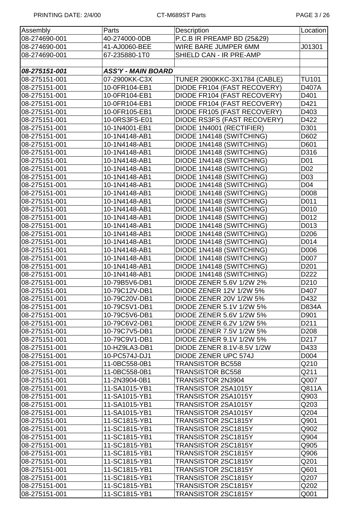| Assembly      | Parts                     | Description                         | Location         |
|---------------|---------------------------|-------------------------------------|------------------|
| 08-274690-001 | 40-274000-0DB             | P.C.B IR PREAMP BD (25&29)          |                  |
| 08-274690-001 | 41-AJ0060-BEE             | WIRE BARE JUMPER 6MM                | J01301           |
| 08-274690-001 | 67-235880-1T0             | SHIELD CAN - IR PRE-AMP             |                  |
|               |                           |                                     |                  |
| 08-275151-001 | <b>ASS'Y - MAIN BOARD</b> |                                     |                  |
| 08-275151-001 | 07-2900KK-C3X             | <b>TUNER 2900KKC-3X1784 (CABLE)</b> | <b>TU101</b>     |
| 08-275151-001 | 10-0FR104-EB1             | DIODE FR104 (FAST RECOVERY)         | D407A            |
| 08-275151-001 | 10-0FR104-EB1             | DIODE FR104 (FAST RECOVERY)         | D401             |
| 08-275151-001 | 10-0FR104-EB1             | DIODE FR104 (FAST RECOVERY)         | D421             |
| 08-275151-001 | 10-0FR105-EB1             | DIODE FR105 (FAST RECOVERY)         | D403             |
| 08-275151-001 | 10-0RS3FS-E01             | DIODE RS3FS (FAST RECOVERY)         | D422             |
| 08-275151-001 | 10-1N4001-EB1             | DIODE 1N4001 (RECTIFIER)            | D301             |
| 08-275151-001 | 10-1N4148-AB1             | DIODE 1N4148 (SWITCHING)            | D602             |
| 08-275151-001 | 10-1N4148-AB1             | DIODE 1N4148 (SWITCHING)            | D601             |
| 08-275151-001 | 10-1N4148-AB1             | DIODE 1N4148 (SWITCHING)            | D316             |
| 08-275151-001 | 10-1N4148-AB1             | DIODE 1N4148 (SWITCHING)            | D01              |
| 08-275151-001 | 10-1N4148-AB1             | DIODE 1N4148 (SWITCHING)            | D <sub>02</sub>  |
| 08-275151-001 | 10-1N4148-AB1             | DIODE 1N4148 (SWITCHING)            | D <sub>03</sub>  |
| 08-275151-001 | 10-1N4148-AB1             | DIODE 1N4148 (SWITCHING)            | D04              |
| 08-275151-001 | 10-1N4148-AB1             | DIODE 1N4148 (SWITCHING)            | D008             |
| 08-275151-001 | 10-1N4148-AB1             | DIODE 1N4148 (SWITCHING)            | D011             |
| 08-275151-001 | 10-1N4148-AB1             | DIODE 1N4148 (SWITCHING)            | D010             |
| 08-275151-001 | 10-1N4148-AB1             | DIODE 1N4148 (SWITCHING)            | D012             |
| 08-275151-001 | 10-1N4148-AB1             | DIODE 1N4148 (SWITCHING)            | D013             |
| 08-275151-001 | 10-1N4148-AB1             | DIODE 1N4148 (SWITCHING)            | D206             |
| 08-275151-001 | 10-1N4148-AB1             | DIODE 1N4148 (SWITCHING)            | D014             |
| 08-275151-001 | 10-1N4148-AB1             | DIODE 1N4148 (SWITCHING)            | D006             |
| 08-275151-001 | 10-1N4148-AB1             | DIODE 1N4148 (SWITCHING)            | D007             |
| 08-275151-001 | 10-1N4148-AB1             | DIODE 1N4148 (SWITCHING)            | D <sub>201</sub> |
| 08-275151-001 | 10-1N4148-AB1             | DIODE 1N4148 (SWITCHING)            | D222             |
| 08-275151-001 | 10-79B5V6-DB1             | <b>DIODE ZENER 5.6V 1/2W 2%</b>     | D210             |
| 08-275151-001 | 10-79C12V-DB1             | DIODE ZENER 12V 1/2W 5%             | D407             |
| 08-275151-001 | 10-79C20V-DB1             | DIODE ZENER 20V 1/2W 5%             | D432             |
| 08-275151-001 | 10-79C5V1-DB1             | DIODE ZENER 5.1V 1/2W 5%            | D834A            |
| 08-275151-001 | 10-79C5V6-DB1             | <b>DIODE ZENER 5.6V 1/2W 5%</b>     | D901             |
| 08-275151-001 | 10-79C6V2-DB1             | DIODE ZENER 6.2V 1/2W 5%            | D211             |
| 08-275151-001 | 10-79C7V5-DB1             | DIODE ZENER 7.5V 1/2W 5%            | D <sub>208</sub> |
| 08-275151-001 | 10-79C9V1-DB1             | DIODE ZENER 9.1V 1/2W 5%            | D217             |
| 08-275151-001 | 10-HZ9LA3-DB1             | DIODE ZENER 8.1V-8.5V 1/2W          | D433             |
| 08-275151-001 | 10-PC574J-DJ1             | DIODE ZENER UPC 574J                | D004             |
| 08-275151-001 | 11-0BC558-0B1             | <b>TRANSISTOR BC558</b>             | Q210             |
| 08-275151-001 | 11-0BC558-0B1             | <b>TRANSISTOR BC558</b>             | Q211             |
| 08-275151-001 | 11-2N3904-0B1             | TRANSISTOR 2N3904                   | Q007             |
| 08-275151-001 | 11-SA1015-YB1             | TRANSISTOR 2SA1015Y                 | Q811A            |
| 08-275151-001 | 11-SA1015-YB1             | TRANSISTOR 2SA1015Y                 | Q903             |
| 08-275151-001 | 11-SA1015-YB1             | TRANSISTOR 2SA1015Y                 | Q203             |
| 08-275151-001 | 11-SA1015-YB1             | TRANSISTOR 2SA1015Y                 | Q204             |
| 08-275151-001 | 11-SC1815-YB1             | TRANSISTOR 2SC1815Y                 | Q901             |
| 08-275151-001 | 11-SC1815-YB1             | TRANSISTOR 2SC1815Y                 | Q902             |
| 08-275151-001 | 11-SC1815-YB1             | TRANSISTOR 2SC1815Y                 | Q904             |
| 08-275151-001 | 11-SC1815-YB1             | TRANSISTOR 2SC1815Y                 | Q905             |
| 08-275151-001 | 11-SC1815-YB1             | TRANSISTOR 2SC1815Y                 | Q906             |
| 08-275151-001 | 11-SC1815-YB1             | TRANSISTOR 2SC1815Y                 | Q201             |
| 08-275151-001 | 11-SC1815-YB1             | TRANSISTOR 2SC1815Y                 | Q601             |
| 08-275151-001 | 11-SC1815-YB1             | TRANSISTOR 2SC1815Y                 | Q207             |
| 08-275151-001 | 11-SC1815-YB1             | TRANSISTOR 2SC1815Y                 | Q202             |
| 08-275151-001 | 11-SC1815-YB1             | TRANSISTOR 2SC1815Y                 | Q001             |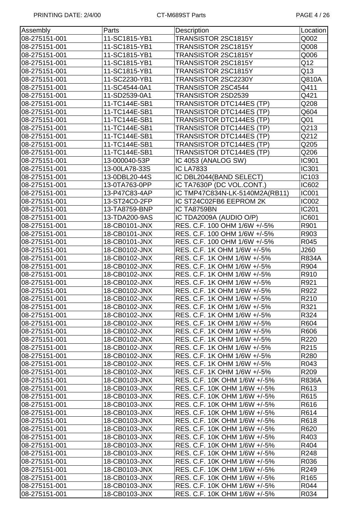| Assembly      | Parts         | Description                     | Location         |
|---------------|---------------|---------------------------------|------------------|
| 08-275151-001 | 11-SC1815-YB1 | TRANSISTOR 2SC1815Y             | Q002             |
| 08-275151-001 | 11-SC1815-YB1 | TRANSISTOR 2SC1815Y             | Q008             |
| 08-275151-001 | 11-SC1815-YB1 | TRANSISTOR 2SC1815Y             | Q006             |
| 08-275151-001 | 11-SC1815-YB1 | TRANSISTOR 2SC1815Y             | Q12              |
| 08-275151-001 | 11-SC1815-YB1 | TRANSISTOR 2SC1815Y             | Q13              |
| 08-275151-001 | 11-SC2230-YB1 | TRANSISTOR 2SC2230Y             | Q810A            |
| 08-275151-001 | 11-SC4544-0A1 | TRANSISTOR 2SC4544              | Q411             |
| 08-275151-001 | 11-SD2539-0A1 | TRANSISTOR 2SD2539              | Q421             |
| 08-275151-001 | 11-TC144E-SB1 | TRANSISTOR DTC144ES (TP)        | Q208             |
| 08-275151-001 | 11-TC144E-SB1 | <b>TRANSISTOR DTC144ES (TP)</b> | Q604             |
| 08-275151-001 | 11-TC144E-SB1 | <b>TRANSISTOR DTC144ES (TP)</b> | Q <sub>01</sub>  |
| 08-275151-001 | 11-TC144E-SB1 | <b>TRANSISTOR DTC144ES (TP)</b> | Q213             |
| 08-275151-001 | 11-TC144E-SB1 | <b>TRANSISTOR DTC144ES (TP)</b> | Q212             |
| 08-275151-001 | 11-TC144E-SB1 | <b>TRANSISTOR DTC144ES (TP)</b> | Q205             |
| 08-275151-001 | 11-TC144E-SB1 | <b>TRANSISTOR DTC144ES (TP)</b> | Q206             |
| 08-275151-001 | 13-000040-53P | IC 4053 (ANALOG SW)             | <b>IC901</b>     |
| 08-275151-001 | 13-00LA78-33S | <b>IC LA7833</b>                | IC301            |
| 08-275151-001 | 13-0DBL20-44S | IC DBL2044(BAND SELECT)         | IC103            |
| 08-275151-001 | 13-0TA763-0PP | IC TA7630P (DC VOL.CONT.)       | <b>IC602</b>     |
| 08-275151-001 | 13-P47C83-4AP | IC TMP47C834N-LK-5140M2A(RB11)  | <b>IC001</b>     |
| 08-275151-001 | 13-ST24C0-2FP | IC ST24C02FB6 EEPROM 2K         | <b>IC002</b>     |
| 08-275151-001 | 13-TA8759-BNP | IC TA8759BN                     | IC201            |
| 08-275151-001 | 13-TDA200-9AS | IC TDA2009A (AUDIO O/P)         | IC601            |
| 08-275151-001 | 18-CB0101-JNX | RES. C.F. 100 OHM 1/6W +/-5%    | R901             |
| 08-275151-001 | 18-CB0101-JNX | RES. C.F. 100 OHM 1/6W +/-5%    | R903             |
| 08-275151-001 | 18-CB0101-JNX | RES. C.F. 100 OHM 1/6W +/-5%    | R045             |
| 08-275151-001 | 18-CB0102-JNX | RES. C.F. 1K OHM 1/6W +/-5%     | J260             |
| 08-275151-001 | 18-CB0102-JNX | RES. C.F. 1K OHM 1/6W +/-5%     | <b>R834A</b>     |
| 08-275151-001 | 18-CB0102-JNX | RES. C.F. 1K OHM 1/6W +/-5%     | R904             |
| 08-275151-001 | 18-CB0102-JNX | RES. C.F. 1K OHM 1/6W +/-5%     | R910             |
| 08-275151-001 | 18-CB0102-JNX | RES. C.F. 1K OHM 1/6W +/-5%     | R921             |
| 08-275151-001 | 18-CB0102-JNX | RES. C.F. 1K OHM 1/6W +/-5%     | R922             |
| 08-275151-001 | 18-CB0102-JNX | RES. C.F. 1K OHM 1/6W +/-5%     | R210             |
| 08-275151-001 | 18-CB0102-JNX | RES. C.F. 1K OHM 1/6W +/-5%     | R321             |
| 08-275151-001 | 18-CB0102-JNX | RES. C.F. 1K OHM 1/6W +/-5%     | R324             |
| 08-275151-001 | 18-CB0102-JNX | RES. C.F. 1K OHM 1/6W +/-5%     | R604             |
| 08-275151-001 | 18-CB0102-JNX | RES. C.F. 1K OHM 1/6W +/-5%     | R606             |
| 08-275151-001 | 18-CB0102-JNX | RES. C.F. 1K OHM 1/6W +/-5%     | R220             |
| 08-275151-001 | 18-CB0102-JNX | RES. C.F. 1K OHM 1/6W +/-5%     | R215             |
| 08-275151-001 | 18-CB0102-JNX | RES. C.F. 1K OHM 1/6W +/-5%     | R280             |
| 08-275151-001 | 18-CB0102-JNX | RES. C.F. 1K OHM 1/6W +/-5%     | R043             |
| 08-275151-001 | 18-CB0102-JNX | RES. C.F. 1K OHM 1/6W +/-5%     | R <sub>209</sub> |
| 08-275151-001 | 18-CB0103-JNX | RES. C.F. 10K OHM 1/6W +/-5%    | <b>R836A</b>     |
| 08-275151-001 | 18-CB0103-JNX | RES. C.F. 10K OHM 1/6W +/-5%    | R613             |
| 08-275151-001 | 18-CB0103-JNX | RES. C.F. 10K OHM 1/6W +/-5%    | R615             |
| 08-275151-001 | 18-CB0103-JNX | RES. C.F. 10K OHM 1/6W +/-5%    | R616             |
| 08-275151-001 | 18-CB0103-JNX | RES. C.F. 10K OHM 1/6W +/-5%    | R614             |
| 08-275151-001 | 18-CB0103-JNX | RES. C.F. 10K OHM 1/6W +/-5%    | R618             |
| 08-275151-001 | 18-CB0103-JNX | RES. C.F. 10K OHM 1/6W +/-5%    | R620             |
| 08-275151-001 | 18-CB0103-JNX | RES. C.F. 10K OHM 1/6W +/-5%    | R403             |
| 08-275151-001 | 18-CB0103-JNX | RES. C.F. 10K OHM 1/6W +/-5%    | R404             |
| 08-275151-001 | 18-CB0103-JNX | RES. C.F. 10K OHM 1/6W +/-5%    | R248             |
| 08-275151-001 | 18-CB0103-JNX | RES. C.F. 10K OHM 1/6W +/-5%    | R036             |
| 08-275151-001 | 18-CB0103-JNX | RES. C.F. 10K OHM 1/6W +/-5%    | R249             |
| 08-275151-001 | 18-CB0103-JNX | RES. C.F. 10K OHM 1/6W +/-5%    | R <sub>165</sub> |
| 08-275151-001 | 18-CB0103-JNX | RES. C.F. 10K OHM 1/6W +/-5%    | R044             |
| 08-275151-001 | 18-CB0103-JNX | RES. C.F. 10K OHM 1/6W +/-5%    | R034             |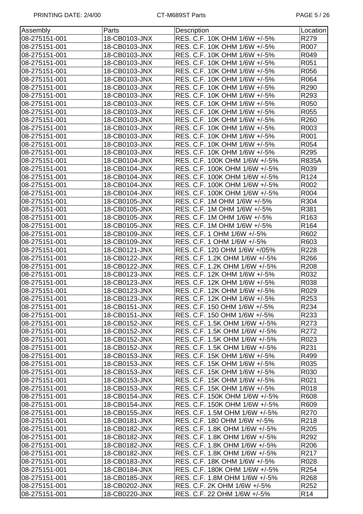| Assembly      | Parts         | <b>Description</b>            | Location         |
|---------------|---------------|-------------------------------|------------------|
| 08-275151-001 | 18-CB0103-JNX | RES. C.F. 10K OHM 1/6W +/-5%  | R279             |
| 08-275151-001 | 18-CB0103-JNX | RES. C.F. 10K OHM 1/6W +/-5%  | R007             |
| 08-275151-001 | 18-CB0103-JNX | RES. C.F. 10K OHM 1/6W +/-5%  | R049             |
| 08-275151-001 | 18-CB0103-JNX | RES. C.F. 10K OHM 1/6W +/-5%  | R051             |
| 08-275151-001 | 18-CB0103-JNX | RES. C.F. 10K OHM 1/6W +/-5%  | R056             |
| 08-275151-001 | 18-CB0103-JNX | RES. C.F. 10K OHM 1/6W +/-5%  | R064             |
| 08-275151-001 | 18-CB0103-JNX | RES. C.F. 10K OHM 1/6W +/-5%  | R290             |
| 08-275151-001 | 18-CB0103-JNX | RES. C.F. 10K OHM 1/6W +/-5%  | R293             |
| 08-275151-001 | 18-CB0103-JNX | RES. C.F. 10K OHM 1/6W +/-5%  | R050             |
| 08-275151-001 | 18-CB0103-JNX | RES. C.F. 10K OHM 1/6W +/-5%  | R055             |
| 08-275151-001 | 18-CB0103-JNX | RES. C.F. 10K OHM 1/6W +/-5%  | R260             |
| 08-275151-001 | 18-CB0103-JNX | RES. C.F. 10K OHM 1/6W +/-5%  | R003             |
| 08-275151-001 | 18-CB0103-JNX | RES. C.F. 10K OHM 1/6W +/-5%  | R001             |
| 08-275151-001 | 18-CB0103-JNX | RES. C.F. 10K OHM 1/6W +/-5%  | R054             |
| 08-275151-001 | 18-CB0103-JNX | RES. C.F. 10K OHM 1/6W +/-5%  | R295             |
| 08-275151-001 | 18-CB0104-JNX | RES. C.F. 100K OHM 1/6W +/-5% | <b>R835A</b>     |
| 08-275151-001 | 18-CB0104-JNX | RES. C.F. 100K OHM 1/6W +/-5% | R039             |
| 08-275151-001 | 18-CB0104-JNX | RES. C.F. 100K OHM 1/6W +/-5% | R <sub>124</sub> |
| 08-275151-001 | 18-CB0104-JNX | RES. C.F. 100K OHM 1/6W +/-5% | R002             |
| 08-275151-001 | 18-CB0104-JNX | RES. C.F. 100K OHM 1/6W +/-5% | R004             |
| 08-275151-001 | 18-CB0105-JNX | RES. C.F. 1M OHM 1/6W +/-5%   | R304             |
| 08-275151-001 | 18-CB0105-JNX | RES. C.F. 1M OHM 1/6W +/-5%   | R381             |
| 08-275151-001 | 18-CB0105-JNX | RES. C.F. 1M OHM 1/6W +/-5%   | R <sub>163</sub> |
| 08-275151-001 | 18-CB0105-JNX | RES. C.F. 1M OHM 1/6W +/-5%   | R <sub>164</sub> |
| 08-275151-001 | 18-CB0109-JNX | RES. C.F. 1 OHM 1/6W +/-5%    | R602             |
| 08-275151-001 | 18-CB0109-JNX | RES. C.F. 1 OHM 1/6W +/-5%    | R603             |
| 08-275151-001 | 18-CB0121-JNX | RES. C.F. 120 OHM 1/6W +/05%  | R228             |
| 08-275151-001 | 18-CB0122-JNX | RES. C.F. 1.2K OHM 1/6W +/-5% | R266             |
| 08-275151-001 | 18-CB0122-JNX | RES. C.F. 1.2K OHM 1/6W +/-5% | R <sub>208</sub> |
| 08-275151-001 | 18-CB0123-JNX | RES. C.F. 12K OHM 1/6W +/-5%  | R032             |
| 08-275151-001 | 18-CB0123-JNX | RES. C.F. 12K OHM 1/6W +/-5%  | R038             |
| 08-275151-001 | 18-CB0123-JNX | RES. C.F. 12K OHM 1/6W +/-5%  | R029             |
| 08-275151-001 | 18-CB0123-JNX | RES. C.F. 12K OHM 1/6W +/-5%  | R253             |
| 08-275151-001 | 18-CB0151-JNX | RES. C.F. 150 OHM 1/6W +/-5%  | R234             |
| 08-275151-001 | 18-CB0151-JNX | RES. C.F. 150 OHM 1/6W +/-5%  | R233             |
| 08-275151-001 | 18-CB0152-JNX | RES. C.F. 1.5K OHM 1/6W +/-5% | R273             |
| 08-275151-001 | 18-CB0152-JNX | RES. C.F. 1.5K OHM 1/6W +/-5% | R272             |
| 08-275151-001 | 18-CB0152-JNX | RES. C.F. 1.5K OHM 1/6W +/-5% | R023             |
| 08-275151-001 | 18-CB0152-JNX | RES. C.F. 1.5K OHM 1/6W +/-5% | R231             |
| 08-275151-001 | 18-CB0153-JNX | RES. C.F. 15K OHM 1/6W +/-5%  | R499             |
| 08-275151-001 | 18-CB0153-JNX | RES. C.F. 15K OHM 1/6W +/-5%  | R035             |
| 08-275151-001 | 18-CB0153-JNX | RES. C.F. 15K OHM 1/6W +/-5%  | R030             |
| 08-275151-001 | 18-CB0153-JNX | RES. C.F. 15K OHM 1/6W +/-5%  | R021             |
| 08-275151-001 | 18-CB0153-JNX | RES. C.F. 15K OHM 1/6W +/-5%  | R018             |
| 08-275151-001 | 18-CB0154-JNX | RES. C.F. 150K OHM 1/6W +/-5% | R608             |
| 08-275151-001 | 18-CB0154-JNX | RES. C.F. 150K OHM 1/6W +/-5% | R609             |
| 08-275151-001 | 18-CB0155-JNX | RES. C.F. 1.5M OHM 1/6W +/-5% | R270             |
| 08-275151-001 | 18-CB0181-JNX | RES. C.F. 180 OHM 1/6W +/-5%  | R218             |
| 08-275151-001 | 18-CB0182-JNX | RES. C.F. 1.8K OHM 1/6W +/-5% | R205             |
| 08-275151-001 | 18-CB0182-JNX | RES. C.F. 1.8K OHM 1/6W +/-5% | R292             |
| 08-275151-001 | 18-CB0182-JNX | RES. C.F. 1.8K OHM 1/6W +/-5% | R206             |
| 08-275151-001 | 18-CB0182-JNX | RES. C.F. 1.8K OHM 1/6W +/-5% | R217             |
| 08-275151-001 | 18-CB0183-JNX | RES. C.F. 18K OHM 1/6W +/-5%  | R028             |
| 08-275151-001 | 18-CB0184-JNX | RES. C.F. 180K OHM 1/6W +/-5% | R <sub>254</sub> |
| 08-275151-001 | 18-CB0185-JNX | RES. C.F. 1.8M OHM 1/6W +/-5% | R268             |
| 08-275151-001 | 18-CB0202-JNX | RES. C.F. 2K OHM 1/6W +/-5%   | R <sub>252</sub> |
| 08-275151-001 | 18-CB0220-JNX | RES. C.F. 22 OHM 1/6W +/-5%   | R <sub>14</sub>  |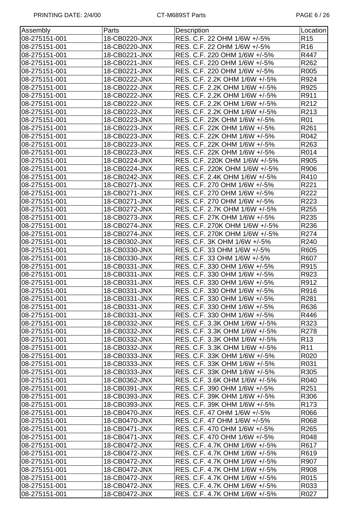| Assembly      | Parts         | Description                   | Location         |
|---------------|---------------|-------------------------------|------------------|
| 08-275151-001 | 18-CB0220-JNX | RES. C.F. 22 OHM 1/6W +/-5%   | R <sub>15</sub>  |
| 08-275151-001 | 18-CB0220-JNX | RES. C.F. 22 OHM 1/6W +/-5%   | R <sub>16</sub>  |
| 08-275151-001 | 18-CB0221-JNX | RES. C.F. 220 OHM 1/6W +/-5%  | R447             |
| 08-275151-001 | 18-CB0221-JNX | RES. C.F. 220 OHM 1/6W +/-5%  | R262             |
| 08-275151-001 | 18-CB0221-JNX | RES. C.F. 220 OHM 1/6W +/-5%  | R005             |
| 08-275151-001 | 18-CB0222-JNX | RES. C.F. 2.2K OHM 1/6W +/-5% | R924             |
| 08-275151-001 | 18-CB0222-JNX | RES. C.F. 2.2K OHM 1/6W +/-5% | R925             |
| 08-275151-001 | 18-CB0222-JNX | RES. C.F. 2.2K OHM 1/6W +/-5% | R911             |
| 08-275151-001 | 18-CB0222-JNX | RES. C.F. 2.2K OHM 1/6W +/-5% | R212             |
| 08-275151-001 | 18-CB0222-JNX | RES. C.F. 2.2K OHM 1/6W +/-5% | R213             |
| 08-275151-001 | 18-CB0223-JNX | RES. C.F. 22K OHM 1/6W +/-5%  | R01              |
| 08-275151-001 | 18-CB0223-JNX | RES. C.F. 22K OHM 1/6W +/-5%  | R261             |
| 08-275151-001 | 18-CB0223-JNX | RES. C.F. 22K OHM 1/6W +/-5%  | R042             |
| 08-275151-001 | 18-CB0223-JNX | RES. C.F. 22K OHM 1/6W +/-5%  | R263             |
| 08-275151-001 | 18-CB0223-JNX | RES. C.F. 22K OHM 1/6W +/-5%  | R014             |
| 08-275151-001 | 18-CB0224-JNX | RES. C.F. 220K OHM 1/6W +/-5% | R905             |
| 08-275151-001 | 18-CB0224-JNX | RES. C.F. 220K OHM 1/6W +/-5% | R906             |
| 08-275151-001 | 18-CB0242-JNX | RES. C.F. 2.4K OHM 1/6W +/-5% | R410             |
| 08-275151-001 | 18-CB0271-JNX | RES. C.F. 270 OHM 1/6W +/-5%  | R221             |
| 08-275151-001 | 18-CB0271-JNX | RES. C.F. 270 OHM 1/6W +/-5%  | R222             |
| 08-275151-001 | 18-CB0271-JNX | RES. C.F. 270 OHM 1/6W +/-5%  | R223             |
| 08-275151-001 | 18-CB0272-JNX | RES. C.F. 2.7K OHM 1/6W +/-5% | R255             |
| 08-275151-001 | 18-CB0273-JNX | RES. C.F. 27K OHM 1/6W +/-5%  | R235             |
| 08-275151-001 | 18-CB0274-JNX | RES. C.F. 270K OHM 1/6W +/-5% | R236             |
| 08-275151-001 | 18-CB0274-JNX | RES. C.F. 270K OHM 1/6W +/-5% | R274             |
| 08-275151-001 | 18-CB0302-JNX | RES. C.F. 3K OHM 1/6W +/-5%   | R240             |
| 08-275151-001 | 18-CB0330-JNX | RES. C.F. 33 OHM 1/6W +/-5%   | R605             |
| 08-275151-001 | 18-CB0330-JNX | RES. C.F. 33 OHM 1/6W +/-5%   | R607             |
| 08-275151-001 | 18-CB0331-JNX | RES. C.F. 330 OHM 1/6W +/-5%  | R915             |
| 08-275151-001 | 18-CB0331-JNX | RES. C.F. 330 OHM 1/6W +/-5%  | R923             |
| 08-275151-001 | 18-CB0331-JNX | RES. C.F. 330 OHM 1/6W +/-5%  | R912             |
| 08-275151-001 | 18-CB0331-JNX | RES. C.F. 330 OHM 1/6W +/-5%  | R916             |
| 08-275151-001 | 18-CB0331-JNX | RES. C.F. 330 OHM 1/6W +/-5%  | R281             |
| 08-275151-001 | 18-CB0331-JNX | RES. C.F. 330 OHM 1/6W +/-5%  | R636             |
| 08-275151-001 | 18-CB0331-JNX | RES. C.F. 330 OHM 1/6W +/-5%  | R446             |
| 08-275151-001 | 18-CB0332-JNX | RES. C.F. 3.3K OHM 1/6W +/-5% | R323             |
| 08-275151-001 | 18-CB0332-JNX | RES. C.F. 3.3K OHM 1/6W +/-5% | R278             |
| 08-275151-001 | 18-CB0332-JNX | RES. C.F. 3.3K OHM 1/6W +/-5% | R <sub>13</sub>  |
| 08-275151-001 | 18-CB0332-JNX | RES. C.F. 3.3K OHM 1/6W +/-5% | R <sub>11</sub>  |
| 08-275151-001 | 18-CB0333-JNX | RES. C.F. 33K OHM 1/6W +/-5%  | R020             |
| 08-275151-001 | 18-CB0333-JNX | RES. C.F. 33K OHM 1/6W +/-5%  | R031             |
| 08-275151-001 | 18-CB0333-JNX | RES. C.F. 33K OHM 1/6W +/-5%  | R305             |
| 08-275151-001 | 18-CB0362-JNX | RES. C.F. 3.6K OHM 1/6W +/-5% | R040             |
| 08-275151-001 | 18-CB0391-JNX | RES. C.F. 390 OHM 1/6W +/-5%  | R <sub>251</sub> |
| 08-275151-001 | 18-CB0393-JNX | RES. C.F. 39K OHM 1/6W +/-5%  | R306             |
| 08-275151-001 | 18-CB0393-JNX | RES. C.F. 39K OHM 1/6W +/-5%  | R173             |
| 08-275151-001 | 18-CB0470-JNX | RES. C.F. 47 OHM 1/6W +/-5%   | R066             |
| 08-275151-001 | 18-CB0470-JNX | RES. C.F. 47 OHM 1/6W +/-5%   | R068             |
| 08-275151-001 | 18-CB0471-JNX | RES. C.F. 470 OHM 1/6W +/-5%  | R265             |
| 08-275151-001 | 18-CB0471-JNX | RES. C.F. 470 OHM 1/6W +/-5%  | R048             |
| 08-275151-001 | 18-CB0472-JNX | RES. C.F. 4.7K OHM 1/6W +/-5% | R617             |
| 08-275151-001 | 18-CB0472-JNX | RES. C.F. 4.7K OHM 1/6W +/-5% | R619             |
| 08-275151-001 | 18-CB0472-JNX | RES. C.F. 4.7K OHM 1/6W +/-5% | R907             |
| 08-275151-001 | 18-CB0472-JNX | RES. C.F. 4.7K OHM 1/6W +/-5% | R908             |
| 08-275151-001 | 18-CB0472-JNX | RES. C.F. 4.7K OHM 1/6W +/-5% | R015             |
| 08-275151-001 | 18-CB0472-JNX | RES. C.F. 4.7K OHM 1/6W +/-5% | R033             |
| 08-275151-001 | 18-CB0472-JNX | RES. C.F. 4.7K OHM 1/6W +/-5% | R027             |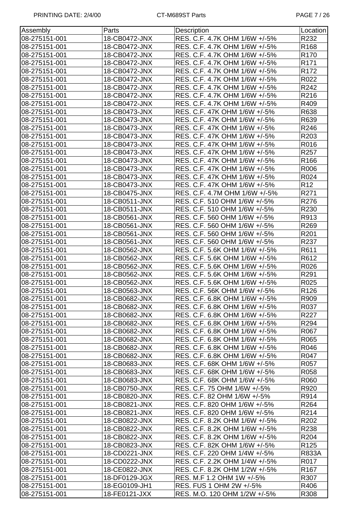| Assembly      | Parts         | Description                   | Location         |
|---------------|---------------|-------------------------------|------------------|
| 08-275151-001 | 18-CB0472-JNX | RES. C.F. 4.7K OHM 1/6W +/-5% | R232             |
| 08-275151-001 | 18-CB0472-JNX | RES. C.F. 4.7K OHM 1/6W +/-5% | R <sub>168</sub> |
| 08-275151-001 | 18-CB0472-JNX | RES. C.F. 4.7K OHM 1/6W +/-5% | R <sub>170</sub> |
| 08-275151-001 | 18-CB0472-JNX | RES. C.F. 4.7K OHM 1/6W +/-5% | R <sub>171</sub> |
| 08-275151-001 | 18-CB0472-JNX | RES. C.F. 4.7K OHM 1/6W +/-5% | R172             |
| 08-275151-001 | 18-CB0472-JNX | RES. C.F. 4.7K OHM 1/6W +/-5% | R022             |
| 08-275151-001 | 18-CB0472-JNX | RES. C.F. 4.7K OHM 1/6W +/-5% | R242             |
| 08-275151-001 | 18-CB0472-JNX | RES. C.F. 4.7K OHM 1/6W +/-5% | R216             |
| 08-275151-001 | 18-CB0472-JNX | RES. C.F. 4.7K OHM 1/6W +/-5% | R409             |
| 08-275151-001 | 18-CB0473-JNX | RES. C.F. 47K OHM 1/6W +/-5%  | R638             |
| 08-275151-001 | 18-CB0473-JNX | RES. C.F. 47K OHM 1/6W +/-5%  | R639             |
| 08-275151-001 | 18-CB0473-JNX | RES. C.F. 47K OHM 1/6W +/-5%  | R246             |
| 08-275151-001 | 18-CB0473-JNX | RES. C.F. 47K OHM 1/6W +/-5%  | R203             |
| 08-275151-001 | 18-CB0473-JNX | RES. C.F. 47K OHM 1/6W +/-5%  | R016             |
| 08-275151-001 | 18-CB0473-JNX | RES. C.F. 47K OHM 1/6W +/-5%  | R <sub>257</sub> |
| 08-275151-001 | 18-CB0473-JNX | RES. C.F. 47K OHM 1/6W +/-5%  | R166             |
| 08-275151-001 | 18-CB0473-JNX | RES. C.F. 47K OHM 1/6W +/-5%  | R006             |
| 08-275151-001 | 18-CB0473-JNX | RES. C.F. 47K OHM 1/6W +/-5%  | R024             |
| 08-275151-001 | 18-CB0473-JNX | RES. C.F. 47K OHM 1/6W +/-5%  | R <sub>12</sub>  |
| 08-275151-001 | 18-CB0475-JNX | RES. C.F. 4.7M OHM 1/6W +/-5% | R271             |
| 08-275151-001 | 18-CB0511-JNX | RES. C.F. 510 OHM 1/6W +/-5%  | R276             |
| 08-275151-001 | 18-CB0511-JNX | RES. C.F. 510 OHM 1/6W +/-5%  | R230             |
| 08-275151-001 | 18-CB0561-JNX | RES. C.F. 560 OHM 1/6W +/-5%  | R913             |
| 08-275151-001 | 18-CB0561-JNX | RES. C.F. 560 OHM 1/6W +/-5%  | R269             |
| 08-275151-001 | 18-CB0561-JNX | RES. C.F. 560 OHM 1/6W +/-5%  | R201             |
| 08-275151-001 | 18-CB0561-JNX | RES. C.F. 560 OHM 1/6W +/-5%  | R237             |
| 08-275151-001 | 18-CB0562-JNX | RES. C.F. 5.6K OHM 1/6W +/-5% | R611             |
| 08-275151-001 | 18-CB0562-JNX | RES. C.F. 5.6K OHM 1/6W +/-5% | R612             |
| 08-275151-001 | 18-CB0562-JNX | RES. C.F. 5.6K OHM 1/6W +/-5% | R026             |
| 08-275151-001 | 18-CB0562-JNX | RES. C.F. 5.6K OHM 1/6W +/-5% | R291             |
| 08-275151-001 | 18-CB0562-JNX | RES. C.F. 5.6K OHM 1/6W +/-5% | R025             |
| 08-275151-001 | 18-CB0563-JNX | RES. C.F. 56K OHM 1/6W +/-5%  | R126             |
| 08-275151-001 | 18-CB0682-JNX | RES. C.F. 6.8K OHM 1/6W +/-5% | R909             |
| 08-275151-001 | 18-CB0682-JNX | RES. C.F. 6.8K OHM 1/6W +/-5% | R037             |
| 08-275151-001 | 18-CB0682-JNX | RES. C.F. 6.8K OHM 1/6W +/-5% | R227             |
| 08-275151-001 | 18-CB0682-JNX | RES. C.F. 6.8K OHM 1/6W +/-5% | R294             |
| 08-275151-001 | 18-CB0682-JNX | RES. C.F. 6.8K OHM 1/6W +/-5% | R067             |
| 08-275151-001 | 18-CB0682-JNX | RES. C.F. 6.8K OHM 1/6W +/-5% | R065             |
| 08-275151-001 | 18-CB0682-JNX | RES. C.F. 6.8K OHM 1/6W +/-5% | R046             |
| 08-275151-001 | 18-CB0682-JNX | RES. C.F. 6.8K OHM 1/6W +/-5% | R047             |
| 08-275151-001 | 18-CB0683-JNX | RES. C.F. 68K OHM 1/6W +/-5%  | R057             |
| 08-275151-001 | 18-CB0683-JNX | RES. C.F. 68K OHM 1/6W +/-5%  | R058             |
| 08-275151-001 | 18-CB0683-JNX | RES. C.F. 68K OHM 1/6W +/-5%  | R060             |
| 08-275151-001 | 18-CB0750-JNX | RES. C.F. 75 OHM 1/6W +/-5%   | R920             |
| 08-275151-001 | 18-CB0820-JNX | RES. C.F. 82 OHM 1/6W +/-5%   | R914             |
| 08-275151-001 | 18-CB0821-JNX | RES. C.F. 820 OHM 1/6W +/-5%  | R <sub>264</sub> |
| 08-275151-001 | 18-CB0821-JNX | RES. C.F. 820 OHM 1/6W +/-5%  | R214             |
| 08-275151-001 | 18-CB0822-JNX | RES. C.F. 8.2K OHM 1/6W +/-5% | R <sub>202</sub> |
| 08-275151-001 | 18-CB0822-JNX | RES. C.F. 8.2K OHM 1/6W +/-5% | R238             |
| 08-275151-001 | 18-CB0822-JNX | RES. C.F. 8.2K OHM 1/6W +/-5% | R <sub>204</sub> |
| 08-275151-001 | 18-CB0823-JNX | RES. C.F. 82K OHM 1/6W +/-5%  | R <sub>125</sub> |
| 08-275151-001 | 18-CD0221-JNX | RES. C.F. 220 OHM 1/4W +/-5%  | <b>R833A</b>     |
| 08-275151-001 | 18-CD0222-JNX | RES. C.F. 2.2K OHM 1/4W +/-5% | R017             |
| 08-275151-001 | 18-CE0822-JNX | RES. C.F. 8.2K OHM 1/2W +/-5% | R <sub>167</sub> |
| 08-275151-001 | 18-DF0129-JGX | RES. M.F 1.2 OHM 1W +/-5%     | R307             |
| 08-275151-001 | 18-EG0109-JH1 | RES. FUS 1 OHM 2W +/-5%       | R406             |
| 08-275151-001 | 18-FE0121-JXX | RES. M.O. 120 OHM 1/2W +/-5%  | R308             |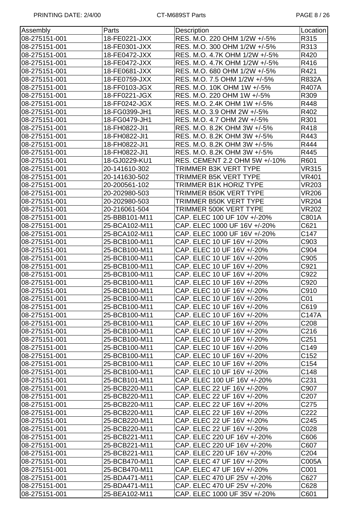| Assembly      | Parts         | Description                   | Location          |
|---------------|---------------|-------------------------------|-------------------|
| 08-275151-001 | 18-FE0221-JXX | RES. M.O. 220 OHM 1/2W +/-5%  | R315              |
| 08-275151-001 | 18-FE0301-JXX | RES. M.O. 300 OHM 1/2W +/-5%  | R313              |
| 08-275151-001 | 18-FE0472-JXX | RES. M.O. 4.7K OHM 1/2W +/-5% | R420              |
| 08-275151-001 | 18-FE0472-JXX | RES. M.O. 4.7K OHM 1/2W +/-5% | R416              |
| 08-275151-001 | 18-FE0681-JXX | RES. M.O. 680 OHM 1/2W +/-5%  | R421              |
| 08-275151-001 | 18-FE0759-JXX | RES. M.O. 7.5 OHM 1/2W +/-5%  | <b>R832A</b>      |
| 08-275151-001 | 18-FF0103-JGX | RES. M.O. 10K OHM 1W +/-5%    | <b>R407A</b>      |
| 08-275151-001 | 18-FF0221-JGX | RES. M.O. 220 OHM 1W +/-5%    | R309              |
| 08-275151-001 | 18-FF0242-JGX | RES. M.O. 2.4K OHM 1W +/-5%   | R448              |
| 08-275151-001 | 18-FG0399-JH1 | RES. M.O. 3.9 OHM 2W +/-5%    | R402              |
| 08-275151-001 | 18-FG0479-JH1 | RES. M.O. 4.7 OHM 2W +/-5%    | R301              |
| 08-275151-001 | 18-FH0822-JI1 | RES. M.O. 8.2K OHM 3W +/-5%   | R418              |
| 08-275151-001 | 18-FH0822-JI1 | RES. M.O. 8.2K OHM 3W +/-5%   | R443              |
| 08-275151-001 | 18-FH0822-JI1 | RES. M.O. 8.2K OHM 3W +/-5%   | R444              |
| 08-275151-001 | 18-FH0822-JI1 | RES. M.O. 8.2K OHM 3W +/-5%   | R445              |
| 08-275151-001 | 18-GJ0229-KU1 | RES. CEMENT 2.2 OHM 5W +/-10% | R601              |
| 08-275151-001 | 20-141610-302 | TRIMMER B3K VERT TYPE         | <b>VR315</b>      |
| 08-275151-001 | 20-141630-502 | TRIMMER B5K VERT TYPE         | <b>VR401</b>      |
| 08-275151-001 | 20-200561-102 | <b>TRIMMER B1K HORIZ TYPE</b> | <b>VR203</b>      |
| 08-275151-001 | 20-202980-503 | TRIMMER B50K VERT TYPE        | <b>VR206</b>      |
| 08-275151-001 | 20-202980-503 | TRIMMER B50K VERT TYPE        | <b>VR204</b>      |
| 08-275151-001 | 20-216061-504 | TRIMMER 500K VERT TYPE        | <b>VR202</b>      |
| 08-275151-001 | 25-BBB101-M11 | CAP. ELEC 100 UF 10V +/-20%   | C801A             |
| 08-275151-001 | 25-BCA102-M11 | CAP. ELEC 1000 UF 16V +/-20%  | C621              |
|               |               |                               |                   |
| 08-275151-001 | 25-BCA102-M11 | CAP. ELEC 1000 UF 16V +/-20%  | C147              |
| 08-275151-001 | 25-BCB100-M11 | CAP. ELEC 10 UF 16V +/-20%    | C903              |
| 08-275151-001 | 25-BCB100-M11 | CAP. ELEC 10 UF 16V +/-20%    | C904              |
| 08-275151-001 | 25-BCB100-M11 | CAP. ELEC 10 UF 16V +/-20%    | C905              |
| 08-275151-001 | 25-BCB100-M11 | CAP. ELEC 10 UF 16V +/-20%    | C921              |
| 08-275151-001 | 25-BCB100-M11 | CAP. ELEC 10 UF 16V +/-20%    | C922              |
| 08-275151-001 | 25-BCB100-M11 | CAP. ELEC 10 UF 16V +/-20%    | C920              |
| 08-275151-001 | 25-BCB100-M11 | CAP. ELEC 10 UF 16V +/-20%    | C910              |
| 08-275151-001 | 25-BCB100-M11 | CAP. ELEC 10 UF 16V +/-20%    | CO <sub>1</sub>   |
| 08-275151-001 | 25-BCB100-M11 | CAP. ELEC 10 UF 16V +/-20%    | C619              |
| 08-275151-001 | 25-BCB100-M11 | CAP. ELEC 10 UF 16V +/-20%    | C147A             |
| 08-275151-001 | 25-BCB100-M11 | CAP. ELEC 10 UF 16V +/-20%    | C208              |
| 08-275151-001 | 25-BCB100-M11 | CAP. ELEC 10 UF 16V +/-20%    | C216              |
| 08-275151-001 | 25-BCB100-M11 | CAP. ELEC 10 UF 16V +/-20%    | C <sub>251</sub>  |
| 08-275151-001 | 25-BCB100-M11 | CAP. ELEC 10 UF 16V +/-20%    | C149              |
| 08-275151-001 | 25-BCB100-M11 | CAP. ELEC 10 UF 16V +/-20%    | C152              |
| 08-275151-001 | 25-BCB100-M11 | CAP. ELEC 10 UF 16V +/-20%    | C154              |
| 08-275151-001 | 25-BCB100-M11 | CAP. ELEC 10 UF 16V +/-20%    | C148              |
| 08-275151-001 | 25-BCB101-M11 | CAP. ELEC 100 UF 16V +/-20%   | C231              |
| 08-275151-001 | 25-BCB220-M11 | CAP. ELEC 22 UF 16V +/-20%    | C907              |
| 08-275151-001 | 25-BCB220-M11 | CAP. ELEC 22 UF 16V +/-20%    | C <sub>20</sub> 7 |
| 08-275151-001 | 25-BCB220-M11 | CAP. ELEC 22 UF 16V +/-20%    | C275              |
| 08-275151-001 | 25-BCB220-M11 | CAP. ELEC 22 UF 16V +/-20%    | C222              |
| 08-275151-001 | 25-BCB220-M11 | CAP. ELEC 22 UF 16V +/-20%    | C245              |
| 08-275151-001 | 25-BCB220-M11 | CAP. ELEC 22 UF 16V +/-20%    | C028              |
| 08-275151-001 | 25-BCB221-M11 | CAP. ELEC 220 UF 16V +/-20%   | C606              |
| 08-275151-001 | 25-BCB221-M11 | CAP. ELEC 220 UF 16V +/-20%   | C607              |
| 08-275151-001 | 25-BCB221-M11 | CAP. ELEC 220 UF 16V +/-20%   | C <sub>204</sub>  |
| 08-275151-001 | 25-BCB470-M11 | CAP. ELEC 47 UF 16V +/-20%    | C005A             |
| 08-275151-001 | 25-BCB470-M11 | CAP. ELEC 47 UF 16V +/-20%    | C001              |
| 08-275151-001 | 25-BDA471-M11 | CAP. ELEC 470 UF 25V +/-20%   | C627              |
| 08-275151-001 | 25-BDA471-M11 | CAP. ELEC 470 UF 25V +/-20%   | C628              |
| 08-275151-001 | 25-BEA102-M11 | CAP. ELEC 1000 UF 35V +/-20%  | C601              |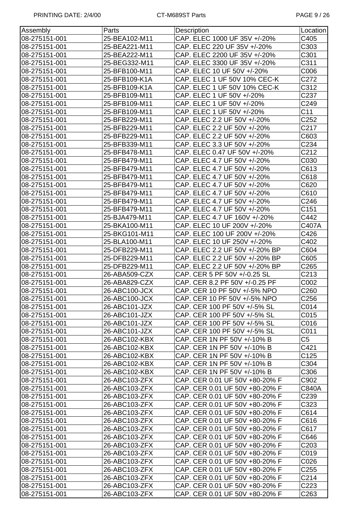| Assembly      | Parts         | Description                    | Location         |
|---------------|---------------|--------------------------------|------------------|
| 08-275151-001 | 25-BEA102-M11 | CAP. ELEC 1000 UF 35V +/-20%   | C405             |
| 08-275151-001 | 25-BEA221-M11 | CAP. ELEC 220 UF 35V +/-20%    | C303             |
| 08-275151-001 | 25-BEA222-M11 | CAP. ELEC 2200 UF 35V +/-20%   | C301             |
| 08-275151-001 | 25-BEG332-M11 | CAP. ELEC 3300 UF 35V +/-20%   | C311             |
| 08-275151-001 | 25-BFB100-M11 | CAP. ELEC 10 UF 50V +/-20%     | C006             |
| 08-275151-001 | 25-BFB109-K1A | CAP. ELEC 1 UF 50V 10% CEC-K   | C272             |
| 08-275151-001 | 25-BFB109-K1A | CAP. ELEC 1 UF 50V 10% CEC-K   | C312             |
| 08-275151-001 | 25-BFB109-M11 | CAP. ELEC 1 UF 50V +/-20%      | C237             |
| 08-275151-001 | 25-BFB109-M11 | CAP. ELEC 1 UF 50V +/-20%      | C249             |
| 08-275151-001 | 25-BFB109-M11 | CAP. ELEC 1 UF 50V +/-20%      | C11              |
| 08-275151-001 | 25-BFB229-M11 | CAP. ELEC 2.2 UF 50V +/-20%    | C <sub>252</sub> |
| 08-275151-001 | 25-BFB229-M11 | CAP. ELEC 2.2 UF 50V +/-20%    | C217             |
| 08-275151-001 | 25-BFB229-M11 | CAP. ELEC 2.2 UF 50V +/-20%    | C603             |
| 08-275151-001 | 25-BFB339-M11 | CAP. ELEC 3.3 UF 50V +/-20%    | C234             |
| 08-275151-001 | 25-BFB478-M11 | CAP. ELEC 0.47 UF 50V +/-20%   | C212             |
| 08-275151-001 | 25-BFB479-M11 | CAP. ELEC 4.7 UF 50V +/-20%    | C030             |
| 08-275151-001 | 25-BFB479-M11 | CAP. ELEC 4.7 UF 50V +/-20%    | C613             |
| 08-275151-001 | 25-BFB479-M11 | CAP. ELEC 4.7 UF 50V +/-20%    | C618             |
| 08-275151-001 | 25-BFB479-M11 | CAP. ELEC 4.7 UF 50V +/-20%    | C620             |
| 08-275151-001 | 25-BFB479-M11 | CAP. ELEC 4.7 UF 50V +/-20%    | C610             |
| 08-275151-001 | 25-BFB479-M11 | CAP. ELEC 4.7 UF 50V +/-20%    | C246             |
| 08-275151-001 | 25-BFB479-M11 | CAP. ELEC 4.7 UF 50V +/-20%    | C151             |
| 08-275151-001 | 25-BJA479-M11 | CAP. ELEC 4.7 UF 160V +/-20%   | C442             |
| 08-275151-001 | 25-BKA100-M11 | CAP. ELEC 10 UF 200V +/-20%    | C407A            |
| 08-275151-001 | 25-BKG101-M11 | CAP. ELEC 100 UF 200V +/-20%   | C426             |
| 08-275151-001 | 25-BLA100-M11 | CAP. ELEC 10 UF 250V +/-20%    | C402             |
| 08-275151-001 | 25-DFB229-M11 | CAP. ELEC 2.2 UF 50V +/-20% BP | C604             |
| 08-275151-001 | 25-DFB229-M11 | CAP. ELEC 2.2 UF 50V +/-20% BP | C605             |
| 08-275151-001 | 25-DFB229-M11 | CAP. ELEC 2.2 UF 50V +/-20% BP | C <sub>265</sub> |
| 08-275151-001 | 26-ABA509-CZX | CAP. CER 5 PF 50V +/-0.25 SL   | C213             |
| 08-275151-001 | 26-ABA829-CZX | CAP. CER 8.2 PF 50V +/-0.25 PF | C002             |
| 08-275151-001 | 26-ABC100-JCX | CAP. CER 10 PF 50V +/-5% NPO   | C <sub>260</sub> |
| 08-275151-001 | 26-ABC100-JCX | CAP. CER 10 PF 50V +/-5% NPO   | C <sub>256</sub> |
| 08-275151-001 | 26-ABC101-JZX | CAP. CER 100 PF 50V +/-5% SL   | C014             |
| 08-275151-001 | 26-ABC101-JZX | CAP. CER 100 PF 50V +/-5% SL   | C015             |
| 08-275151-001 | 26-ABC101-JZX | CAP. CER 100 PF 50V +/-5% SL   | C016             |
| 08-275151-001 | 26-ABC101-JZX | CAP. CER 100 PF 50V +/-5% SL   | C011             |
| 08-275151-001 | 26-ABC102-KBX | CAP. CER 1N PF 50V +/-10% B    | C5               |
| 08-275151-001 | 26-ABC102-KBX | CAP. CER 1N PF 50V +/-10% B    | C421             |
| 08-275151-001 | 26-ABC102-KBX | CAP. CER 1N PF 50V +/-10% B    | C125             |
| 08-275151-001 | 26-ABC102-KBX | CAP. CER 1N PF 50V +/-10% B    | C304             |
| 08-275151-001 | 26-ABC102-KBX | CAP. CER 1N PF 50V +/-10% B    | C306             |
| 08-275151-001 | 26-ABC103-ZFX | CAP. CER 0.01 UF 50V +80-20% F | C902             |
| 08-275151-001 | 26-ABC103-ZFX | CAP. CER 0.01 UF 50V +80-20% F | C840A            |
| 08-275151-001 | 26-ABC103-ZFX | CAP. CER 0.01 UF 50V +80-20% F | C239             |
| 08-275151-001 | 26-ABC103-ZFX | CAP. CER 0.01 UF 50V +80-20% F | C323             |
| 08-275151-001 | 26-ABC103-ZFX | CAP. CER 0.01 UF 50V +80-20% F | C614             |
| 08-275151-001 | 26-ABC103-ZFX | CAP. CER 0.01 UF 50V +80-20% F | C616             |
| 08-275151-001 | 26-ABC103-ZFX | CAP. CER 0.01 UF 50V +80-20% F | C617             |
| 08-275151-001 | 26-ABC103-ZFX | CAP. CER 0.01 UF 50V +80-20% F | C646             |
| 08-275151-001 | 26-ABC103-ZFX | CAP. CER 0.01 UF 50V +80-20% F | C <sub>203</sub> |
| 08-275151-001 | 26-ABC103-ZFX | CAP. CER 0.01 UF 50V +80-20% F | C019             |
| 08-275151-001 | 26-ABC103-ZFX | CAP. CER 0.01 UF 50V +80-20% F | C026             |
| 08-275151-001 | 26-ABC103-ZFX | CAP. CER 0.01 UF 50V +80-20% F | C <sub>255</sub> |
| 08-275151-001 | 26-ABC103-ZFX | CAP. CER 0.01 UF 50V +80-20% F | C214             |
| 08-275151-001 | 26-ABC103-ZFX | CAP. CER 0.01 UF 50V +80-20% F | C <sub>223</sub> |
| 08-275151-001 | 26-ABC103-ZFX | CAP. CER 0.01 UF 50V +80-20% F | C263             |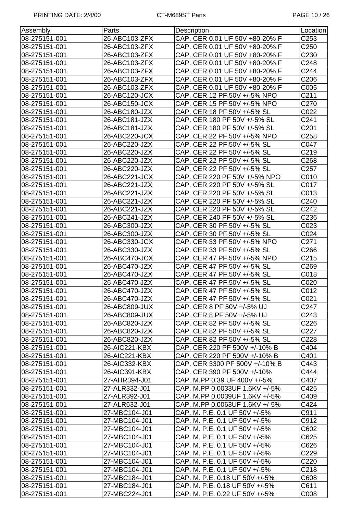| Assembly      | Parts         | Description                    | Location         |
|---------------|---------------|--------------------------------|------------------|
| 08-275151-001 | 26-ABC103-ZFX | CAP. CER 0.01 UF 50V +80-20% F | C <sub>253</sub> |
| 08-275151-001 | 26-ABC103-ZFX | CAP. CER 0.01 UF 50V +80-20% F | C <sub>250</sub> |
| 08-275151-001 | 26-ABC103-ZFX | CAP. CER 0.01 UF 50V +80-20% F | C230             |
| 08-275151-001 | 26-ABC103-ZFX | CAP. CER 0.01 UF 50V +80-20% F | C248             |
| 08-275151-001 | 26-ABC103-ZFX | CAP. CER 0.01 UF 50V +80-20% F | C244             |
| 08-275151-001 | 26-ABC103-ZFX | CAP. CER 0.01 UF 50V +80-20% F | C206             |
| 08-275151-001 | 26-ABC103-ZFX | CAP. CER 0.01 UF 50V +80-20% F | C005             |
| 08-275151-001 | 26-ABC120-JCX | CAP. CER 12 PF 50V +/-5% NPO   | C211             |
| 08-275151-001 | 26-ABC150-JCX | CAP. CER 15 PF 50V +/-5% NPO   | C270             |
| 08-275151-001 | 26-ABC180-JZX | CAP. CER 18 PF 50V +/-5% SL    | C022             |
| 08-275151-001 | 26-ABC181-JZX | CAP. CER 180 PF 50V +/-5% SL   | C241             |
| 08-275151-001 | 26-ABC181-JZX | CAP. CER 180 PF 50V +/-5% SL   | C201             |
| 08-275151-001 | 26-ABC220-JCX | CAP. CER 22 PF 50V +/-5% NPO   | C <sub>258</sub> |
| 08-275151-001 | 26-ABC220-JZX | CAP. CER 22 PF 50V +/-5% SL    | C047             |
| 08-275151-001 | 26-ABC220-JZX | CAP. CER 22 PF 50V +/-5% SL    | C219             |
| 08-275151-001 | 26-ABC220-JZX | CAP. CER 22 PF 50V +/-5% SL    | C268             |
| 08-275151-001 | 26-ABC220-JZX | CAP. CER 22 PF 50V +/-5% SL    | C <sub>257</sub> |
| 08-275151-001 | 26-ABC221-JCX | CAP. CER 220 PF 50V +/-5% NPO  | C010             |
| 08-275151-001 | 26-ABC221-JZX | CAP. CER 220 PF 50V +/-5% SL   | C017             |
| 08-275151-001 | 26-ABC221-JZX | CAP. CER 220 PF 50V +/-5% SL   | C013             |
| 08-275151-001 | 26-ABC221-JZX | CAP. CER 220 PF 50V +/-5% SL   | C240             |
| 08-275151-001 | 26-ABC221-JZX | CAP. CER 220 PF 50V +/-5% SL   | C242             |
|               |               |                                |                  |
| 08-275151-001 | 26-ABC241-JZX | CAP. CER 240 PF 50V +/-5% SL   | C236             |
| 08-275151-001 | 26-ABC300-JZX | CAP. CER 30 PF 50V +/-5% SL    | C023             |
| 08-275151-001 | 26-ABC300-JZX | CAP. CER 30 PF 50V +/-5% SL    | C024             |
| 08-275151-001 | 26-ABC330-JCX | CAP. CER 33 PF 50V +/-5% NPO   | C271             |
| 08-275151-001 | 26-ABC330-JZX | CAP. CER 33 PF 50V +/-5% SL    | C266             |
| 08-275151-001 | 26-ABC470-JCX | CAP. CER 47 PF 50V +/-5% NPO   | C215             |
| 08-275151-001 | 26-ABC470-JZX | CAP. CER 47 PF 50V +/-5% SL    | C269             |
| 08-275151-001 | 26-ABC470-JZX | CAP. CER 47 PF 50V +/-5% SL    | C018             |
| 08-275151-001 | 26-ABC470-JZX | CAP. CER 47 PF 50V +/-5% SL    | C020             |
| 08-275151-001 | 26-ABC470-JZX | CAP. CER 47 PF 50V +/-5% SL    | C012             |
| 08-275151-001 | 26-ABC470-JZX | CAP. CER 47 PF 50V +/-5% SL    | C021             |
| 08-275151-001 | 26-ABC809-JUX | CAP. CER 8 PF 50V +/-5% UJ     | C <sub>247</sub> |
| 08-275151-001 | 26-ABC809-JUX | CAP. CER 8 PF 50V +/-5% UJ     | C243             |
| 08-275151-001 | 26-ABC820-JZX | CAP. CER 82 PF 50V +/-5% SL    | C226             |
| 08-275151-001 | 26-ABC820-JZX | CAP. CER 82 PF 50V +/-5% SL    | C <sub>227</sub> |
| 08-275151-001 | 26-ABC820-JZX | CAP. CER 82 PF 50V +/-5% SL    | C228             |
| 08-275151-001 | 26-AIC221-KBX | CAP. CER 220 PF 500V +/-10% B  | C404             |
| 08-275151-001 | 26-AIC221-KBX | CAP. CER 220 PF 500V +/-10% B  | C401             |
| 08-275151-001 | 26-AIC332-KBX | CAP. CER 3300 PF 500V +/-10% B | C443             |
| 08-275151-001 | 26-AIC391-KBX | CAP. CER 390 PF 500V +/-10%    | C444             |
| 08-275151-001 | 27-AHR394-J01 | CAP. M.PP 0.39 UF 400V +/-5%   | C407             |
| 08-275151-001 | 27-ALR332-J01 | CAP. M.PP 0.0033UF 1.6KV +/-5% | C425             |
| 08-275151-001 | 27-ALR392-J01 | CAP. M.PP 0.0039UF 1.6KV +/-5% | C409             |
| 08-275151-001 | 27-ALR632-J01 | CAP. M.PP 0.0063UF 1.6KV +/-5% | C424             |
| 08-275151-001 | 27-MBC104-J01 | CAP. M. P.E. 0.1 UF 50V +/-5%  | C911             |
| 08-275151-001 | 27-MBC104-J01 | CAP. M. P.E. 0.1 UF 50V +/-5%  | C912             |
| 08-275151-001 | 27-MBC104-J01 | CAP. M. P.E. 0.1 UF 50V +/-5%  | C602             |
| 08-275151-001 | 27-MBC104-J01 | CAP. M. P.E. 0.1 UF 50V +/-5%  | C625             |
| 08-275151-001 | 27-MBC104-J01 | CAP. M. P.E. 0.1 UF 50V +/-5%  | C626             |
| 08-275151-001 | 27-MBC104-J01 | CAP. M. P.E. 0.1 UF 50V +/-5%  | C229             |
| 08-275151-001 | 27-MBC104-J01 | CAP. M. P.E. 0.1 UF 50V +/-5%  | C220             |
| 08-275151-001 | 27-MBC104-J01 | CAP. M. P.E. 0.1 UF 50V +/-5%  | C218             |
| 08-275151-001 | 27-MBC184-J01 | CAP. M. P.E. 0.18 UF 50V +/-5% | C608             |
| 08-275151-001 | 27-MBC184-J01 | CAP. M. P.E. 0.18 UF 50V +/-5% | C611             |
| 08-275151-001 | 27-MBC224-J01 | CAP. M. P.E. 0.22 UF 50V +/-5% | C008             |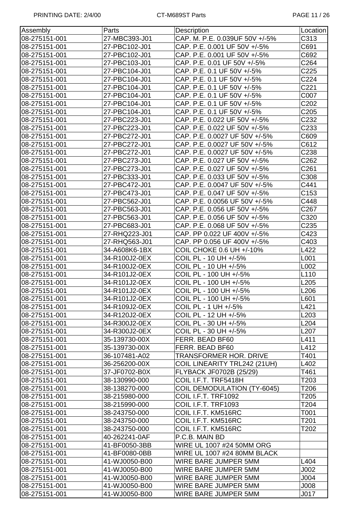| Assembly      | Parts         | Description                        | Location         |
|---------------|---------------|------------------------------------|------------------|
| 08-275151-001 | 27-MBC393-J01 | CAP. M. P.E. 0.039UF 50V +/-5%     | C313             |
| 08-275151-001 | 27-PBC102-J01 | CAP. P.E. 0.001 UF 50V +/-5%       | C691             |
| 08-275151-001 | 27-PBC102-J01 | CAP. P.E. 0.001 UF 50V +/-5%       | C692             |
| 08-275151-001 | 27-PBC103-J01 | CAP. P.E. 0.01 UF 50V +/-5%        | C264             |
| 08-275151-001 | 27-PBC104-J01 | CAP. P.E. 0.1 UF 50V +/-5%         | C225             |
| 08-275151-001 | 27-PBC104-J01 | CAP. P.E. 0.1 UF 50V +/-5%         | C224             |
| 08-275151-001 | 27-PBC104-J01 | CAP. P.E. 0.1 UF 50V +/-5%         | C221             |
| 08-275151-001 | 27-PBC104-J01 | CAP. P.E. 0.1 UF 50V +/-5%         | C007             |
| 08-275151-001 | 27-PBC104-J01 | CAP. P.E. 0.1 UF 50V +/-5%         | C202             |
| 08-275151-001 | 27-PBC104-J01 | CAP. P.E. 0.1 UF 50V +/-5%         | C <sub>205</sub> |
| 08-275151-001 | 27-PBC223-J01 | CAP. P.E. 0.022 UF 50V +/-5%       | C232             |
| 08-275151-001 | 27-PBC223-J01 | CAP. P.E. 0.022 UF 50V +/-5%       | C233             |
| 08-275151-001 | 27-PBC272-J01 | CAP. P.E. 0.0027 UF 50V +/-5%      | C609             |
| 08-275151-001 | 27-PBC272-J01 | CAP. P.E. 0.0027 UF 50V +/-5%      | C612             |
| 08-275151-001 | 27-PBC272-J01 | CAP. P.E. 0.0027 UF 50V +/-5%      | C238             |
| 08-275151-001 | 27-PBC273-J01 | CAP. P.E. 0.027 UF 50V +/-5%       | C262             |
| 08-275151-001 | 27-PBC273-J01 | CAP. P.E. 0.027 UF 50V +/-5%       | C261             |
| 08-275151-001 | 27-PBC333-J01 | CAP. P.E. 0.033 UF 50V +/-5%       | C308             |
| 08-275151-001 | 27-PBC472-J01 | CAP. P.E. 0.0047 UF 50V +/-5%      | C441             |
| 08-275151-001 | 27-PBC473-J01 | CAP. P.E. 0.047 UF 50V +/-5%       | C153             |
| 08-275151-001 | 27-PBC562-J01 | CAP. P.E. 0.0056 UF 50V +/-5%      | C448             |
| 08-275151-001 | 27-PBC563-J01 | CAP. P.E. 0.056 UF 50V +/-5%       | C267             |
| 08-275151-001 | 27-PBC563-J01 | CAP. P.E. 0.056 UF 50V +/-5%       | C320             |
| 08-275151-001 | 27-PBC683-J01 | CAP. P.E. 0.068 UF 50V +/-5%       | C235             |
| 08-275151-001 | 27-RHQ223-J01 | CAP. PP 0.022 UF 400V +/-5%        | C423             |
| 08-275151-001 | 27-RHQ563-J01 | CAP. PP 0.056 UF 400V +/-5%        | C403             |
| 08-275151-001 | 34-A608K6-1BX | COIL CHOKE 0.6 UH +/-10%           | L422             |
| 08-275151-001 | 34-R100J2-0EX | COIL PL - 10 UH +/-5%              | L001             |
| 08-275151-001 | 34-R100J2-0EX | COIL PL - 10 UH +/-5%              | L002             |
| 08-275151-001 | 34-R101J2-0EX | COIL PL - 100 UH +/-5%             | L110             |
| 08-275151-001 | 34-R101J2-0EX | COIL PL - 100 UH +/-5%             | L205             |
| 08-275151-001 | 34-R101J2-0EX | COIL PL - 100 UH +/-5%             | L206             |
| 08-275151-001 | 34-R101J2-0EX | COIL PL - 100 UH +/-5%             | L601             |
| 08-275151-001 | 34-R109J2-0EX | COIL PL - 1 UH +/-5%               | L421             |
| 08-275151-001 | 34-R120J2-0EX | COIL PL - 12 UH +/-5%              | L <sub>203</sub> |
| 08-275151-001 | 34-R300J2-0EX | COIL PL - 30 UH +/-5%              | L204             |
| 08-275151-001 | 34-R300J2-0EX | COIL PL - 30 UH +/-5%              | L207             |
| 08-275151-001 | 35-139730-00X | FERR. BEAD BF60                    | L411             |
| 08-275151-001 | 35-139730-00X | FERR. BEAD BF60                    | L412             |
| 08-275151-001 | 36-107481-A02 | TRANSFORMER HOR. DRIVE             | T401             |
| 08-275151-001 | 36-256200-00X | COIL LINEARITY TRL242 (21UH)       | L402             |
| 08-275151-001 | 37-JF0702-B0X | FLYBACK JF0702B (25/29)            | T461             |
| 08-275151-001 | 38-130990-000 | COIL I.F.T. TRF5418H               | T203             |
| 08-275151-001 | 38-138270-000 | <b>COIL DEMODULATION (TY-6045)</b> | T206             |
| 08-275151-001 | 38-215980-000 | COIL I.F.T. TRF1092                | T205             |
| 08-275151-001 | 38-215990-000 | COIL I.F.T. TRF1093                | T204             |
| 08-275151-001 | 38-243750-000 | COIL I.F.T. KM516RC                | T001             |
| 08-275151-001 | 38-243750-000 | COIL I.F.T. KM516RC                | T201             |
| 08-275151-001 | 38-243750-000 | COIL I.F.T. KM516RC                | T202             |
| 08-275151-001 | 40-262241-0AF | P.C.B. MAIN BD                     |                  |
| 08-275151-001 | 41-BF0050-3BB | WIRE UL 1007 #24 50MM ORG          |                  |
| 08-275151-001 | 41-BF0080-0BB | WIRE UL 1007 #24 80MM BLACK        |                  |
| 08-275151-001 | 41-WJ0050-B00 | WIRE BARE JUMPER 5MM               | L404             |
| 08-275151-001 | 41-WJ0050-B00 | WIRE BARE JUMPER 5MM               | J002             |
| 08-275151-001 | 41-WJ0050-B00 | WIRE BARE JUMPER 5MM               | J004             |
| 08-275151-001 | 41-WJ0050-B00 | WIRE BARE JUMPER 5MM               | J008             |
| 08-275151-001 | 41-WJ0050-B00 | WIRE BARE JUMPER 5MM               | J017             |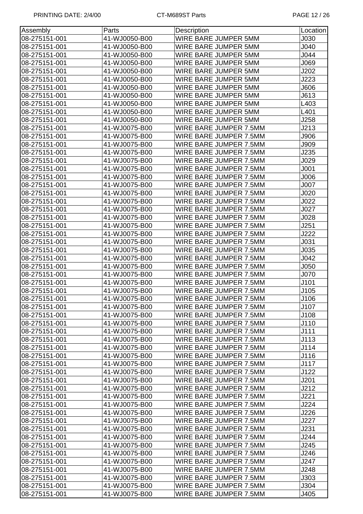| Assembly      | Parts         | Description            | Location    |
|---------------|---------------|------------------------|-------------|
| 08-275151-001 | 41-WJ0050-B00 | WIRE BARE JUMPER 5MM   | J030        |
| 08-275151-001 | 41-WJ0050-B00 | WIRE BARE JUMPER 5MM   | J040        |
| 08-275151-001 | 41-WJ0050-B00 | WIRE BARE JUMPER 5MM   | J044        |
| 08-275151-001 | 41-WJ0050-B00 | WIRE BARE JUMPER 5MM   | J069        |
| 08-275151-001 | 41-WJ0050-B00 | WIRE BARE JUMPER 5MM   | J202        |
| 08-275151-001 | 41-WJ0050-B00 | WIRE BARE JUMPER 5MM   | J223        |
| 08-275151-001 | 41-WJ0050-B00 | WIRE BARE JUMPER 5MM   | J606        |
| 08-275151-001 | 41-WJ0050-B00 | WIRE BARE JUMPER 5MM   | J613        |
| 08-275151-001 | 41-WJ0050-B00 | WIRE BARE JUMPER 5MM   | L403        |
| 08-275151-001 | 41-WJ0050-B00 | WIRE BARE JUMPER 5MM   | L401        |
| 08-275151-001 | 41-WJ0050-B00 | WIRE BARE JUMPER 5MM   | J258        |
| 08-275151-001 | 41-WJ0075-B00 | WIRE BARE JUMPER 7.5MM | J213        |
| 08-275151-001 | 41-WJ0075-B00 | WIRE BARE JUMPER 7.5MM | J906        |
| 08-275151-001 | 41-WJ0075-B00 | WIRE BARE JUMPER 7.5MM | J909        |
| 08-275151-001 | 41-WJ0075-B00 | WIRE BARE JUMPER 7.5MM | J235        |
| 08-275151-001 | 41-WJ0075-B00 | WIRE BARE JUMPER 7.5MM | J029        |
| 08-275151-001 | 41-WJ0075-B00 | WIRE BARE JUMPER 7.5MM | J001        |
| 08-275151-001 | 41-WJ0075-B00 | WIRE BARE JUMPER 7.5MM | J006        |
| 08-275151-001 | 41-WJ0075-B00 | WIRE BARE JUMPER 7.5MM | J007        |
| 08-275151-001 | 41-WJ0075-B00 | WIRE BARE JUMPER 7.5MM | J020        |
| 08-275151-001 | 41-WJ0075-B00 | WIRE BARE JUMPER 7.5MM | J022        |
| 08-275151-001 | 41-WJ0075-B00 | WIRE BARE JUMPER 7.5MM | J027        |
| 08-275151-001 | 41-WJ0075-B00 | WIRE BARE JUMPER 7.5MM | J028        |
| 08-275151-001 | 41-WJ0075-B00 | WIRE BARE JUMPER 7.5MM | J251        |
| 08-275151-001 | 41-WJ0075-B00 | WIRE BARE JUMPER 7.5MM | J222        |
| 08-275151-001 | 41-WJ0075-B00 | WIRE BARE JUMPER 7.5MM | <b>J031</b> |
| 08-275151-001 | 41-WJ0075-B00 | WIRE BARE JUMPER 7.5MM | J035        |
| 08-275151-001 | 41-WJ0075-B00 | WIRE BARE JUMPER 7.5MM | J042        |
| 08-275151-001 | 41-WJ0075-B00 | WIRE BARE JUMPER 7.5MM | J050        |
| 08-275151-001 | 41-WJ0075-B00 | WIRE BARE JUMPER 7.5MM | J070        |
| 08-275151-001 | 41-WJ0075-B00 | WIRE BARE JUMPER 7.5MM | J101        |
| 08-275151-001 | 41-WJ0075-B00 | WIRE BARE JUMPER 7.5MM | J105        |
| 08-275151-001 | 41-WJ0075-B00 | WIRE BARE JUMPER 7.5MM | J106        |
| 08-275151-001 | 41-WJ0075-B00 | WIRE BARE JUMPER 7.5MM | J107        |
| 08-275151-001 | 41-WJ0075-B00 | WIRE BARE JUMPER 7.5MM | J108        |
| 08-275151-001 | 41-WJ0075-B00 | WIRE BARE JUMPER 7.5MM | J110        |
| 08-275151-001 | 41-WJ0075-B00 | WIRE BARE JUMPER 7.5MM | J111        |
| 08-275151-001 | 41-WJ0075-B00 | WIRE BARE JUMPER 7.5MM | J113        |
| 08-275151-001 | 41-WJ0075-B00 | WIRE BARE JUMPER 7.5MM | J114        |
| 08-275151-001 | 41-WJ0075-B00 | WIRE BARE JUMPER 7.5MM | J116        |
| 08-275151-001 | 41-WJ0075-B00 | WIRE BARE JUMPER 7.5MM | J117        |
| 08-275151-001 | 41-WJ0075-B00 | WIRE BARE JUMPER 7.5MM | J122        |
| 08-275151-001 | 41-WJ0075-B00 | WIRE BARE JUMPER 7.5MM | J201        |
| 08-275151-001 | 41-WJ0075-B00 | WIRE BARE JUMPER 7.5MM | J212        |
| 08-275151-001 | 41-WJ0075-B00 | WIRE BARE JUMPER 7.5MM | J221        |
| 08-275151-001 | 41-WJ0075-B00 | WIRE BARE JUMPER 7.5MM | J224        |
| 08-275151-001 | 41-WJ0075-B00 | WIRE BARE JUMPER 7.5MM | J226        |
| 08-275151-001 | 41-WJ0075-B00 | WIRE BARE JUMPER 7.5MM | J227        |
| 08-275151-001 | 41-WJ0075-B00 | WIRE BARE JUMPER 7.5MM | J231        |
| 08-275151-001 | 41-WJ0075-B00 | WIRE BARE JUMPER 7.5MM | J244        |
| 08-275151-001 | 41-WJ0075-B00 | WIRE BARE JUMPER 7.5MM | J245        |
| 08-275151-001 | 41-WJ0075-B00 | WIRE BARE JUMPER 7.5MM | J246        |
| 08-275151-001 | 41-WJ0075-B00 | WIRE BARE JUMPER 7.5MM | J247        |
| 08-275151-001 | 41-WJ0075-B00 | WIRE BARE JUMPER 7.5MM | J248        |
| 08-275151-001 | 41-WJ0075-B00 | WIRE BARE JUMPER 7.5MM | J303        |
| 08-275151-001 | 41-WJ0075-B00 | WIRE BARE JUMPER 7.5MM | J304        |
| 08-275151-001 | 41-WJ0075-B00 | WIRE BARE JUMPER 7.5MM | J405        |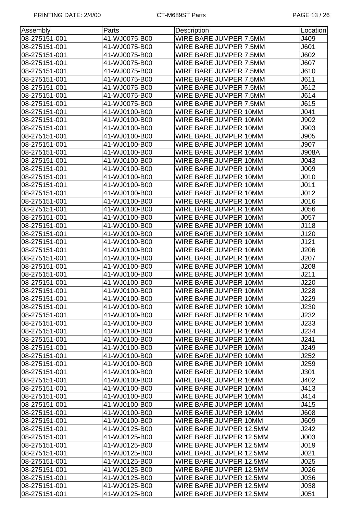| Assembly      | Parts         | Description             | Location         |
|---------------|---------------|-------------------------|------------------|
| 08-275151-001 | 41-WJ0075-B00 | WIRE BARE JUMPER 7.5MM  | J409             |
| 08-275151-001 | 41-WJ0075-B00 | WIRE BARE JUMPER 7.5MM  | J601             |
| 08-275151-001 | 41-WJ0075-B00 | WIRE BARE JUMPER 7.5MM  | J602             |
| 08-275151-001 | 41-WJ0075-B00 | WIRE BARE JUMPER 7.5MM  | <b>J607</b>      |
| 08-275151-001 | 41-WJ0075-B00 | WIRE BARE JUMPER 7.5MM  | J610             |
| 08-275151-001 | 41-WJ0075-B00 | WIRE BARE JUMPER 7.5MM  | J611             |
| 08-275151-001 | 41-WJ0075-B00 | WIRE BARE JUMPER 7.5MM  | J612             |
| 08-275151-001 | 41-WJ0075-B00 | WIRE BARE JUMPER 7.5MM  | J614             |
| 08-275151-001 | 41-WJ0075-B00 | WIRE BARE JUMPER 7.5MM  | J615             |
| 08-275151-001 | 41-WJ0100-B00 | WIRE BARE JUMPER 10MM   | J <sub>041</sub> |
| 08-275151-001 | 41-WJ0100-B00 | WIRE BARE JUMPER 10MM   | J902             |
| 08-275151-001 | 41-WJ0100-B00 | WIRE BARE JUMPER 10MM   | J903             |
| 08-275151-001 | 41-WJ0100-B00 | WIRE BARE JUMPER 10MM   | J905             |
| 08-275151-001 | 41-WJ0100-B00 | WIRE BARE JUMPER 10MM   | J907             |
| 08-275151-001 | 41-WJ0100-B00 | WIRE BARE JUMPER 10MM   | <b>J908A</b>     |
| 08-275151-001 | 41-WJ0100-B00 | WIRE BARE JUMPER 10MM   | J043             |
| 08-275151-001 | 41-WJ0100-B00 | WIRE BARE JUMPER 10MM   | J009             |
| 08-275151-001 | 41-WJ0100-B00 | WIRE BARE JUMPER 10MM   | J010             |
| 08-275151-001 | 41-WJ0100-B00 | WIRE BARE JUMPER 10MM   | J <sub>011</sub> |
| 08-275151-001 | 41-WJ0100-B00 | WIRE BARE JUMPER 10MM   | J012             |
| 08-275151-001 | 41-WJ0100-B00 | WIRE BARE JUMPER 10MM   | J016             |
| 08-275151-001 | 41-WJ0100-B00 | WIRE BARE JUMPER 10MM   | J056             |
| 08-275151-001 | 41-WJ0100-B00 | WIRE BARE JUMPER 10MM   | J057             |
| 08-275151-001 | 41-WJ0100-B00 | WIRE BARE JUMPER 10MM   | J118             |
| 08-275151-001 | 41-WJ0100-B00 | WIRE BARE JUMPER 10MM   | J120             |
| 08-275151-001 | 41-WJ0100-B00 | WIRE BARE JUMPER 10MM   | J121             |
| 08-275151-001 | 41-WJ0100-B00 | WIRE BARE JUMPER 10MM   | J206             |
| 08-275151-001 | 41-WJ0100-B00 | WIRE BARE JUMPER 10MM   | J207             |
| 08-275151-001 | 41-WJ0100-B00 | WIRE BARE JUMPER 10MM   | J208             |
| 08-275151-001 | 41-WJ0100-B00 | WIRE BARE JUMPER 10MM   | J211             |
| 08-275151-001 | 41-WJ0100-B00 | WIRE BARE JUMPER 10MM   | J220             |
| 08-275151-001 | 41-WJ0100-B00 | WIRE BARE JUMPER 10MM   | J228             |
| 08-275151-001 | 41-WJ0100-B00 | WIRE BARE JUMPER 10MM   | J229             |
| 08-275151-001 | 41-WJ0100-B00 | WIRE BARE JUMPER 10MM   | J230             |
| 08-275151-001 | 41-WJ0100-B00 | WIRE BARE JUMPER 10MM   | J232             |
| 08-275151-001 | 41-WJ0100-B00 | WIRE BARE JUMPER 10MM   | J233             |
| 08-275151-001 | 41-WJ0100-B00 | WIRE BARE JUMPER 10MM   | J234             |
| 08-275151-001 | 41-WJ0100-B00 | WIRE BARE JUMPER 10MM   | J241             |
| 08-275151-001 | 41-WJ0100-B00 | WIRE BARE JUMPER 10MM   | J249             |
| 08-275151-001 | 41-WJ0100-B00 | WIRE BARE JUMPER 10MM   | J252             |
| 08-275151-001 | 41-WJ0100-B00 | WIRE BARE JUMPER 10MM   | J259             |
| 08-275151-001 | 41-WJ0100-B00 | WIRE BARE JUMPER 10MM   | J301             |
| 08-275151-001 | 41-WJ0100-B00 | WIRE BARE JUMPER 10MM   | J402             |
| 08-275151-001 | 41-WJ0100-B00 | WIRE BARE JUMPER 10MM   | J413             |
| 08-275151-001 | 41-WJ0100-B00 | WIRE BARE JUMPER 10MM   | J414             |
| 08-275151-001 | 41-WJ0100-B00 | WIRE BARE JUMPER 10MM   | J415             |
| 08-275151-001 | 41-WJ0100-B00 | WIRE BARE JUMPER 10MM   | 000J             |
| 08-275151-001 | 41-WJ0100-B00 | WIRE BARE JUMPER 10MM   | J609             |
| 08-275151-001 | 41-WJ0125-B00 | WIRE BARE JUMPER 12.5MM | J242             |
| 08-275151-001 | 41-WJ0125-B00 | WIRE BARE JUMPER 12.5MM | J003             |
| 08-275151-001 | 41-WJ0125-B00 | WIRE BARE JUMPER 12.5MM | J019             |
| 08-275151-001 | 41-WJ0125-B00 | WIRE BARE JUMPER 12.5MM | J021             |
| 08-275151-001 | 41-WJ0125-B00 | WIRE BARE JUMPER 12.5MM | J025             |
| 08-275151-001 | 41-WJ0125-B00 | WIRE BARE JUMPER 12.5MM | J026             |
| 08-275151-001 | 41-WJ0125-B00 | WIRE BARE JUMPER 12.5MM | J036             |
| 08-275151-001 | 41-WJ0125-B00 | WIRE BARE JUMPER 12.5MM | J038             |
| 08-275151-001 | 41-WJ0125-B00 | WIRE BARE JUMPER 12.5MM | J051             |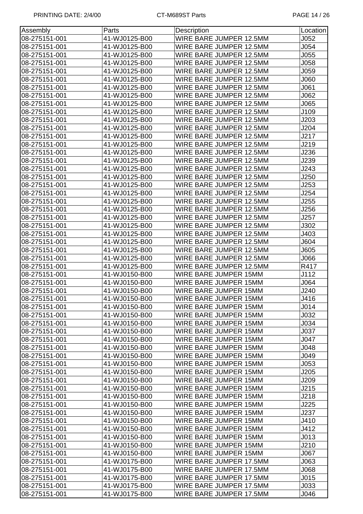| Assembly      | Parts         | Description             | Location         |
|---------------|---------------|-------------------------|------------------|
| 08-275151-001 | 41-WJ0125-B00 | WIRE BARE JUMPER 12.5MM | J052             |
| 08-275151-001 | 41-WJ0125-B00 | WIRE BARE JUMPER 12.5MM | J054             |
| 08-275151-001 | 41-WJ0125-B00 | WIRE BARE JUMPER 12.5MM | J055             |
| 08-275151-001 | 41-WJ0125-B00 | WIRE BARE JUMPER 12.5MM | J058             |
| 08-275151-001 | 41-WJ0125-B00 | WIRE BARE JUMPER 12.5MM | J059             |
| 08-275151-001 | 41-WJ0125-B00 | WIRE BARE JUMPER 12.5MM | J060             |
| 08-275151-001 | 41-WJ0125-B00 | WIRE BARE JUMPER 12.5MM | J061             |
| 08-275151-001 | 41-WJ0125-B00 | WIRE BARE JUMPER 12.5MM | J062             |
| 08-275151-001 | 41-WJ0125-B00 | WIRE BARE JUMPER 12.5MM | J065             |
| 08-275151-001 | 41-WJ0125-B00 | WIRE BARE JUMPER 12.5MM | J109             |
| 08-275151-001 | 41-WJ0125-B00 | WIRE BARE JUMPER 12.5MM | J203             |
| 08-275151-001 | 41-WJ0125-B00 | WIRE BARE JUMPER 12.5MM | J204             |
| 08-275151-001 | 41-WJ0125-B00 | WIRE BARE JUMPER 12.5MM | J217             |
| 08-275151-001 | 41-WJ0125-B00 | WIRE BARE JUMPER 12.5MM | J219             |
| 08-275151-001 | 41-WJ0125-B00 | WIRE BARE JUMPER 12.5MM | J236             |
| 08-275151-001 | 41-WJ0125-B00 | WIRE BARE JUMPER 12.5MM | J239             |
| 08-275151-001 | 41-WJ0125-B00 | WIRE BARE JUMPER 12.5MM | J243             |
| 08-275151-001 | 41-WJ0125-B00 | WIRE BARE JUMPER 12.5MM | J250             |
| 08-275151-001 | 41-WJ0125-B00 | WIRE BARE JUMPER 12.5MM | J253             |
| 08-275151-001 | 41-WJ0125-B00 | WIRE BARE JUMPER 12.5MM | J254             |
| 08-275151-001 | 41-WJ0125-B00 | WIRE BARE JUMPER 12.5MM | J255             |
| 08-275151-001 | 41-WJ0125-B00 | WIRE BARE JUMPER 12.5MM | J256             |
| 08-275151-001 | 41-WJ0125-B00 | WIRE BARE JUMPER 12.5MM | J257             |
| 08-275151-001 | 41-WJ0125-B00 | WIRE BARE JUMPER 12.5MM | J302             |
| 08-275151-001 | 41-WJ0125-B00 | WIRE BARE JUMPER 12.5MM | J403             |
| 08-275151-001 | 41-WJ0125-B00 | WIRE BARE JUMPER 12.5MM | J604             |
| 08-275151-001 | 41-WJ0125-B00 | WIRE BARE JUMPER 12.5MM | J605             |
| 08-275151-001 | 41-WJ0125-B00 | WIRE BARE JUMPER 12.5MM | J066             |
| 08-275151-001 | 41-WJ0125-B00 | WIRE BARE JUMPER 12.5MM | R417             |
| 08-275151-001 | 41-WJ0150-B00 | WIRE BARE JUMPER 15MM   | J112             |
| 08-275151-001 | 41-WJ0150-B00 | WIRE BARE JUMPER 15MM   | J064             |
| 08-275151-001 | 41-WJ0150-B00 | WIRE BARE JUMPER 15MM   | J240             |
| 08-275151-001 | 41-WJ0150-B00 | WIRE BARE JUMPER 15MM   | J416             |
| 08-275151-001 | 41-WJ0150-B00 | WIRE BARE JUMPER 15MM   | J <sub>014</sub> |
| 08-275151-001 | 41-WJ0150-B00 | WIRE BARE JUMPER 15MM   | J032             |
| 08-275151-001 | 41-WJ0150-B00 | WIRE BARE JUMPER 15MM   | J <sub>034</sub> |
| 08-275151-001 | 41-WJ0150-B00 | WIRE BARE JUMPER 15MM   | J037             |
| 08-275151-001 | 41-WJ0150-B00 | WIRE BARE JUMPER 15MM   | J047             |
| 08-275151-001 | 41-WJ0150-B00 | WIRE BARE JUMPER 15MM   | J048             |
| 08-275151-001 | 41-WJ0150-B00 | WIRE BARE JUMPER 15MM   | J049             |
| 08-275151-001 | 41-WJ0150-B00 | WIRE BARE JUMPER 15MM   | J053             |
| 08-275151-001 | 41-WJ0150-B00 | WIRE BARE JUMPER 15MM   | J205             |
| 08-275151-001 | 41-WJ0150-B00 | WIRE BARE JUMPER 15MM   | J209             |
| 08-275151-001 | 41-WJ0150-B00 | WIRE BARE JUMPER 15MM   | J215             |
| 08-275151-001 | 41-WJ0150-B00 | WIRE BARE JUMPER 15MM   | J218             |
| 08-275151-001 | 41-WJ0150-B00 | WIRE BARE JUMPER 15MM   | J225             |
| 08-275151-001 | 41-WJ0150-B00 | WIRE BARE JUMPER 15MM   | J237             |
| 08-275151-001 | 41-WJ0150-B00 | WIRE BARE JUMPER 15MM   | J410             |
| 08-275151-001 | 41-WJ0150-B00 | WIRE BARE JUMPER 15MM   | J412             |
| 08-275151-001 | 41-WJ0150-B00 | WIRE BARE JUMPER 15MM   | J013             |
| 08-275151-001 | 41-WJ0150-B00 | WIRE BARE JUMPER 15MM   | J210             |
| 08-275151-001 | 41-WJ0150-B00 | WIRE BARE JUMPER 15MM   | J067             |
| 08-275151-001 | 41-WJ0175-B00 | WIRE BARE JUMPER 17.5MM | J063             |
| 08-275151-001 | 41-WJ0175-B00 | WIRE BARE JUMPER 17.5MM | 300L             |
| 08-275151-001 | 41-WJ0175-B00 | WIRE BARE JUMPER 17.5MM | J015             |
| 08-275151-001 | 41-WJ0175-B00 | WIRE BARE JUMPER 17.5MM | J033             |
| 08-275151-001 | 41-WJ0175-B00 | WIRE BARE JUMPER 17.5MM | J046             |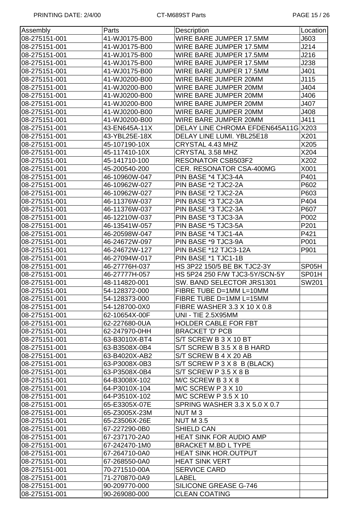| Assembly      | Parts         | Description                          | Location |
|---------------|---------------|--------------------------------------|----------|
| 08-275151-001 | 41-WJ0175-B00 | WIRE BARE JUMPER 17.5MM              | J603     |
| 08-275151-001 | 41-WJ0175-B00 | WIRE BARE JUMPER 17.5MM              | J214     |
| 08-275151-001 | 41-WJ0175-B00 | WIRE BARE JUMPER 17.5MM              | J216     |
| 08-275151-001 | 41-WJ0175-B00 | WIRE BARE JUMPER 17.5MM              | J238     |
| 08-275151-001 | 41-WJ0175-B00 | WIRE BARE JUMPER 17.5MM              | J401     |
| 08-275151-001 | 41-WJ0200-B00 | WIRE BARE JUMPER 20MM                | J115     |
| 08-275151-001 | 41-WJ0200-B00 | WIRE BARE JUMPER 20MM                | J404     |
| 08-275151-001 | 41-WJ0200-B00 | WIRE BARE JUMPER 20MM                | J406     |
| 08-275151-001 | 41-WJ0200-B00 | WIRE BARE JUMPER 20MM                | J407     |
| 08-275151-001 | 41-WJ0200-B00 | WIRE BARE JUMPER 20MM                | J408     |
| 08-275151-001 | 41-WJ0200-B00 | WIRE BARE JUMPER 20MM                | J411     |
| 08-275151-001 | 43-EN645A-11X | DELAY LINE CHROMA EFDEN645A11G X203  |          |
| 08-275151-001 | 43-YBL25E-18X | DELAY LINE LUMI. YBL25E18            | X201     |
| 08-275151-001 | 45-107190-10X | CRYSTAL 4.43 MHZ                     | X205     |
| 08-275151-001 | 45-117410-10X | CRYSTAL 3.58 MHZ                     | X204     |
| 08-275151-001 | 45-141710-100 | <b>RESONATOR CSB503F2</b>            | X202     |
| 08-275151-001 | 45-200540-200 | <b>CER. RESONATOR CSA-400MG</b>      | X001     |
| 08-275151-001 | 46-10960W-047 | PIN BASE *4 TJC3-4A                  | P401     |
| 08-275151-001 | 46-10962W-027 | PIN BASE *2 TJC2-2A                  | P602     |
| 08-275151-001 | 46-10962W-027 | PIN BASE *2 TJC2-2A                  | P603     |
| 08-275151-001 | 46-11376W-037 | PIN BASE *3 TJC2-3A                  | P404     |
| 08-275151-001 | 46-11376W-037 | PIN BASE *3 TJC2-3A                  | P607     |
| 08-275151-001 | 46-12210W-037 | PIN BASE *3 TJC3-3A                  | P002     |
| 08-275151-001 | 46-13541W-057 | PIN BASE *5 TJC3-5A                  | P201     |
| 08-275151-001 | 46-20598W-047 | PIN BASE *4 TJC1-4A                  | P421     |
| 08-275151-001 | 46-24672W-097 | PIN BASE *9 TJC3-9A                  | P001     |
| 08-275151-001 | 46-24672W-127 | PIN BASE *12 TJC3-12A                | P901     |
| 08-275151-001 | 46-27094W-017 | PIN BASE *1 TJC1-1B                  |          |
| 08-275151-001 | 46-27776H-037 | HS 3P22 150/5 BE BK TJC2-3Y          | SP05H    |
| 08-275151-001 | 46-27777H-057 | HS 5P24 250 F/W TJC3-5Y/SCN-5Y       | SP01H    |
| 08-275151-001 | 48-114820-001 | SW. BAND SELECTOR JRS1301            | SW201    |
| 08-275151-001 | 54-128372-000 | FIBRE TUBE D=1MM L=10MM              |          |
| 08-275151-001 | 54-128373-000 | FIBRE TUBE D=1MM L=15MM              |          |
| 08-275151-001 | 54-128700-0X0 | FIBRE WASHER 3.3 X 10 X 0.8          |          |
| 08-275151-001 | 62-10654X-00F | <b>UNI - TIE 2.5X95MM</b>            |          |
| 08-275151-001 | 62-227680-0UA | <b>HOLDER CABLE FOR FBT</b>          |          |
| 08-275151-001 | 62-247970-0HH | <b>BRACKET 'D' PCB</b>               |          |
| 08-275151-001 | 63-B3010X-BT4 | S/T SCREW B 3 X 10 BT                |          |
| 08-275151-001 | 63-B3508X-0B4 | S/T SCREW B 3.5 X 8 B HARD           |          |
| 08-275151-001 | 63-B4020X-AB2 | S/T SCREW B 4 X 20 AB                |          |
| 08-275151-001 | 63-P3008X-0B3 | S/T SCREW P 3 X 8 B (BLACK)          |          |
| 08-275151-001 | 63-P3508X-0B4 | S/T SCREW P 3.5 X 8 B                |          |
| 08-275151-001 | 64-B3008X-102 | M/C SCREW B 3 X 8                    |          |
| 08-275151-001 | 64-P3010X-104 | M/C SCREW P 3 X 10                   |          |
| 08-275151-001 | 64-P3510X-102 | <b>M/C SCREW P 3.5 X 10</b>          |          |
| 08-275151-001 | 65-E3305X-07E | <b>SPRING WASHER 3.3 X 5.0 X 0.7</b> |          |
| 08-275151-001 | 65-Z3005X-23M | NUT M 3                              |          |
| 08-275151-001 | 65-Z3506X-26E | <b>NUT M 3.5</b>                     |          |
| 08-275151-001 | 67-227290-0B0 | SHIELD CAN                           |          |
| 08-275151-001 | 67-237170-2A0 | <b>HEAT SINK FOR AUDIO AMP</b>       |          |
| 08-275151-001 | 67-242470-1M0 | <b>BRACKET M.BD L TYPE</b>           |          |
| 08-275151-001 | 67-264710-0A0 | <b>HEAT SINK HOR.OUTPUT</b>          |          |
| 08-275151-001 | 67-268550-0A0 | <b>HEAT SINK VERT</b>                |          |
| 08-275151-001 | 70-271510-00A | <b>SERVICE CARD</b>                  |          |
| 08-275151-001 | 71-270870-0A9 | LABEL                                |          |
| 08-275151-001 | 90-209770-000 | SILICONE GREASE G-746                |          |
| 08-275151-001 | 90-269080-000 | <b>CLEAN COATING</b>                 |          |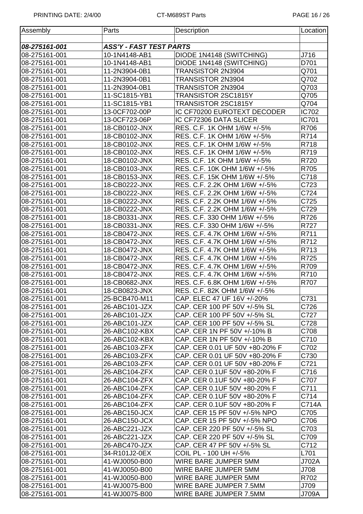| Assembly      | Parts                          | Description                    | Location     |
|---------------|--------------------------------|--------------------------------|--------------|
|               |                                |                                |              |
| 08-275161-001 | <b>ASS'Y - FAST TEST PARTS</b> |                                |              |
| 08-275161-001 | 10-1N4148-AB1                  | DIODE 1N4148 (SWITCHING)       | J716         |
| 08-275161-001 | 10-1N4148-AB1                  | DIODE 1N4148 (SWITCHING)       | D701         |
| 08-275161-001 | 11-2N3904-0B1                  | TRANSISTOR 2N3904              | Q701         |
| 08-275161-001 | 11-2N3904-0B1                  | TRANSISTOR 2N3904              | Q702         |
| 08-275161-001 | 11-2N3904-0B1                  | TRANSISTOR 2N3904              | Q703         |
| 08-275161-001 | 11-SC1815-YB1                  | TRANSISTOR 2SC1815Y            | Q705         |
| 08-275161-001 | 11-SC1815-YB1                  | TRANSISTOR 2SC1815Y            | Q704         |
| 08-275161-001 | 13-0CF702-00P                  | IC CF70200 EUROTEXT DECODER    | <b>IC702</b> |
| 08-275161-001 | 13-0CF723-06P                  | IC CF72306 DATA SLICER         | <b>IC701</b> |
| 08-275161-001 | 18-CB0102-JNX                  | RES. C.F. 1K OHM 1/6W +/-5%    | R706         |
| 08-275161-001 | 18-CB0102-JNX                  | RES. C.F. 1K OHM 1/6W +/-5%    | R714         |
| 08-275161-001 | 18-CB0102-JNX                  | RES. C.F. 1K OHM 1/6W +/-5%    | R718         |
| 08-275161-001 | 18-CB0102-JNX                  | RES. C.F. 1K OHM 1/6W +/-5%    | R719         |
| 08-275161-001 | 18-CB0102-JNX                  | RES. C.F. 1K OHM 1/6W +/-5%    | R720         |
| 08-275161-001 | 18-CB0103-JNX                  | RES. C.F. 10K OHM 1/6W +/-5%   | R705         |
| 08-275161-001 | 18-CB0153-JNX                  | RES. C.F. 15K OHM 1/6W +/-5%   | C718         |
| 08-275161-001 | 18-CB0222-JNX                  | RES. C.F. 2.2K OHM 1/6W +/-5%  | C723         |
| 08-275161-001 | 18-CB0222-JNX                  | RES. C.F. 2.2K OHM 1/6W +/-5%  | C724         |
| 08-275161-001 | 18-CB0222-JNX                  | RES. C.F. 2.2K OHM 1/6W +/-5%  | C725         |
| 08-275161-001 | 18-CB0222-JNX                  | RES. C.F. 2.2K OHM 1/6W +/-5%  | C729         |
| 08-275161-001 | 18-CB0331-JNX                  | RES. C.F. 330 OHM 1/6W +/-5%   | R726         |
| 08-275161-001 | 18-CB0331-JNX                  | RES. C.F. 330 OHM 1/6W +/-5%   | R727         |
| 08-275161-001 | 18-CB0472-JNX                  | RES. C.F. 4.7K OHM 1/6W +/-5%  | R711         |
| 08-275161-001 | 18-CB0472-JNX                  | RES. C.F. 4.7K OHM 1/6W +/-5%  | R712         |
| 08-275161-001 | 18-CB0472-JNX                  | RES. C.F. 4.7K OHM 1/6W +/-5%  | R713         |
| 08-275161-001 | 18-CB0472-JNX                  | RES. C.F. 4.7K OHM 1/6W +/-5%  | R725         |
| 08-275161-001 | 18-CB0472-JNX                  | RES. C.F. 4.7K OHM 1/6W +/-5%  | R709         |
| 08-275161-001 | 18-CB0472-JNX                  | RES. C.F. 4.7K OHM 1/6W +/-5%  | R710         |
| 08-275161-001 | 18-CB0682-JNX                  | RES. C.F. 6.8K OHM 1/6W +/-5%  | R707         |
| 08-275161-001 | 18-CB0823-JNX                  | RES. C.F. 82K OHM 1/6W +/-5%   |              |
| 08-275161-001 | 25-BCB470-M11                  | CAP. ELEC 47 UF 16V +/-20%     | C731         |
| 08-275161-001 | 26-ABC101-JZX                  | CAP. CER 100 PF 50V +/-5% SL   | C726         |
| 08-275161-001 | 26-ABC101-JZX                  | CAP. CER 100 PF 50V +/-5% SL   | C727         |
| 08-275161-001 | 26-ABC101-JZX                  | CAP. CER 100 PF 50V +/-5% SL   | C728         |
| 08-275161-001 | 26-ABC102-KBX                  | CAP. CER 1N PF 50V +/-10% B    | C708         |
| 08-275161-001 | 26-ABC102-KBX                  | CAP. CER 1N PF 50V +/-10% B    | C710         |
| 08-275161-001 | 26-ABC103-ZFX                  | CAP. CER 0.01 UF 50V +80-20% F | C702         |
| 08-275161-001 | 26-ABC103-ZFX                  | CAP. CER 0.01 UF 50V +80-20% F | C730         |
| 08-275161-001 | 26-ABC103-ZFX                  | CAP. CER 0.01 UF 50V +80-20% F | C721         |
| 08-275161-001 | 26-ABC104-ZFX                  | CAP. CER 0.1UF 50V +80-20% F   | C716         |
| 08-275161-001 | 26-ABC104-ZFX                  | CAP. CER 0.1UF 50V +80-20% F   | C707         |
| 08-275161-001 | 26-ABC104-ZFX                  | CAP. CER 0.1UF 50V +80-20% F   | C711         |
| 08-275161-001 | 26-ABC104-ZFX                  | CAP. CER 0.1UF 50V +80-20% F   | C714         |
| 08-275161-001 | 26-ABC104-ZFX                  | CAP. CER 0.1UF 50V +80-20% F   | C714A        |
| 08-275161-001 | 26-ABC150-JCX                  | CAP. CER 15 PF 50V +/-5% NPO   | C705         |
| 08-275161-001 | 26-ABC150-JCX                  | CAP. CER 15 PF 50V +/-5% NPO   | C706         |
| 08-275161-001 | 26-ABC221-JZX                  | CAP. CER 220 PF 50V +/-5% SL   | C703         |
| 08-275161-001 | 26-ABC221-JZX                  | CAP. CER 220 PF 50V +/-5% SL   | C709         |
| 08-275161-001 | 26-ABC470-JZX                  | CAP. CER 47 PF 50V +/-5% SL    | C712         |
| 08-275161-001 | 34-R101J2-0EX                  | COIL PL - 100 UH +/-5%         | L701         |
| 08-275161-001 | 41-WJ0050-B00                  | WIRE BARE JUMPER 5MM           | J702A        |
| 08-275161-001 | 41-WJ0050-B00                  | WIRE BARE JUMPER 5MM           | J708         |
| 08-275161-001 | 41-WJ0050-B00                  | WIRE BARE JUMPER 5MM           | R702         |
| 08-275161-001 | 41-WJ0075-B00                  | WIRE BARE JUMPER 7.5MM         | J709         |
| 08-275161-001 | 41-WJ0075-B00                  | WIRE BARE JUMPER 7.5MM         | <b>J709A</b> |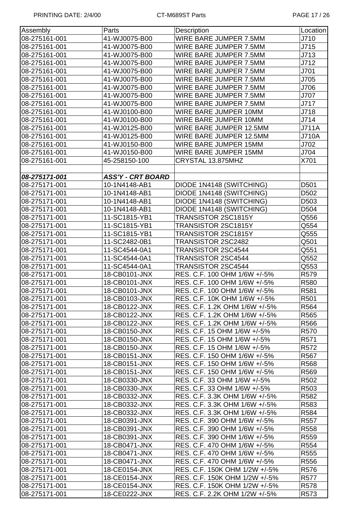| Assembly      | Parts             | Description                     | Location         |
|---------------|-------------------|---------------------------------|------------------|
| 08-275161-001 | 41-WJ0075-B00     | WIRE BARE JUMPER 7.5MM          | J710             |
| 08-275161-001 | 41-WJ0075-B00     | WIRE BARE JUMPER 7.5MM          | J715             |
| 08-275161-001 | 41-WJ0075-B00     | WIRE BARE JUMPER 7.5MM          | J713             |
| 08-275161-001 | 41-WJ0075-B00     | WIRE BARE JUMPER 7.5MM          | J712             |
| 08-275161-001 | 41-WJ0075-B00     | WIRE BARE JUMPER 7.5MM          | J701             |
| 08-275161-001 | 41-WJ0075-B00     | WIRE BARE JUMPER 7.5MM          | J705             |
| 08-275161-001 | 41-WJ0075-B00     | WIRE BARE JUMPER 7.5MM          | J706             |
| 08-275161-001 | 41-WJ0075-B00     | WIRE BARE JUMPER 7.5MM          | J707             |
| 08-275161-001 | 41-WJ0075-B00     | WIRE BARE JUMPER 7.5MM          | J717             |
| 08-275161-001 | 41-WJ0100-B00     | WIRE BARE JUMPER 10MM           | J718             |
| 08-275161-001 | 41-WJ0100-B00     | WIRE BARE JUMPER 10MM           | J714             |
| 08-275161-001 | 41-WJ0125-B00     | WIRE BARE JUMPER 12.5MM         | <b>J711A</b>     |
| 08-275161-001 | 41-WJ0125-B00     | WIRE BARE JUMPER 12.5MM         | <b>J710A</b>     |
| 08-275161-001 | 41-WJ0150-B00     | WIRE BARE JUMPER 15MM           | J702             |
| 08-275161-001 | 41-WJ0150-B00     | WIRE BARE JUMPER 15MM           | J704             |
| 08-275161-001 | 45-258150-100     | CRYSTAL 13.875MHZ               | X701             |
|               |                   |                                 |                  |
| 08-275171-001 | ASS'Y - CRT BOARD |                                 |                  |
| 08-275171-001 | 10-1N4148-AB1     | DIODE 1N4148 (SWITCHING)        | D501             |
| 08-275171-001 | 10-1N4148-AB1     | <b>DIODE 1N4148 (SWITCHING)</b> | D502             |
| 08-275171-001 | 10-1N4148-AB1     | DIODE 1N4148 (SWITCHING)        | D503             |
| 08-275171-001 | 10-1N4148-AB1     | DIODE 1N4148 (SWITCHING)        | D504             |
| 08-275171-001 | 11-SC1815-YB1     | TRANSISTOR 2SC1815Y             | Q556             |
| 08-275171-001 | 11-SC1815-YB1     | TRANSISTOR 2SC1815Y             | Q554             |
| 08-275171-001 | 11-SC1815-YB1     | TRANSISTOR 2SC1815Y             | Q555             |
| 08-275171-001 | 11-SC2482-0B1     | TRANSISTOR 2SC2482              | Q501             |
| 08-275171-001 | 11-SC4544-0A1     | TRANSISTOR 2SC4544              | Q551             |
| 08-275171-001 | 11-SC4544-0A1     | TRANSISTOR 2SC4544              | Q552             |
| 08-275171-001 | 11-SC4544-0A1     | TRANSISTOR 2SC4544              | Q553             |
| 08-275171-001 | 18-CB0101-JNX     | RES. C.F. 100 OHM 1/6W +/-5%    | R579             |
| 08-275171-001 | 18-CB0101-JNX     | RES. C.F. 100 OHM 1/6W +/-5%    | R580             |
| 08-275171-001 | 18-CB0101-JNX     | RES. C.F. 100 OHM 1/6W +/-5%    | R581             |
| 08-275171-001 | 18-CB0103-JNX     | RES. C.F. 10K OHM 1/6W +/-5%    | R501             |
| 08-275171-001 | 18-CB0122-JNX     | RES. C.F. 1.2K OHM 1/6W +/-5%   | R <sub>564</sub> |
| 08-275171-001 | 18-CB0122-JNX     | RES. C.F. 1.2K OHM 1/6W +/-5%   | R565             |
| 08-275171-001 | 18-CB0122-JNX     | RES. C.F. 1.2K OHM 1/6W +/-5%   | R566             |
| 08-275171-001 | 18-CB0150-JNX     | RES. C.F. 15 OHM 1/6W +/-5%     | R570             |
| 08-275171-001 | 18-CB0150-JNX     | RES. C.F. 15 OHM 1/6W +/-5%     | R571             |
| 08-275171-001 | 18-CB0150-JNX     | RES. C.F. 15 OHM 1/6W +/-5%     | R <sub>572</sub> |
| 08-275171-001 | 18-CB0151-JNX     | RES. C.F. 150 OHM 1/6W +/-5%    | R <sub>567</sub> |
| 08-275171-001 | 18-CB0151-JNX     | RES. C.F. 150 OHM 1/6W +/-5%    | R <sub>568</sub> |
| 08-275171-001 | 18-CB0151-JNX     | RES. C.F. 150 OHM 1/6W +/-5%    | R569             |
| 08-275171-001 | 18-CB0330-JNX     | RES. C.F. 33 OHM 1/6W +/-5%     | R502             |
| 08-275171-001 | 18-CB0330-JNX     | RES. C.F. 33 OHM 1/6W +/-5%     | R503             |
| 08-275171-001 | 18-CB0332-JNX     | RES. C.F. 3.3K OHM 1/6W +/-5%   | R582             |
| 08-275171-001 | 18-CB0332-JNX     | RES. C.F. 3.3K OHM 1/6W +/-5%   | R583             |
| 08-275171-001 | 18-CB0332-JNX     | RES. C.F. 3.3K OHM 1/6W +/-5%   | R584             |
| 08-275171-001 | 18-CB0391-JNX     | RES. C.F. 390 OHM 1/6W +/-5%    | R <sub>557</sub> |
| 08-275171-001 | 18-CB0391-JNX     | RES. C.F. 390 OHM 1/6W +/-5%    | R <sub>558</sub> |
| 08-275171-001 | 18-CB0391-JNX     | RES. C.F. 390 OHM 1/6W +/-5%    | R <sub>559</sub> |
| 08-275171-001 | 18-CB0471-JNX     | RES. C.F. 470 OHM 1/6W +/-5%    | R <sub>554</sub> |
| 08-275171-001 | 18-CB0471-JNX     | RES. C.F. 470 OHM 1/6W +/-5%    | R555             |
| 08-275171-001 | 18-CB0471-JNX     | RES. C.F. 470 OHM 1/6W +/-5%    | R556             |
| 08-275171-001 | 18-CE0154-JNX     | RES. C.F. 150K OHM 1/2W +/-5%   | R576             |
| 08-275171-001 | 18-CE0154-JNX     | RES. C.F. 150K OHM 1/2W +/-5%   | R577             |
| 08-275171-001 | 18-CE0154-JNX     | RES. C.F. 150K OHM 1/2W +/-5%   | R578             |
| 08-275171-001 | 18-CE0222-JNX     | RES. C.F. 2.2K OHM 1/2W +/-5%   | R <sub>573</sub> |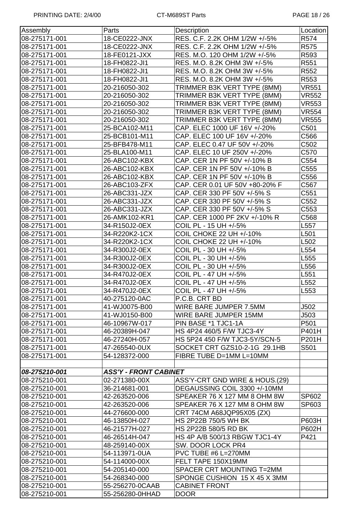| Assembly      | Parts                        | Description                    | Location         |
|---------------|------------------------------|--------------------------------|------------------|
| 08-275171-001 | 18-CE0222-JNX                | RES. C.F. 2.2K OHM 1/2W +/-5%  | R574             |
| 08-275171-001 | 18-CE0222-JNX                | RES. C.F. 2.2K OHM 1/2W +/-5%  | R575             |
| 08-275171-001 | 18-FE0121-JXX                | RES. M.O. 120 OHM 1/2W +/-5%   | R593             |
| 08-275171-001 | 18-FH0822-JI1                | RES. M.O. 8.2K OHM 3W +/-5%    | R551             |
| 08-275171-001 | 18-FH0822-JI1                | RES. M.O. 8.2K OHM 3W +/-5%    | R <sub>552</sub> |
| 08-275171-001 | 18-FH0822-JI1                | RES. M.O. 8.2K OHM 3W +/-5%    | R553             |
| 08-275171-001 | 20-216050-302                | TRIMMER B3K VERT TYPE (8MM)    | <b>VR551</b>     |
| 08-275171-001 | 20-216050-302                | TRIMMER B3K VERT TYPE (8MM)    | <b>VR552</b>     |
| 08-275171-001 | 20-216050-302                | TRIMMER B3K VERT TYPE (8MM)    | <b>VR553</b>     |
| 08-275171-001 | 20-216050-302                | TRIMMER B3K VERT TYPE (8MM)    | <b>VR554</b>     |
| 08-275171-001 | 20-216050-302                | TRIMMER B3K VERT TYPE (8MM)    | <b>VR555</b>     |
| 08-275171-001 | 25-BCA102-M11                | CAP. ELEC 1000 UF 16V +/-20%   | C501             |
| 08-275171-001 | 25-BCB101-M11                | CAP. ELEC 100 UF 16V +/-20%    | C566             |
| 08-275171-001 | 25-BFB478-M11                | CAP. ELEC 0.47 UF 50V +/-20%   | C502             |
| 08-275171-001 | 25-BLA100-M11                | CAP. ELEC 10 UF 250V +/-20%    | C570             |
| 08-275171-001 | 26-ABC102-KBX                | CAP. CER 1N PF 50V +/-10% B    | C554             |
| 08-275171-001 | 26-ABC102-KBX                | CAP. CER 1N PF 50V +/-10% B    | C <sub>555</sub> |
| 08-275171-001 | 26-ABC102-KBX                | CAP. CER 1N PF 50V +/-10% B    | C556             |
| 08-275171-001 | 26-ABC103-ZFX                | CAP. CER 0.01 UF 50V +80-20% F | C567             |
| 08-275171-001 | 26-ABC331-JZX                | CAP. CER 330 PF 50V +/-5% S    | C551             |
| 08-275171-001 | 26-ABC331-JZX                | CAP. CER 330 PF 50V +/-5% S    | C552             |
| 08-275171-001 | 26-ABC331-JZX                | CAP. CER 330 PF 50V +/-5% S    | C553             |
| 08-275171-001 | 26-AMK102-KR1                | CAP. CER 1000 PF 2KV +/-10% R  | C568             |
| 08-275171-001 | 34-R150J2-0EX                | COIL PL - 15 UH +/-5%          | L557             |
| 08-275171-001 | 34-R220K2-1CX                | COIL CHOKE 22 UH +/-10%        | L501             |
| 08-275171-001 | 34-R220K2-1CX                | COIL CHOKE 22 UH +/-10%        | L502             |
| 08-275171-001 | 34-R300J2-0EX                | COIL PL - 30 UH +/-5%          | L554             |
| 08-275171-001 | 34-R300J2-0EX                | COIL PL - 30 UH +/-5%          | L555             |
| 08-275171-001 | 34-R300J2-0EX                | COIL PL - 30 UH +/-5%          | L556             |
| 08-275171-001 | 34-R470J2-0EX                | COIL PL - 47 UH +/-5%          | L551             |
| 08-275171-001 | 34-R470J2-0EX                | COIL PL - 47 UH +/-5%          | L552             |
| 08-275171-001 | 34-R470J2-0EX                | COIL PL - 47 UH +/-5%          | L553             |
| 08-275171-001 | 40-275120-0AC                | P.C.B. CRT BD                  |                  |
| 08-275171-001 | 41-WJ0075-B00                | WIRE BARE JUMPER 7.5MM         | J502             |
| 08-275171-001 | 41-WJ0150-B00                | WIRE BARE JUMPER 15MM          | J503             |
| 08-275171-001 | 46-10967W-017                | PIN BASE *1 TJC1-1A            | P501             |
| 08-275171-001 | 46-20389H-047                | HS 4P24 460/5 F/W TJC3-4Y      | P401H            |
| 08-275171-001 | 46-27240H-057                | HS 5P24 450 F/W TJC3-5Y/SCN-5  | P201H            |
| 08-275171-001 | 47-265540-0UX                | SOCKET CRT GZS10-2-1G 29.1HB   | S501             |
| 08-275171-001 | 54-128372-000                | FIBRE TUBE D=1MM L=10MM        |                  |
|               |                              |                                |                  |
| 08-275210-001 | <b>ASS'Y - FRONT CABINET</b> |                                |                  |
| 08-275210-001 | 02-271380-00X                | ASS'Y-CRT GND WIRE & HOUS.(29) |                  |
| 08-275210-001 | 36-214681-001                | DEGAUSSING COIL 3300 +/-10MM   |                  |
| 08-275210-001 | 42-263520-006                | SPEAKER 76 X 127 MM 8 OHM 8W   | SP602            |
| 08-275210-001 | 42-263520-006                | SPEAKER 76 X 127 MM 8 OHM 8W   | SP603            |
| 08-275210-001 | 44-276600-000                | CRT 74CM A68JQP95X05 (ZX)      |                  |
| 08-275210-001 | 46-13850H-027                | HS 2P22B 750/5 WH BK           | P603H            |
| 08-275210-001 | 46-21577H-027                | HS 2P22B 580/5 RD BK           | P602H            |
| 08-275210-001 | 46-26514H-047                | HS 4P A/B 500/13 RBGW TJC1-4Y  | P421             |
| 08-275210-001 | 48-259140-00X                | SW. DOOR LOCK PR4              |                  |
| 08-275210-001 | 54-113971-0UA                | PVC TUBE #6 L=270MM            |                  |
| 08-275210-001 | 54-114000-00X                | FELT TAPE 150X19MM             |                  |
| 08-275210-001 | 54-205140-000                | SPACER CRT MOUNTING T=2MM      |                  |
| 08-275210-001 | 54-268340-000                | SPONGE CUSHION 15 X 45 X 3MM   |                  |
| 08-275210-001 | 55-256270-0CAAB              | <b>CABINET FRONT</b>           |                  |
| 08-275210-001 | 55-256280-0HHAD              | <b>DOOR</b>                    |                  |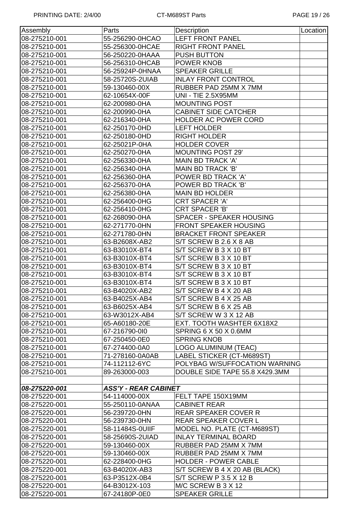| Assembly      | Parts                       | Description                     | Location |
|---------------|-----------------------------|---------------------------------|----------|
| 08-275210-001 | 55-256290-0HCAO             | <b>LEFT FRONT PANEL</b>         |          |
| 08-275210-001 | 55-256300-0HCAE             | <b>RIGHT FRONT PANEL</b>        |          |
| 08-275210-001 | 56-250220-0HAAA             | <b>PUSH BUTTON</b>              |          |
| 08-275210-001 | 56-256310-0HCAB             | POWER KNOB                      |          |
| 08-275210-001 | 56-25924P-0HNAA             | <b>SPEAKER GRILLE</b>           |          |
| 08-275210-001 | 58-25720S-2UIAB             | <b>INLAY FRONT CONTROL</b>      |          |
| 08-275210-001 | 59-130460-00X               | RUBBER PAD 25MM X 7MM           |          |
| 08-275210-001 | 62-10654X-00F               | <b>UNI - TIE 2.5X95MM</b>       |          |
| 08-275210-001 | 62-200980-0HA               | <b>MOUNTING POST</b>            |          |
| 08-275210-001 | 62-200990-0HA               | <b>CABINET SIDE CATCHER</b>     |          |
| 08-275210-001 | 62-216340-0HA               | <b>HOLDER AC POWER CORD</b>     |          |
| 08-275210-001 | 62-250170-0HD               | <b>LEFT HOLDER</b>              |          |
| 08-275210-001 | 62-250180-0HD               | <b>RIGHT HOLDER</b>             |          |
| 08-275210-001 | 62-25021P-0HA               | <b>HOLDER COVER</b>             |          |
| 08-275210-001 | 62-250270-0HA               | <b>MOUNTING POST 29'</b>        |          |
| 08-275210-001 | 62-256330-0HA               | <b>MAIN BD TRACK 'A'</b>        |          |
| 08-275210-001 | 62-256340-0HA               | MAIN BD TRACK 'B'               |          |
| 08-275210-001 | 62-256360-0HA               | POWER BD TRACK 'A'              |          |
| 08-275210-001 | 62-256370-0HA               | POWER BD TRACK 'B'              |          |
| 08-275210-001 | 62-256380-0HA               | <b>MAIN BD HOLDER</b>           |          |
| 08-275210-001 | 62-256400-0HG               | <b>CRT SPACER 'A'</b>           |          |
| 08-275210-001 | 62-256410-0HG               | <b>CRT SPACER 'B'</b>           |          |
| 08-275210-001 | 62-268090-0HA               | <b>SPACER - SPEAKER HOUSING</b> |          |
| 08-275210-001 | 62-271770-0HN               | <b>FRONT SPEAKER HOUSING</b>    |          |
| 08-275210-001 | 62-271780-0HN               | <b>BRACKET FRONT SPEAKER</b>    |          |
| 08-275210-001 | 63-B2608X-AB2               | S/T SCREW B 2.6 X 8 AB          |          |
| 08-275210-001 | 63-B3010X-BT4               | S/T SCREW B 3 X 10 BT           |          |
| 08-275210-001 | 63-B3010X-BT4               | S/T SCREW B 3 X 10 BT           |          |
| 08-275210-001 | 63-B3010X-BT4               | S/T SCREW B 3 X 10 BT           |          |
| 08-275210-001 | 63-B3010X-BT4               | S/T SCREW B 3 X 10 BT           |          |
| 08-275210-001 | 63-B3010X-BT4               | S/T SCREW B 3 X 10 BT           |          |
| 08-275210-001 | 63-B4020X-AB2               | S/T SCREW B 4 X 20 AB           |          |
| 08-275210-001 | 63-B4025X-AB4               | S/T SCREW B 4 X 25 AB           |          |
| 08-275210-001 | 63-B6025X-AB4               | S/T SCREW B 6 X 25 AB           |          |
| 08-275210-001 | 63-W3012X-AB4               | S/T SCREW W 3 X 12 AB           |          |
| 08-275210-001 | 65-A60180-20E               | EXT. TOOTH WASHTER 6X18X2       |          |
| 08-275210-001 | 67-216790-010               | SPRING 6 X 50 X 0.6MM           |          |
| 08-275210-001 | 67-250450-0E0               | <b>SPRING KNOB</b>              |          |
| 08-275210-001 | 67-274400-0A0               | LOGO ALUMINUM (TEAC)            |          |
| 08-275210-001 | 71-278160-0A0AB             | LABEL STICKER (CT-M689ST)       |          |
| 08-275210-001 | 74-112112-6YC               | POLYBAG W/SUFFOCATION WARNING   |          |
| 08-275210-001 | 89-263000-003               | DOUBLE SIDE TAPE 55.8 X429.3MM  |          |
|               |                             |                                 |          |
| 08-275220-001 | <b>ASS'Y - REAR CABINET</b> |                                 |          |
| 08-275220-001 | 54-114000-00X               | FELT TAPE 150X19MM              |          |
| 08-275220-001 | 55-250110-0ANAA             | <b>CABINET REAR</b>             |          |
| 08-275220-001 | 56-239720-0HN               | <b>REAR SPEAKER COVER R</b>     |          |
| 08-275220-001 | 56-239730-0HN               | <b>REAR SPEAKER COVER L</b>     |          |
| 08-275220-001 | 58-11484S-0UIIF             | MODEL NO. PLATE (CT-M689ST)     |          |
| 08-275220-001 | 58-25690S-2UIAD             | <b>INLAY TERMINAL BOARD</b>     |          |
| 08-275220-001 | 59-130460-00X               | RUBBER PAD 25MM X 7MM           |          |
| 08-275220-001 | 59-130460-00X               | RUBBER PAD 25MM X 7MM           |          |
| 08-275220-001 | 62-228400-0HG               | <b>HOLDER - POWER CABLE</b>     |          |
| 08-275220-001 | 63-B4020X-AB3               | S/T SCREW B 4 X 20 AB (BLACK)   |          |
| 08-275220-001 | 63-P3512X-0B4               | S/T SCREW P 3.5 X 12 B          |          |
| 08-275220-001 | 64-B3012X-103               | M/C SCREW B 3 X 12              |          |
| 08-275220-001 | 67-24180P-0E0               | <b>SPEAKER GRILLE</b>           |          |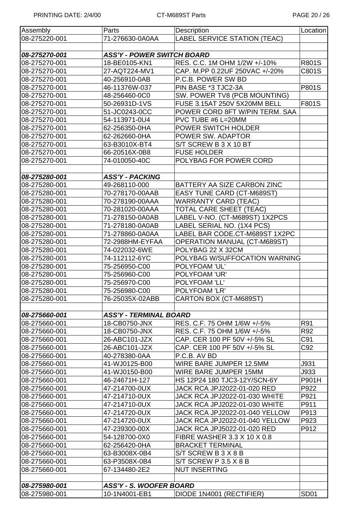| Assembly      | Parts                             | Description                         | Location         |
|---------------|-----------------------------------|-------------------------------------|------------------|
| 08-275220-001 | 71-276630-0A0AA                   | <b>LABEL SERVICE STATION (TEAC)</b> |                  |
|               |                                   |                                     |                  |
| 08-275270-001 | <b>ASS'Y - POWER SWITCH BOARD</b> |                                     |                  |
|               |                                   |                                     |                  |
| 08-275270-001 | 18-BE0105-KN1                     | RES. C.C. 1M OHM 1/2W +/-10%        | R801S            |
| 08-275270-001 | 27-AQT224-MV1                     | CAP. M.PP 0.22UF 250VAC +/-20%      | C801S            |
| 08-275270-001 | 40-256910-0AB                     | P.C.B. POWER SW BD                  |                  |
| 08-275270-001 | 46-11376W-037                     | PIN BASE *3 TJC2-3A                 | P801S            |
| 08-275270-001 | 48-256460-0C0                     | SW. POWER TV8 (PCB MOUNTING)        |                  |
| 08-275270-001 | 50-26931D-1VS                     | FUSE 3.15AT 250V 5X20MM BELL        | F801S            |
| 08-275270-001 | 51-JC0243-0CC                     | POWER CORD 8FT W/PIN TERM. SAA      |                  |
| 08-275270-001 | 54-113971-0U4                     | PVC TUBE #6 L=20MM                  |                  |
| 08-275270-001 | 62-256350-0HA                     | POWER SWITCH HOLDER                 |                  |
| 08-275270-001 | 62-262660-0HA                     | POWER SW. ADAPTOR                   |                  |
| 08-275270-001 | 63-B3010X-BT4                     | S/T SCREW B 3 X 10 BT               |                  |
| 08-275270-001 | 66-20516X-0B8                     | <b>FUSE HOLDER</b>                  |                  |
| 08-275270-001 | 74-010050-40C                     | POLYBAG FOR POWER CORD              |                  |
|               |                                   |                                     |                  |
| 08-275280-001 | <b>ASS'Y - PACKING</b>            |                                     |                  |
| 08-275280-001 | 49-268110-000                     | BATTERY AA SIZE CARBON ZINC         |                  |
| 08-275280-001 | 70-278170-00AAB                   | EASY TUNE CARD (CT-M689ST)          |                  |
| 08-275280-001 | 70-278190-00AAA                   | <b>WARRANTY CARD (TEAC)</b>         |                  |
|               |                                   |                                     |                  |
| 08-275280-001 | 70-281020-00AAA                   | <b>TOTAL CARE SHEET (TEAC)</b>      |                  |
| 08-275280-001 | 71-278150-0A0AB                   | LABEL V-NO. (CT-M689ST) 1X2PCS      |                  |
| 08-275280-001 | 71-278180-0A0AB                   | LABEL SERIAL NO. (1X4 PCS)          |                  |
| 08-275280-001 | 71-278860-0A0AA                   | LABEL BAR CODE.CT-M689ST 1X2PC      |                  |
| 08-275280-001 | 72-2988HM-EYFAA                   | <b>OPERATION MANUAL (CT-M689ST)</b> |                  |
| 08-275280-001 | 74-022032-6WE                     | POLYBAG 22 X 32CM                   |                  |
| 08-275280-001 | 74-112112-6YC                     | POLYBAG W/SUFFOCATION WARNING       |                  |
| 08-275280-001 | 75-256950-C00                     | POLYFOAM 'UL'                       |                  |
| 08-275280-001 | 75-256960-C00                     | POLYFOAM 'UR'                       |                  |
| 08-275280-001 | 75-256970-C00                     | POLYFOAM 'LL'                       |                  |
| 08-275280-001 | 75-256980-C00                     | POLYFOAM 'LR'                       |                  |
| 08-275280-001 | 76-25035X-02ABB                   | CARTON BOX (CT-M689ST)              |                  |
|               |                                   |                                     |                  |
| 08-275660-001 | <b>ASS'Y - TERMINAL BOARD</b>     |                                     |                  |
| 08-275660-001 | 18-CB0750-JNX                     | RES. C.F. 75 OHM 1/6W +/-5%         | R91              |
| 08-275660-001 | 18-CB0750-JNX                     | RES. C.F. 75 OHM 1/6W +/-5%         | R92              |
| 08-275660-001 | 26-ABC101-JZX                     | CAP. CER 100 PF 50V +/-5% SL        | C91              |
| 08-275660-001 | 26-ABC101-JZX                     | CAP. CER 100 PF 50V +/-5% SL        | C92              |
| 08-275660-001 | 40-278380-0AA                     | P.C.B. AV BD                        |                  |
| 08-275660-001 | 41-WJ0125-B00                     | WIRE BARE JUMPER 12.5MM             | J931             |
| 08-275660-001 | 41-WJ0150-B00                     | WIRE BARE JUMPER 15MM               | J933             |
| 08-275660-001 | 46-24671H-127                     | HS 12P24 180 TJC3-12Y/SCN-6Y        | P901H            |
| 08-275660-001 | 47-214700-0UX                     | JACK RCA JPJ2022-01-020 RED         | P922             |
| 08-275660-001 | 47-214710-0UX                     | JACK RCA JPJ2022-01-030 WHITE       | P921             |
|               | 47-214710-0UX                     | JACK RCA JPJ2022-01-030 WHITE       | P911             |
| 08-275660-001 |                                   |                                     |                  |
| 08-275660-001 | 47-214720-0UX                     | JACK RCA JPJ2022-01-040 YELLOW      | P913             |
| 08-275660-001 | 47-214720-0UX                     | JACK RCA JPJ2022-01-040 YELLOW      | P923             |
| 08-275660-001 | 47-239300-00X                     | JACK RCA JPJ5022-01-020 RED         | P912             |
| 08-275660-001 | 54-128700-0X0                     | FIBRE WASHER 3.3 X 10 X 0.8         |                  |
| 08-275660-001 | 62-256420-0HA                     | <b>BRACKET TERMINAL</b>             |                  |
| 08-275660-001 | 63-B3008X-0B4                     | S/T SCREW B 3 X 8 B                 |                  |
| 08-275660-001 | 63-P3508X-0B4                     | S/T SCREW P 3.5 X 8 B               |                  |
| 08-275660-001 | 67-134480-2E2                     | <b>NUT INSERTING</b>                |                  |
|               |                                   |                                     |                  |
| 08-275980-001 | <b>ASS'Y - S. WOOFER BOARD</b>    |                                     |                  |
| 08-275980-001 | 10-1N4001-EB1                     | DIODE 1N4001 (RECTIFIER)            | SD <sub>01</sub> |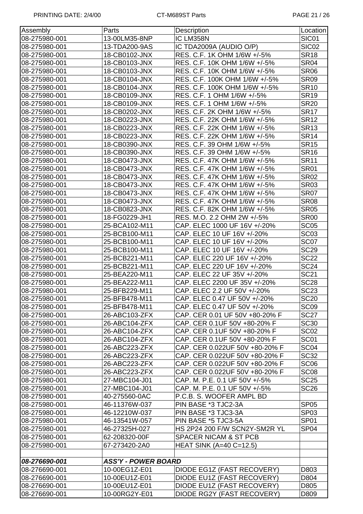| Assembly      | Parts                      | Description                      | Location          |  |
|---------------|----------------------------|----------------------------------|-------------------|--|
| 08-275980-001 | 13-00LM35-8NP              | IC LM358N                        | SIC01             |  |
| 08-275980-001 | 13-TDA200-9AS              | IC TDA2009A (AUDIO O/P)          | SIC <sub>02</sub> |  |
| 08-275980-001 | 18-CB0102-JNX              | RES. C.F. 1K OHM 1/6W +/-5%      | <b>SR18</b>       |  |
| 08-275980-001 | 18-CB0103-JNX              | RES. C.F. 10K OHM 1/6W +/-5%     | <b>SR04</b>       |  |
| 08-275980-001 | 18-CB0103-JNX              | RES. C.F. 10K OHM 1/6W +/-5%     | <b>SR06</b>       |  |
| 08-275980-001 | 18-CB0104-JNX              | RES. C.F. 100K OHM 1/6W +/-5%    | <b>SR09</b>       |  |
| 08-275980-001 | 18-CB0104-JNX              | RES. C.F. 100K OHM 1/6W +/-5%    | <b>SR10</b>       |  |
| 08-275980-001 | 18-CB0109-JNX              | RES. C.F. 1 OHM 1/6W +/-5%       | <b>SR19</b>       |  |
| 08-275980-001 | 18-CB0109-JNX              | RES. C.F. 1 OHM 1/6W +/-5%       | <b>SR20</b>       |  |
| 08-275980-001 | 18-CB0202-JNX              | RES. C.F. 2K OHM 1/6W +/-5%      | <b>SR17</b>       |  |
| 08-275980-001 | 18-CB0223-JNX              | RES. C.F. 22K OHM 1/6W +/-5%     | <b>SR12</b>       |  |
| 08-275980-001 | 18-CB0223-JNX              | RES. C.F. 22K OHM 1/6W +/-5%     | <b>SR13</b>       |  |
| 08-275980-001 | 18-CB0223-JNX              | RES. C.F. 22K OHM 1/6W +/-5%     | <b>SR14</b>       |  |
| 08-275980-001 | 18-CB0390-JNX              | RES. C.F. 39 OHM 1/6W +/-5%      | <b>SR15</b>       |  |
| 08-275980-001 | 18-CB0390-JNX              | RES. C.F. 39 OHM 1/6W +/-5%      | <b>SR16</b>       |  |
| 08-275980-001 | 18-CB0473-JNX              | RES. C.F. 47K OHM 1/6W +/-5%     | <b>SR11</b>       |  |
| 08-275980-001 | 18-CB0473-JNX              | RES. C.F. 47K OHM 1/6W +/-5%     | <b>SR01</b>       |  |
| 08-275980-001 | 18-CB0473-JNX              | RES. C.F. 47K OHM 1/6W +/-5%     | <b>SR02</b>       |  |
| 08-275980-001 | 18-CB0473-JNX              | RES. C.F. 47K OHM 1/6W +/-5%     | <b>SR03</b>       |  |
| 08-275980-001 | 18-CB0473-JNX              | RES. C.F. 47K OHM 1/6W +/-5%     | <b>SR07</b>       |  |
| 08-275980-001 | 18-CB0473-JNX              | RES. C.F. 47K OHM 1/6W +/-5%     | <b>SR08</b>       |  |
| 08-275980-001 | 18-CB0823-JNX              | RES. C.F. 82K OHM 1/6W +/-5%     | <b>SR05</b>       |  |
| 08-275980-001 | 18-FG0229-JH1              | RES. M.O. 2.2 OHM 2W +/-5%       | <b>SR00</b>       |  |
| 08-275980-001 | 25-BCA102-M11              | CAP. ELEC 1000 UF 16V +/-20%     | SC <sub>05</sub>  |  |
| 08-275980-001 | 25-BCB100-M11              | CAP. ELEC 10 UF 16V +/-20%       | SC <sub>03</sub>  |  |
| 08-275980-001 | 25-BCB100-M11              | CAP. ELEC 10 UF 16V +/-20%       | SC07              |  |
| 08-275980-001 | 25-BCB100-M11              | CAP. ELEC 10 UF 16V +/-20%       | <b>SC29</b>       |  |
| 08-275980-001 | 25-BCB221-M11              | CAP. ELEC 220 UF 16V +/-20%      | <b>SC22</b>       |  |
| 08-275980-001 | 25-BCB221-M11              | CAP. ELEC 220 UF 16V +/-20%      | <b>SC24</b>       |  |
| 08-275980-001 | 25-BEA220-M11              | CAP. ELEC 22 UF 35V +/-20%       | <b>SC21</b>       |  |
| 08-275980-001 | 25-BEA222-M11              | CAP. ELEC 2200 UF 35V +/-20%     | <b>SC28</b>       |  |
| 08-275980-001 | 25-BFB229-M11              | CAP. ELEC 2.2 UF 50V +/-20%      | <b>SC23</b>       |  |
| 08-275980-001 | 25-BFB478-M11              | CAP. ELEC 0.47 UF 50V +/-20%     | <b>SC20</b>       |  |
| 08-275980-001 | 25-BFB478-M11              | CAP. ELEC 0.47 UF 50V +/-20%     | SC <sub>09</sub>  |  |
| 08-275980-001 | 26-ABC103-ZFX              | CAP. CER 0.01 UF 50V +80-20% F   | <b>SC27</b>       |  |
| 08-275980-001 | 26-ABC104-ZFX              | CAP. CER 0.1UF 50V +80-20% F     | <b>SC30</b>       |  |
| 08-275980-001 | 26-ABC104-ZFX              | CAP. CER 0.1UF 50V +80-20% F     | SC <sub>02</sub>  |  |
| 08-275980-001 | 26-ABC104-ZFX              | CAP. CER 0.1UF 50V +80-20% F     | SC <sub>01</sub>  |  |
| 08-275980-001 | 26-ABC223-ZFX              | CAP. CER 0.022UF 50V +80-20% F   | SC <sub>04</sub>  |  |
| 08-275980-001 | 26-ABC223-ZFX              | CAP. CER 0.022UF 50V +80-20% F   | <b>SC32</b>       |  |
| 08-275980-001 | 26-ABC223-ZFX              | CAP. CER 0.022UF 50V +80-20% F   | SC <sub>06</sub>  |  |
| 08-275980-001 | 26-ABC223-ZFX              | CAP. CER 0.022UF 50V +80-20% F   | <b>SC08</b>       |  |
| 08-275980-001 | 27-MBC104-J01              | CAP. M. P.E. 0.1 UF 50V +/-5%    | <b>SC25</b>       |  |
| 08-275980-001 | 27-MBC104-J01              | CAP. M. P.E. 0.1 UF 50V +/-5%    | <b>SC26</b>       |  |
| 08-275980-001 | 40-275560-0AC              | P.C.B. S. WOOFER AMPL BD         |                   |  |
| 08-275980-001 | 46-11376W-037              | PIN BASE *3 TJC2-3A              | <b>SP05</b>       |  |
| 08-275980-001 | 46-12210W-037              | PIN BASE *3 TJC3-3A              | SP <sub>03</sub>  |  |
| 08-275980-001 | 46-13541W-057              | PIN BASE *5 TJC3-5A              | SP <sub>01</sub>  |  |
| 08-275980-001 | 46-27325H-027              | HS 2P24 200 F/W SCN2Y-SM2R YL    | SP <sub>04</sub>  |  |
| 08-275980-001 | 62-208320-00F              | <b>SPACER NICAM &amp; ST PCB</b> |                   |  |
| 08-275980-001 | 67-273420-2A0              | HEAT SINK (A=40 C=12.5)          |                   |  |
| 08-276690-001 | <b>ASS'Y - POWER BOARD</b> |                                  |                   |  |
| 08-276690-001 | 10-00EG1Z-E01              | DIODE EG1Z (FAST RECOVERY)       | D803              |  |
| 08-276690-001 | 10-00EU1Z-E01              | DIODE EU1Z (FAST RECOVERY)       | D804              |  |
| 08-276690-001 | 10-00EU1Z-E01              | DIODE EU1Z (FAST RECOVERY)       | D805              |  |
| 08-276690-001 | 10-00RG2Y-E01              | DIODE RG2Y (FAST RECOVERY)       | D809              |  |
|               |                            |                                  |                   |  |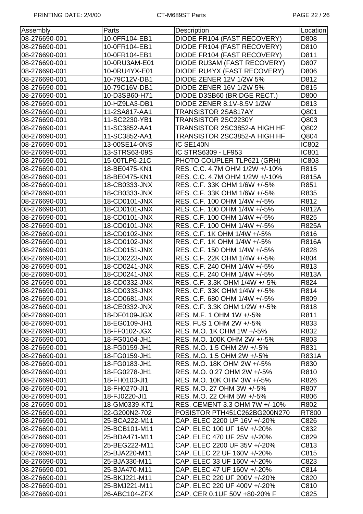| Assembly      | Parts         | Description                    | Location     |
|---------------|---------------|--------------------------------|--------------|
| 08-276690-001 | 10-0FR104-EB1 | DIODE FR104 (FAST RECOVERY)    | D808         |
| 08-276690-001 | 10-0FR104-EB1 | DIODE FR104 (FAST RECOVERY)    | D810         |
| 08-276690-001 | 10-0FR104-EB1 | DIODE FR104 (FAST RECOVERY)    | D811         |
| 08-276690-001 | 10-0RU3AM-E01 | DIODE RU3AM (FAST RECOVERY)    | D807         |
| 08-276690-001 | 10-0RU4YX-E01 | DIODE RU4YX (FAST RECOVERY)    | D806         |
| 08-276690-001 | 10-79C12V-DB1 | <b>DIODE ZENER 12V 1/2W 5%</b> | D812         |
| 08-276690-001 | 10-79C16V-DB1 | <b>DIODE ZENER 16V 1/2W 5%</b> | D815         |
| 08-276690-001 | 10-D3SB60-H71 | DIODE D3SB60 (BRIDGE RECT.)    | D800         |
| 08-276690-001 | 10-HZ9LA3-DB1 | DIODE ZENER 8.1V-8.5V 1/2W     | D813         |
| 08-276690-001 | 11-2SA817-AA1 | TRANSISTOR 2SA817AY            | Q801         |
| 08-276690-001 | 11-SC2230-YB1 | TRANSISTOR 2SC2230Y            | Q803         |
| 08-276690-001 | 11-SC3852-AA1 | TRANSISTOR 2SC3852-A HIGH HF   | Q802         |
| 08-276690-001 | 11-SC3852-AA1 | TRANSISTOR 2SC3852-A HIGH HF   | Q804         |
| 08-276690-001 | 13-00SE14-0NS | IC SE140N                      | <b>IC802</b> |
| 08-276690-001 | 13-STRS63-09S | IC STRS6309 - LF953            | <b>IC801</b> |
| 08-276690-001 | 15-00TLP6-21C | PHOTO COUPLER TLP621 (GRH)     | <b>IC803</b> |
| 08-276690-001 | 18-BE0475-KN1 | RES. C.C. 4.7M OHM 1/2W +/-10% | R815         |
| 08-276690-001 | 18-BE0475-KN1 | RES. C.C. 4.7M OHM 1/2W +/-10% | <b>R815A</b> |
| 08-276690-001 | 18-CB0333-JNX | RES. C.F. 33K OHM 1/6W +/-5%   | R851         |
| 08-276690-001 | 18-CB0333-JNX | RES. C.F. 33K OHM 1/6W +/-5%   | R835         |
| 08-276690-001 | 18-CD0101-JNX | RES. C.F. 100 OHM 1/4W +/-5%   | R812         |
| 08-276690-001 | 18-CD0101-JNX | RES. C.F. 100 OHM 1/4W +/-5%   | <b>R812A</b> |
| 08-276690-001 | 18-CD0101-JNX | RES. C.F. 100 OHM 1/4W +/-5%   | R825         |
| 08-276690-001 | 18-CD0101-JNX | RES. C.F. 100 OHM 1/4W +/-5%   | <b>R825A</b> |
| 08-276690-001 | 18-CD0102-JNX | RES. C.F. 1K OHM 1/4W +/-5%    | R816         |
| 08-276690-001 | 18-CD0102-JNX | RES. C.F. 1K OHM 1/4W +/-5%    | <b>R816A</b> |
| 08-276690-001 | 18-CD0151-JNX | RES. C.F. 150 OHM 1/4W +/-5%   | R828         |
| 08-276690-001 | 18-CD0223-JNX | RES. C.F. 22K OHM 1/4W +/-5%   | R804         |
| 08-276690-001 | 18-CD0241-JNX | RES. C.F. 240 OHM 1/4W +/-5%   | R813         |
| 08-276690-001 | 18-CD0241-JNX | RES. C.F. 240 OHM 1/4W +/-5%   | <b>R813A</b> |
| 08-276690-001 | 18-CD0332-JNX | RES. C.F. 3.3K OHM 1/4W +/-5%  | R824         |
| 08-276690-001 | 18-CD0333-JNX | RES. C.F. 33K OHM 1/4W +/-5%   | R814         |
| 08-276690-001 | 18-CD0681-JNX | RES. C.F. 680 OHM 1/4W +/-5%   | <b>R809</b>  |
| 08-276690-001 | 18-CE0332-JNX | RES. C.F. 3.3K OHM 1/2W +/-5%  | R818         |
| 08-276690-001 | 18-DF0109-JGX | RES. M.F. 1 OHM 1W +/-5%       | R811         |
| 08-276690-001 | 18-EG0109-JH1 | RES. FUS 1 OHM 2W +/-5%        | R833         |
| 08-276690-001 | 18-FF0102-JGX | RES. M.O. 1K OHM 1W +/-5%      | R832         |
| 08-276690-001 | 18-FG0104-JH1 | RES. M.O. 100K OHM 2W +/-5%    | R803         |
| 08-276690-001 | 18-FG0159-JH1 | RES. M.O. 1.5 OHM 2W +/-5%     | R831         |
| 08-276690-001 | 18-FG0159-JH1 | RES. M.O. 1.5 OHM 2W +/-5%     | R831A        |
| 08-276690-001 | 18-FG0183-JH1 | RES. M.O. 18K OHM 2W +/-5%     | R830         |
| 08-276690-001 | 18-FG0278-JH1 | RES. M.O. 0.27 OHM 2W +/-5%    | R810         |
| 08-276690-001 | 18-FH0103-JI1 | RES. M.O. 10K OHM 3W +/-5%     | R826         |
| 08-276690-001 | 18-FH0270-JI1 | RES. M.O. 27 OHM 3W +/-5%      | R807         |
| 08-276690-001 | 18-FJ0220-JI1 | RES. M.O. 22 OHM 5W +/-5%      | R806         |
| 08-276690-001 | 18-GM0339-KT1 | RES. CEMENT 3.3 OHM 7W +/-10%  | R802         |
| 08-276690-001 | 22-G200N2-702 | POSISTOR PTH451C262BG200N270   | RT800        |
| 08-276690-001 | 25-BCA222-M11 | CAP. ELEC 2200 UF 16V +/-20%   | C826         |
| 08-276690-001 | 25-BCB101-M11 | CAP. ELEC 100 UF 16V +/-20%    | C832         |
| 08-276690-001 | 25-BDA471-M11 | CAP. ELEC 470 UF 25V +/-20%    | C829         |
| 08-276690-001 | 25-BEG222-M11 | CAP. ELEC 2200 UF 35V +/-20%   | C813         |
| 08-276690-001 | 25-BJA220-M11 | CAP. ELEC 22 UF 160V +/-20%    | C815         |
| 08-276690-001 | 25-BJA330-M11 | CAP. ELEC 33 UF 160V +/-20%    | C823         |
| 08-276690-001 | 25-BJA470-M11 | CAP. ELEC 47 UF 160V +/-20%    | C814         |
| 08-276690-001 | 25-BKJ221-M11 | CAP. ELEC 220 UF 200V +/-20%   | C820         |
| 08-276690-001 | 25-BMJ221-M11 | CAP. ELEC 220 UF 400V +/-20%   | C810         |
| 08-276690-001 | 26-ABC104-ZFX | CAP. CER 0.1UF 50V +80-20% F   | C825         |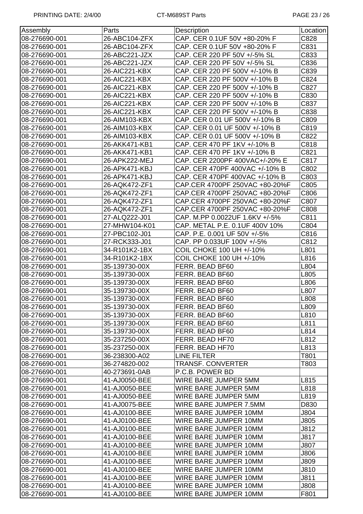| Assembly      | Parts         | Description                    | Location |
|---------------|---------------|--------------------------------|----------|
| 08-276690-001 | 26-ABC104-ZFX | CAP. CER 0.1UF 50V +80-20% F   | C828     |
| 08-276690-001 | 26-ABC104-ZFX | CAP. CER 0.1UF 50V +80-20% F   | C831     |
| 08-276690-001 | 26-ABC221-JZX | CAP. CER 220 PF 50V +/-5% SL   | C833     |
| 08-276690-001 | 26-ABC221-JZX | CAP. CER 220 PF 50V +/-5% SL   | C836     |
| 08-276690-001 | 26-AIC221-KBX | CAP. CER 220 PF 500V +/-10% B  | C839     |
| 08-276690-001 | 26-AIC221-KBX | CAP. CER 220 PF 500V +/-10% B  | C824     |
| 08-276690-001 | 26-AIC221-KBX | CAP. CER 220 PF 500V +/-10% B  | C827     |
| 08-276690-001 | 26-AIC221-KBX | CAP. CER 220 PF 500V +/-10% B  | C830     |
| 08-276690-001 | 26-AIC221-KBX | CAP. CER 220 PF 500V +/-10% B  | C837     |
| 08-276690-001 | 26-AIC221-KBX | CAP. CER 220 PF 500V +/-10% B  | C838     |
| 08-276690-001 | 26-AIM103-KBX | CAP. CER 0.01 UF 500V +/-10% B | C809     |
| 08-276690-001 | 26-AIM103-KBX | CAP. CER 0.01 UF 500V +/-10% B | C819     |
| 08-276690-001 | 26-AIM103-KBX | CAP. CER 0.01 UF 500V +/-10% B | C822     |
| 08-276690-001 | 26-AKK471-KB1 | CAP. CER 470 PF 1KV +/-10% B   | C818     |
| 08-276690-001 | 26-AKK471-KB1 | CAP. CER 470 PF 1KV +/-10% B   | C821     |
| 08-276690-001 | 26-APK222-MEJ | CAP. CER 2200PF 400VAC+/-20% E | C817     |
| 08-276690-001 | 26-APK471-KBJ | CAP. CER 470PF 400VAC +/-10% B | C802     |
| 08-276690-001 | 26-APK471-KBJ | CAP. CER 470PF 400VAC +/-10% B | C803     |
| 08-276690-001 | 26-AQK472-ZF1 | CAP.CER 4700PF 250VAC +80-20%F | C805     |
| 08-276690-001 | 26-AQK472-ZF1 | CAP.CER 4700PF 250VAC +80-20%F | C806     |
| 08-276690-001 | 26-AQK472-ZF1 | CAP.CER 4700PF 250VAC +80-20%F | C807     |
| 08-276690-001 | 26-AQK472-ZF1 | CAP.CER 4700PF 250VAC +80-20%F | C808     |
| 08-276690-001 | 27-ALQ222-J01 | CAP. M.PP 0.0022UF 1.6KV +/-5% | C811     |
| 08-276690-001 | 27-MHW104-K01 | CAP. METAL P.E. 0.1UF 400V 10% | C804     |
| 08-276690-001 | 27-PBC102-J01 | CAP. P.E. 0.001 UF 50V +/-5%   | C816     |
| 08-276690-001 | 27-RCK333-J01 | CAP. PP 0.033UF 100V +/-5%     | C812     |
| 08-276690-001 | 34-R101K2-1BX | COIL CHOKE 100 UH +/-10%       | L801     |
| 08-276690-001 | 34-R101K2-1BX | COIL CHOKE 100 UH +/-10%       | L816     |
| 08-276690-001 | 35-139730-00X | FERR. BEAD BF60                | L804     |
| 08-276690-001 | 35-139730-00X | FERR. BEAD BF60                | L805     |
| 08-276690-001 | 35-139730-00X | FERR. BEAD BF60                | L806     |
| 08-276690-001 | 35-139730-00X | FERR. BEAD BF60                | L807     |
| 08-276690-001 | 35-139730-00X | FERR. BEAD BF60                | L808     |
| 08-276690-001 | 35-139730-00X | FERR. BEAD BF60                | L809     |
| 08-276690-001 | 35-139730-00X | FERR. BEAD BF60                | L810     |
| 08-276690-001 | 35-139730-00X | FERR. BEAD BF60                | L811     |
| 08-276690-001 | 35-139730-00X | FERR. BEAD BF60                | L814     |
| 08-276690-001 | 35-237250-00X | FERR. BEAD HF70                | L812     |
| 08-276690-001 | 35-237250-00X | FERR. BEAD HF70                | L813     |
| 08-276690-001 | 36-238300-A02 | LINE FILTER                    | T801     |
| 08-276690-001 | 36-274820-002 | <b>TRANSF, CONVERTER</b>       | T803     |
| 08-276690-001 | 40-273691-0AB | P.C.B. POWER BD                |          |
| 08-276690-001 | 41-AJ0050-BEE | WIRE BARE JUMPER 5MM           | L815     |
| 08-276690-001 | 41-AJ0050-BEE | WIRE BARE JUMPER 5MM           | L818     |
| 08-276690-001 | 41-AJ0050-BEE | WIRE BARE JUMPER 5MM           | L819     |
| 08-276690-001 | 41-AJ0075-BEE | WIRE BARE JUMPER 7.5MM         | D830     |
| 08-276690-001 | 41-AJ0100-BEE | WIRE BARE JUMPER 10MM          | J804     |
| 08-276690-001 | 41-AJ0100-BEE | WIRE BARE JUMPER 10MM          | J805     |
| 08-276690-001 | 41-AJ0100-BEE | WIRE BARE JUMPER 10MM          | J812     |
| 08-276690-001 | 41-AJ0100-BEE | WIRE BARE JUMPER 10MM          | J817     |
| 08-276690-001 | 41-AJ0100-BEE | WIRE BARE JUMPER 10MM          | J807     |
| 08-276690-001 | 41-AJ0100-BEE | WIRE BARE JUMPER 10MM          | J806     |
| 08-276690-001 | 41-AJ0100-BEE | WIRE BARE JUMPER 10MM          | J809     |
| 08-276690-001 | 41-AJ0100-BEE | WIRE BARE JUMPER 10MM          | J810     |
| 08-276690-001 | 41-AJ0100-BEE | WIRE BARE JUMPER 10MM          | J811     |
| 08-276690-001 | 41-AJ0100-BEE | WIRE BARE JUMPER 10MM          | J808     |
| 08-276690-001 | 41-AJ0100-BEE | WIRE BARE JUMPER 10MM          | F801     |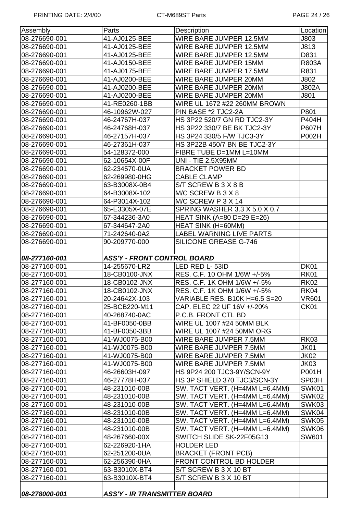| Assembly      | Parts                              | Description                          | Location     |  |
|---------------|------------------------------------|--------------------------------------|--------------|--|
| 08-276690-001 | 41-AJ0125-BEE                      | WIRE BARE JUMPER 12.5MM              | J803         |  |
| 08-276690-001 | 41-AJ0125-BEE                      | WIRE BARE JUMPER 12.5MM              | J813         |  |
| 08-276690-001 | 41-AJ0125-BEE                      | WIRE BARE JUMPER 12.5MM              | D831         |  |
| 08-276690-001 | 41-AJ0150-BEE                      | WIRE BARE JUMPER 15MM                | <b>R803A</b> |  |
| 08-276690-001 | 41-AJ0175-BEE                      | WIRE BARE JUMPER 17.5MM              | R831         |  |
| 08-276690-001 | 41-AJ0200-BEE                      | WIRE BARE JUMPER 20MM                | J802         |  |
| 08-276690-001 | 41-AJ0200-BEE                      | WIRE BARE JUMPER 20MM                | <b>J802A</b> |  |
| 08-276690-001 | 41-AJ0200-BEE                      | WIRE BARE JUMPER 20MM                | J801         |  |
| 08-276690-001 | 41-RE0260-1BB                      | WIRE UL 1672 #22 260MM BROWN         |              |  |
| 08-276690-001 | 46-10962W-027                      | PIN BASE *2 TJC2-2A                  | P801         |  |
| 08-276690-001 | 46-24767H-037                      | HS 3P22 520/7 GN RD TJC2-3Y          | P404H        |  |
| 08-276690-001 | 46-24768H-037                      | HS 3P22 330/7 BE BK TJC2-3Y          | P607H        |  |
| 08-276690-001 | 46-27157H-037                      | HS 3P24 330/5 F/W TJC3-3Y            | P002H        |  |
| 08-276690-001 | 46-27361H-037                      | HS 3P22B 450/7 BN BE TJC2-3Y         |              |  |
| 08-276690-001 | 54-128372-000                      | FIBRE TUBE D=1MM L=10MM              |              |  |
| 08-276690-001 | 62-10654X-00F                      | <b>UNI - TIE 2.5X95MM</b>            |              |  |
| 08-276690-001 | 62-234570-0UA                      | <b>BRACKET POWER BD</b>              |              |  |
| 08-276690-001 | 62-269980-0HG                      | <b>CABLE CLAMP</b>                   |              |  |
| 08-276690-001 | 63-B3008X-0B4                      | S/T SCREW B 3 X 8 B                  |              |  |
| 08-276690-001 | 64-B3008X-102                      | M/C SCREW B 3 X 8                    |              |  |
| 08-276690-001 | 64-P3014X-102                      | M/C SCREW P 3 X 14                   |              |  |
| 08-276690-001 | 65-E3305X-07E                      | <b>SPRING WASHER 3.3 X 5.0 X 0.7</b> |              |  |
| 08-276690-001 | 67-344236-3A0                      | HEAT SINK (A=80 D=29 E=26)           |              |  |
| 08-276690-001 | 67-344647-2A0                      | <b>HEAT SINK (H=60MM)</b>            |              |  |
| 08-276690-001 | 71-242640-0A2                      | <b>LABEL WARNING LIVE PARTS</b>      |              |  |
| 08-276690-001 | 90-209770-000                      | <b>SILICONE GREASE G-746</b>         |              |  |
|               |                                    |                                      |              |  |
| 08-277160-001 | <b>ASS'Y - FRONT CONTROL BOARD</b> |                                      |              |  |
|               |                                    |                                      |              |  |
| 08-277160-001 | 14-255670-LR2                      | LED RED L-53ID                       | <b>DK01</b>  |  |
| 08-277160-001 | 18-CB0100-JNX                      | RES. C.F. 10 OHM 1/6W +/-5%          | <b>RK01</b>  |  |
| 08-277160-001 | 18-CB0102-JNX                      | RES. C.F. 1K OHM 1/6W +/-5%          | <b>RK02</b>  |  |
| 08-277160-001 | 18-CB0102-JNX                      | RES. C.F. 1K OHM 1/6W +/-5%          | <b>RK04</b>  |  |
| 08-277160-001 | 20-24642X-103                      | VARIABLE RES. B10K H=6.5 S=20        | <b>VR601</b> |  |
| 08-277160-001 | 25-BCB220-M11                      | CAP. ELEC 22 UF 16V +/-20%           | CK01         |  |
| 08-277160-001 | 40-268740-0AC                      | P.C.B. FRONT CTL BD                  |              |  |
| 08-277160-001 | 41-BF0050-0BB                      | WIRE UL 1007 #24 50MM BLK            |              |  |
| 08-277160-001 | 41-BF0050-3BB                      | WIRE UL 1007 #24 50MM ORG            |              |  |
| 08-277160-001 | 41-WJ0075-B00                      | WIRE BARE JUMPER 7.5MM               | <b>RK03</b>  |  |
| 08-277160-001 | 41-WJ0075-B00                      | WIRE BARE JUMPER 7.5MM               | <b>JK01</b>  |  |
| 08-277160-001 | 41-WJ0075-B00                      | WIRE BARE JUMPER 7.5MM               | <b>JK02</b>  |  |
| 08-277160-001 | 41-WJ0075-B00                      | WIRE BARE JUMPER 7.5MM               | JK03         |  |
| 08-277160-001 | 46-26603H-097                      | HS 9P24 200 TJC3-9Y/SCN-9Y           | P001H        |  |
| 08-277160-001 | 46-27778H-037                      | HS 3P SHIELD 370 TJC3/SCN-3Y         | SP03H        |  |
| 08-277160-001 | 48-231010-00B                      | SW. TACT VERT. (H=4MM L=6.4MM)       | SWK01        |  |
| 08-277160-001 | 48-231010-00B                      | SW. TACT VERT. (H=4MM L=6.4MM)       | SWK02        |  |
| 08-277160-001 | 48-231010-00B                      | SW. TACT VERT. (H=4MM L=6.4MM)       | SWK03        |  |
| 08-277160-001 | 48-231010-00B                      | SW. TACT VERT. (H=4MM L=6.4MM)       | SWK04        |  |
| 08-277160-001 | 48-231010-00B                      | SW. TACT VERT. (H=4MM L=6.4MM)       | SWK05        |  |
| 08-277160-001 | 48-231010-00B                      | SW. TACT VERT. (H=4MM L=6.4MM)       | SWK06        |  |
| 08-277160-001 | 48-267660-00X                      | SWITCH SLIDE SK-22F05G13             | SW601        |  |
| 08-277160-001 | 62-226920-1HA                      | <b>HOLDER LED</b>                    |              |  |
| 08-277160-001 | 62-251200-0UA                      | <b>BRACKET (FRONT PCB)</b>           |              |  |
| 08-277160-001 | 62-256390-0HA                      | FRONT CONTROL BD HOLDER              |              |  |
| 08-277160-001 | 63-B3010X-BT4                      | S/T SCREW B 3 X 10 BT                |              |  |
| 08-277160-001 | 63-B3010X-BT4                      | S/T SCREW B 3 X 10 BT                |              |  |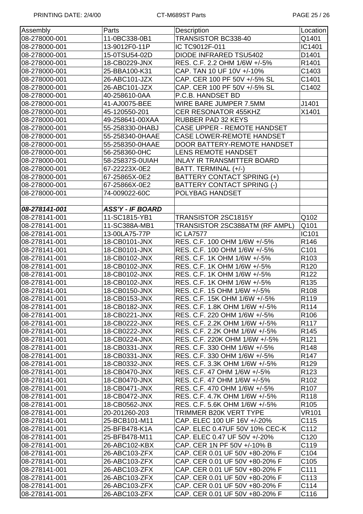| Assembly      | Parts                   | Location<br>Description            |                  |  |
|---------------|-------------------------|------------------------------------|------------------|--|
| 08-278000-001 | 11-0BC338-0B1           | TRANSISTOR BC338-40<br>Q1401       |                  |  |
| 08-278000-001 | 13-9012F0-11P           | IC TC9012F-011                     | IC1401           |  |
| 08-278000-001 | 15-0TSU54-02D           | <b>DIODE INFRARED TSU5402</b>      | D1401            |  |
| 08-278000-001 | 18-CB0229-JNX           | RES. C.F. 2.2 OHM 1/6W +/-5%       | R1401            |  |
| 08-278000-001 | 25-BBA100-K31           | CAP. TAN 10 UF 10V +/-10%          | C1403            |  |
| 08-278000-001 | 26-ABC101-JZX           | CAP. CER 100 PF 50V +/-5% SL       | C1401            |  |
| 08-278000-001 | 26-ABC101-JZX           | CAP. CER 100 PF 50V +/-5% SL       | C1402            |  |
| 08-278000-001 | 40-258610-0AA           | P.C.B. HANDSET BD                  |                  |  |
| 08-278000-001 | 41-AJ0075-BEE           | WIRE BARE JUMPER 7.5MM             | J1401            |  |
| 08-278000-001 | 45-120550-201           | <b>CER RESONATOR 455KHZ</b>        | X1401            |  |
| 08-278000-001 | 49-258641-00XAA         | <b>RUBBER PAD 32 KEYS</b>          |                  |  |
| 08-278000-001 | 55-258330-0HABJ         | <b>CASE UPPER - REMOTE HANDSET</b> |                  |  |
| 08-278000-001 | 55-258340-0HAAE         | <b>CASE LOWER-REMOTE HANDSET</b>   |                  |  |
| 08-278000-001 | 55-258350-0HAAE         | DOOR BATTERY-REMOTE HANDSET        |                  |  |
| 08-278000-001 | 56-258360-0HC           | LENS REMOTE HANDSET                |                  |  |
| 08-278000-001 | 58-25837S-0UIAH         | <b>INLAY IR TRANSMITTER BOARD</b>  |                  |  |
| 08-278000-001 | 67-22223X-0E2           | BATT. TERMINAL (+/-)               |                  |  |
| 08-278000-001 | 67-25865X-0E2           | BATTERY CONTACT SPRING (+)         |                  |  |
| 08-278000-001 | 67-25866X-0E2           | <b>BATTERY CONTACT SPRING (-)</b>  |                  |  |
| 08-278000-001 | 74-009022-60C           | POLYBAG HANDSET                    |                  |  |
|               |                         |                                    |                  |  |
| 08-278141-001 | <b>ASS'Y - IF BOARD</b> |                                    |                  |  |
| 08-278141-001 | 11-SC1815-YB1           | TRANSISTOR 2SC1815Y                | Q102             |  |
| 08-278141-001 | 11-SC388A-MB1           | TRANSISTOR 2SC388ATM (RF AMPL)     | Q101             |  |
| 08-278141-001 | 13-00LA75-77P           | <b>IC LA7577</b>                   | IC101            |  |
| 08-278141-001 | 18-CB0101-JNX           | RES. C.F. 100 OHM 1/6W +/-5%       | R146             |  |
| 08-278141-001 | 18-CB0101-JNX           | RES. C.F. 100 OHM 1/6W +/-5%       | C <sub>101</sub> |  |
| 08-278141-001 | 18-CB0102-JNX           | RES. C.F. 1K OHM 1/6W +/-5%        | R <sub>103</sub> |  |
| 08-278141-001 | 18-CB0102-JNX           | RES. C.F. 1K OHM 1/6W +/-5%        | R <sub>120</sub> |  |
| 08-278141-001 | 18-CB0102-JNX           | RES. C.F. 1K OHM 1/6W +/-5%        | R <sub>122</sub> |  |
| 08-278141-001 | 18-CB0102-JNX           | RES. C.F. 1K OHM 1/6W +/-5%        | R <sub>135</sub> |  |
| 08-278141-001 | 18-CB0150-JNX           | RES. C.F. 15 OHM 1/6W +/-5%        | R <sub>108</sub> |  |
| 08-278141-001 | 18-CB0153-JNX           | RES. C.F. 15K OHM 1/6W +/-5%       | R119             |  |
| 08-278141-001 | 18-CB0182-JNX           | RES. C.F. 1.8K OHM 1/6W +/-5%      | R <sub>114</sub> |  |
| 08-278141-001 | 18-CB0221-JNX           | RES. C.F. 220 OHM 1/6W +/-5%       | R <sub>106</sub> |  |
| 08-278141-001 | 18-CB0222-JNX           | RES. C.F. 2.2K OHM 1/6W +/-5%      | R <sub>117</sub> |  |
| 08-278141-001 | 18-CB0222-JNX           | RES. C.F. 2.2K OHM 1/6W +/-5%      | R <sub>145</sub> |  |
| 08-278141-001 | 18-CB0224-JNX           | RES. C.F. 220K OHM 1/6W +/-5%      | R <sub>121</sub> |  |
| 08-278141-001 | 18-CB0331-JNX           | RES. C.F. 330 OHM 1/6W +/-5%       | R148             |  |
| 08-278141-001 | 18-CB0331-JNX           | RES. C.F. 330 OHM 1/6W +/-5%       | R <sub>147</sub> |  |
| 08-278141-001 | 18-CB0332-JNX           | RES. C.F. 3.3K OHM 1/6W +/-5%      | R <sub>129</sub> |  |
| 08-278141-001 | 18-CB0470-JNX           | RES. C.F. 47 OHM 1/6W +/-5%        | R <sub>123</sub> |  |
| 08-278141-001 | 18-CB0470-JNX           | RES. C.F. 47 OHM 1/6W +/-5%        | R <sub>102</sub> |  |
| 08-278141-001 | 18-CB0471-JNX           | RES. C.F. 470 OHM 1/6W +/-5%       | R <sub>107</sub> |  |
| 08-278141-001 | 18-CB0472-JNX           | RES. C.F. 4.7K OHM 1/6W +/-5%      | R118             |  |
| 08-278141-001 | 18-CB0562-JNX           | RES. C.F. 5.6K OHM 1/6W +/-5%      | R <sub>105</sub> |  |
| 08-278141-001 | 20-201260-203           | TRIMMER B20K VERT TYPE             | <b>VR101</b>     |  |
| 08-278141-001 | 25-BCB101-M11           | CAP. ELEC 100 UF 16V +/-20%        | C115             |  |
| 08-278141-001 | 25-BFB478-K1A           | CAP. ELEC 0.47UF 50V 10% CEC-K     | C112             |  |
| 08-278141-001 | 25-BFB478-M11           | CAP. ELEC 0.47 UF 50V +/-20%       | C120             |  |
| 08-278141-001 | 26-ABC102-KBX           | CAP. CER 1N PF 50V +/-10% B        | C119             |  |
| 08-278141-001 | 26-ABC103-ZFX           | CAP. CER 0.01 UF 50V +80-20% F     | C104             |  |
| 08-278141-001 | 26-ABC103-ZFX           | CAP. CER 0.01 UF 50V +80-20% F     | C105             |  |
| 08-278141-001 | 26-ABC103-ZFX           | CAP. CER 0.01 UF 50V +80-20% F     | C111             |  |
| 08-278141-001 | 26-ABC103-ZFX           | CAP. CER 0.01 UF 50V +80-20% F     | C113             |  |
| 08-278141-001 | 26-ABC103-ZFX           | CAP. CER 0.01 UF 50V +80-20% F     | C114             |  |
| 08-278141-001 | 26-ABC103-ZFX           | CAP. CER 0.01 UF 50V +80-20% F     | C116             |  |
|               |                         |                                    |                  |  |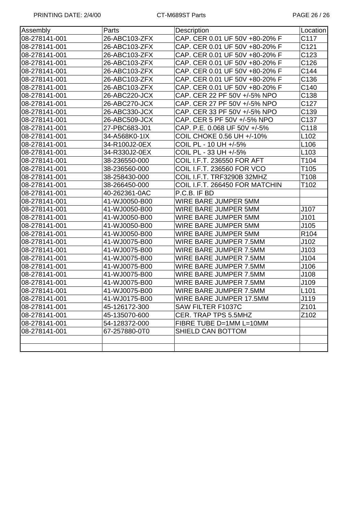| Assembly      | Parts         | Description                       | Location         |
|---------------|---------------|-----------------------------------|------------------|
| 08-278141-001 | 26-ABC103-ZFX | CAP. CER 0.01 UF 50V +80-20% F    | C117             |
| 08-278141-001 | 26-ABC103-ZFX | CAP. CER 0.01 UF 50V +80-20% F    | C121             |
| 08-278141-001 | 26-ABC103-ZFX | CAP. CER 0.01 UF 50V +80-20% F    | C123             |
| 08-278141-001 | 26-ABC103-ZFX | CAP. CER 0.01 UF 50V +80-20% F    | C126             |
| 08-278141-001 | 26-ABC103-ZFX | CAP. CER 0.01 UF 50V +80-20% F    | C144             |
| 08-278141-001 | 26-ABC103-ZFX | CAP. CER 0.01 UF 50V +80-20% F    | C136             |
| 08-278141-001 | 26-ABC103-ZFX | CAP. CER 0.01 UF 50V +80-20% F    | C140             |
| 08-278141-001 | 26-ABC220-JCX | CAP. CER 22 PF 50V +/-5% NPO      | C138             |
| 08-278141-001 | 26-ABC270-JCX | CAP. CER 27 PF 50V +/-5% NPO      | C127             |
| 08-278141-001 | 26-ABC330-JCX | CAP. CER 33 PF 50V +/-5% NPO      | C139             |
| 08-278141-001 | 26-ABC509-JCX | CAP. CER 5 PF 50V +/-5% NPO       | C137             |
| 08-278141-001 | 27-PBC683-J01 | CAP. P.E. 0.068 UF 50V +/-5%      | C118             |
| 08-278141-001 | 34-A568K0-1IX | COIL CHOKE 0.56 UH +/-10%         | L102             |
| 08-278141-001 | 34-R100J2-0EX | COIL PL - 10 UH +/-5%             | L <sub>106</sub> |
| 08-278141-001 | 34-R330J2-0EX | COIL PL - 33 UH +/-5%             | L <sub>103</sub> |
| 08-278141-001 | 38-236550-000 | <b>COIL I.F.T. 236550 FOR AFT</b> | T104             |
| 08-278141-001 | 38-236560-000 | COIL I.F.T. 236560 FOR VCO        | T105             |
| 08-278141-001 | 38-258430-000 | COIL I.F.T. TRF3290B 32MHZ        | T108             |
| 08-278141-001 | 38-266450-000 | COIL I.F.T. 266450 FOR MATCHIN    | T102             |
| 08-278141-001 | 40-262361-0AC | P.C.B. IF BD                      |                  |
| 08-278141-001 | 41-WJ0050-B00 | WIRE BARE JUMPER 5MM              |                  |
| 08-278141-001 | 41-WJ0050-B00 | WIRE BARE JUMPER 5MM              | J107             |
| 08-278141-001 | 41-WJ0050-B00 | WIRE BARE JUMPER 5MM              | J101             |
| 08-278141-001 | 41-WJ0050-B00 | WIRE BARE JUMPER 5MM              | J105             |
| 08-278141-001 | 41-WJ0050-B00 | WIRE BARE JUMPER 5MM              | R <sub>104</sub> |
| 08-278141-001 | 41-WJ0075-B00 | WIRE BARE JUMPER 7.5MM            | J102             |
| 08-278141-001 | 41-WJ0075-B00 | WIRE BARE JUMPER 7.5MM            | J103             |
| 08-278141-001 | 41-WJ0075-B00 | WIRE BARE JUMPER 7.5MM            | J104             |
| 08-278141-001 | 41-WJ0075-B00 | WIRE BARE JUMPER 7.5MM            | J106             |
| 08-278141-001 | 41-WJ0075-B00 | WIRE BARE JUMPER 7.5MM            | J108             |
| 08-278141-001 | 41-WJ0075-B00 | WIRE BARE JUMPER 7.5MM            | J109             |
| 08-278141-001 | 41-WJ0075-B00 | WIRE BARE JUMPER 7.5MM            | L <sub>101</sub> |
| 08-278141-001 | 41-WJ0175-B00 | WIRE BARE JUMPER 17.5MM           | J119             |
| 08-278141-001 | 45-126172-300 | SAW FILTER F1037C                 | Z101             |
| 08-278141-001 | 45-135070-600 | CER. TRAP TPS 5.5MHZ              | Z102             |
| 08-278141-001 | 54-128372-000 | FIBRE TUBE D=1MM L=10MM           |                  |
| 08-278141-001 | 67-257880-0T0 | SHIELD CAN BOTTOM                 |                  |
|               |               |                                   |                  |
|               |               |                                   |                  |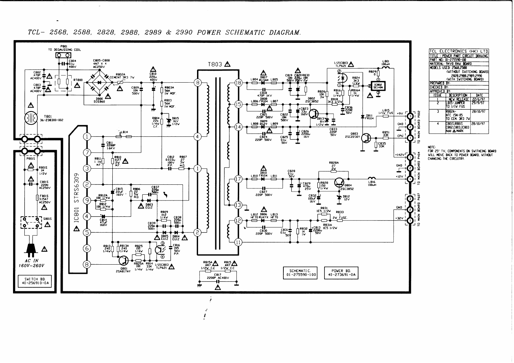

28/10/97

28/10/97

TCL- 2568, 2588, 2828, 2988, 2989 & 2990 POWER SCHEMATIC DIAGRAM.

 $\bullet$ 

 $\epsilon$ 

 $\sqrt{ }$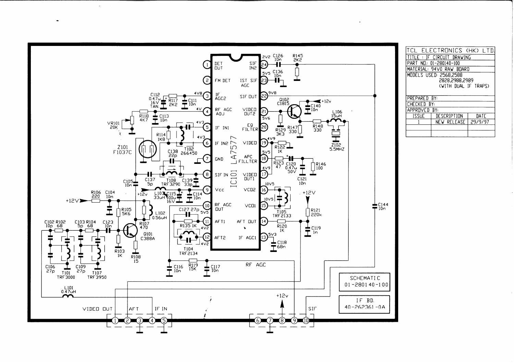

 $\bullet$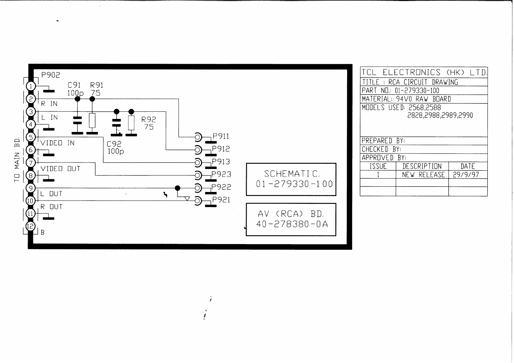

 $\prime$